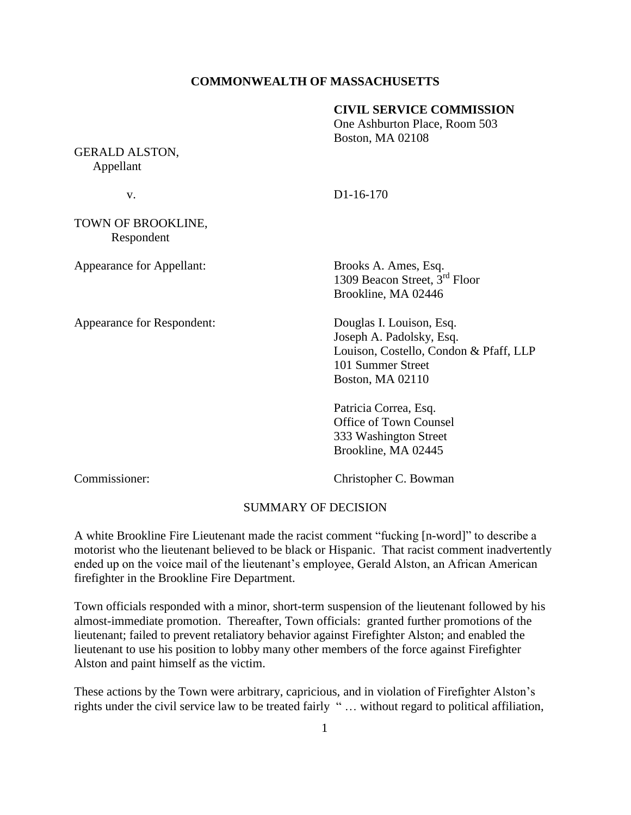## **COMMONWEALTH OF MASSACHUSETTS**

#### **CIVIL SERVICE COMMISSION**

One Ashburton Place, Room 503 Boston, MA 02108

GERALD ALSTON, Appellant

v. D1-16-170

TOWN OF BROOKLINE, Respondent

Appearance for Appellant: Brooks A. Ames, Esq.

Appearance for Respondent: Douglas I. Louison, Esq.

1309 Beacon Street, 3<sup>rd</sup> Floor Brookline, MA 02446

Joseph A. Padolsky, Esq. Louison, Costello, Condon & Pfaff, LLP 101 Summer Street Boston, MA 02110

Patricia Correa, Esq. Office of Town Counsel 333 Washington Street Brookline, MA 02445

Commissioner: Christopher C. Bowman

#### SUMMARY OF DECISION

A white Brookline Fire Lieutenant made the racist comment "fucking [n-word]" to describe a motorist who the lieutenant believed to be black or Hispanic. That racist comment inadvertently ended up on the voice mail of the lieutenant's employee, Gerald Alston, an African American firefighter in the Brookline Fire Department.

Town officials responded with a minor, short-term suspension of the lieutenant followed by his almost-immediate promotion. Thereafter, Town officials: granted further promotions of the lieutenant; failed to prevent retaliatory behavior against Firefighter Alston; and enabled the lieutenant to use his position to lobby many other members of the force against Firefighter Alston and paint himself as the victim.

These actions by the Town were arbitrary, capricious, and in violation of Firefighter Alston's rights under the civil service law to be treated fairly " … without regard to political affiliation,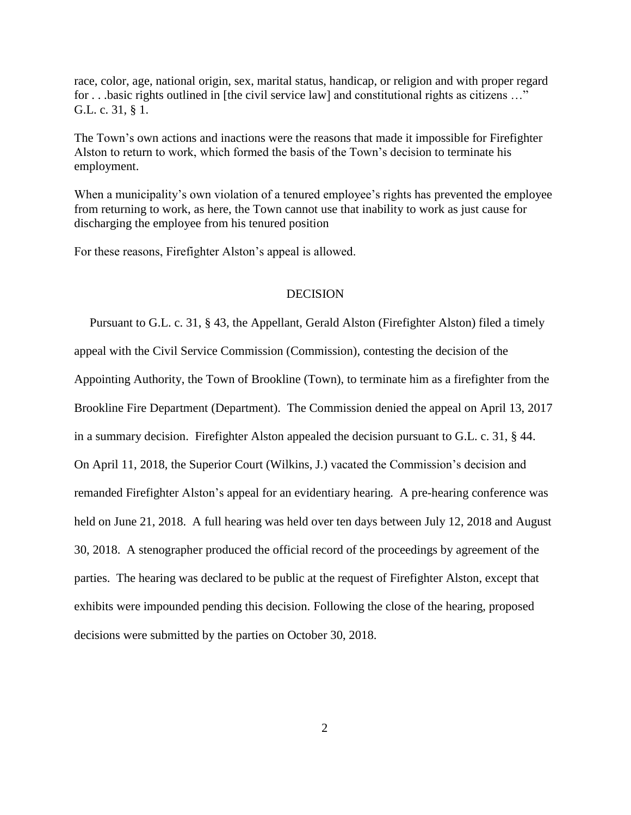race, color, age, national origin, sex, marital status, handicap, or religion and with proper regard for . . .basic rights outlined in [the civil service law] and constitutional rights as citizens …" G.L. c. 31, § 1.

The Town's own actions and inactions were the reasons that made it impossible for Firefighter Alston to return to work, which formed the basis of the Town's decision to terminate his employment.

When a municipality's own violation of a tenured employee's rights has prevented the employee from returning to work, as here, the Town cannot use that inability to work as just cause for discharging the employee from his tenured position

For these reasons, Firefighter Alston's appeal is allowed.

## **DECISION**

 Pursuant to G.L. c. 31, § 43, the Appellant, Gerald Alston (Firefighter Alston) filed a timely appeal with the Civil Service Commission (Commission), contesting the decision of the Appointing Authority, the Town of Brookline (Town), to terminate him as a firefighter from the Brookline Fire Department (Department). The Commission denied the appeal on April 13, 2017 in a summary decision. Firefighter Alston appealed the decision pursuant to G.L. c. 31, § 44. On April 11, 2018, the Superior Court (Wilkins, J.) vacated the Commission's decision and remanded Firefighter Alston's appeal for an evidentiary hearing. A pre-hearing conference was held on June 21, 2018. A full hearing was held over ten days between July 12, 2018 and August 30, 2018. A stenographer produced the official record of the proceedings by agreement of the parties. The hearing was declared to be public at the request of Firefighter Alston, except that exhibits were impounded pending this decision. Following the close of the hearing, proposed decisions were submitted by the parties on October 30, 2018.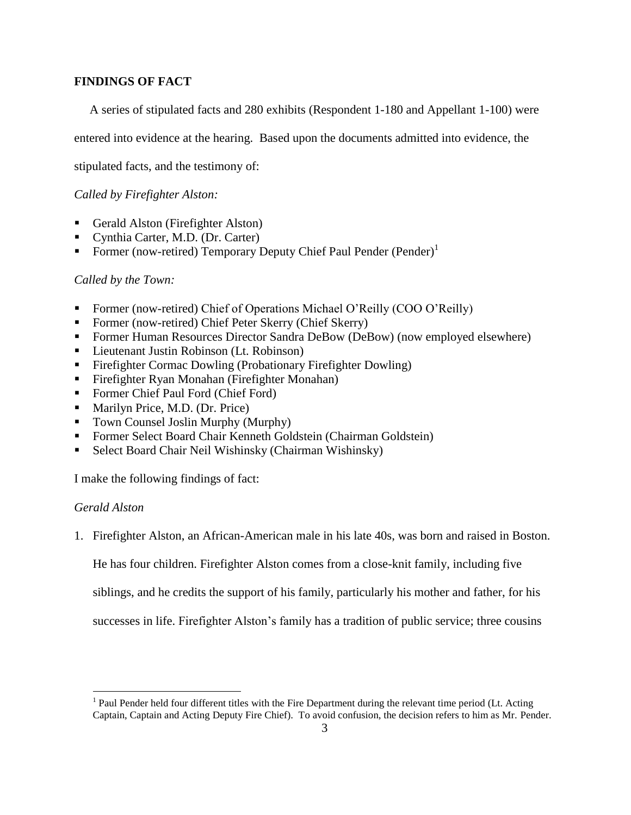# **FINDINGS OF FACT**

A series of stipulated facts and 280 exhibits (Respondent 1-180 and Appellant 1-100) were

entered into evidence at the hearing. Based upon the documents admitted into evidence, the

stipulated facts, and the testimony of:

*Called by Firefighter Alston:*

- Gerald Alston (Firefighter Alston)
- Cynthia Carter, M.D. (Dr. Carter)
- Former (now-retired) Temporary Deputy Chief Paul Pender (Pender)<sup>1</sup>

## *Called by the Town:*

- Former (now-retired) Chief of Operations Michael O'Reilly (COO O'Reilly)
- Former (now-retired) Chief Peter Skerry (Chief Skerry)
- Former Human Resources Director Sandra DeBow (DeBow) (now employed elsewhere)
- Lieutenant Justin Robinson (Lt. Robinson)
- Firefighter Cormac Dowling (Probationary Firefighter Dowling)
- Firefighter Ryan Monahan (Firefighter Monahan)
- Former Chief Paul Ford (Chief Ford)
- Marilyn Price, M.D. (Dr. Price)
- Town Counsel Joslin Murphy (Murphy)
- Former Select Board Chair Kenneth Goldstein (Chairman Goldstein)
- Select Board Chair Neil Wishinsky (Chairman Wishinsky)

I make the following findings of fact:

# *Gerald Alston*

 $\overline{a}$ 

1. Firefighter Alston, an African-American male in his late 40s, was born and raised in Boston.

He has four children. Firefighter Alston comes from a close-knit family, including five

siblings, and he credits the support of his family, particularly his mother and father, for his

successes in life. Firefighter Alston's family has a tradition of public service; three cousins

<sup>&</sup>lt;sup>1</sup> Paul Pender held four different titles with the Fire Department during the relevant time period (Lt. Acting Captain, Captain and Acting Deputy Fire Chief). To avoid confusion, the decision refers to him as Mr. Pender.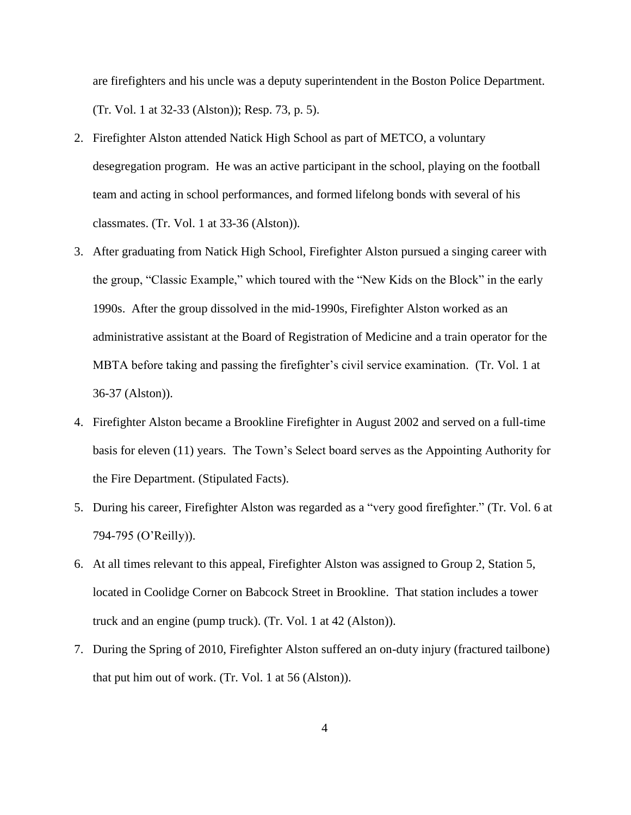are firefighters and his uncle was a deputy superintendent in the Boston Police Department. (Tr. Vol. 1 at 32-33 (Alston)); Resp. 73, p. 5).

- 2. Firefighter Alston attended Natick High School as part of METCO, a voluntary desegregation program. He was an active participant in the school, playing on the football team and acting in school performances, and formed lifelong bonds with several of his classmates. (Tr. Vol. 1 at 33-36 (Alston)).
- 3. After graduating from Natick High School, Firefighter Alston pursued a singing career with the group, "Classic Example," which toured with the "New Kids on the Block" in the early 1990s. After the group dissolved in the mid-1990s, Firefighter Alston worked as an administrative assistant at the Board of Registration of Medicine and a train operator for the MBTA before taking and passing the firefighter's civil service examination. (Tr. Vol. 1 at 36-37 (Alston)).
- 4. Firefighter Alston became a Brookline Firefighter in August 2002 and served on a full-time basis for eleven (11) years. The Town's Select board serves as the Appointing Authority for the Fire Department. (Stipulated Facts).
- 5. During his career, Firefighter Alston was regarded as a "very good firefighter." (Tr. Vol. 6 at 794-795 (O'Reilly)).
- 6. At all times relevant to this appeal, Firefighter Alston was assigned to Group 2, Station 5, located in Coolidge Corner on Babcock Street in Brookline. That station includes a tower truck and an engine (pump truck). (Tr. Vol. 1 at 42 (Alston)).
- 7. During the Spring of 2010, Firefighter Alston suffered an on-duty injury (fractured tailbone) that put him out of work. (Tr. Vol. 1 at 56 (Alston)).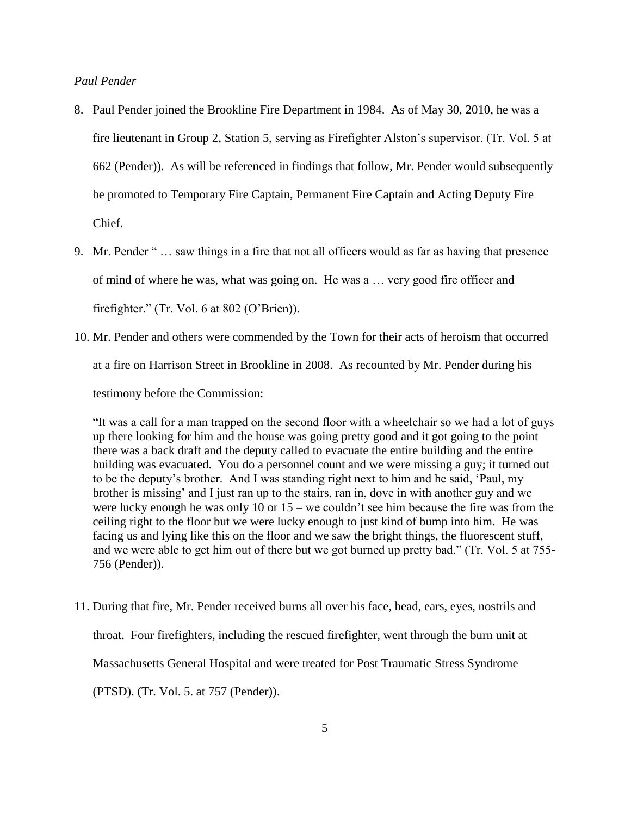# *Paul Pender*

- 8. Paul Pender joined the Brookline Fire Department in 1984. As of May 30, 2010, he was a fire lieutenant in Group 2, Station 5, serving as Firefighter Alston's supervisor. (Tr. Vol. 5 at 662 (Pender)). As will be referenced in findings that follow, Mr. Pender would subsequently be promoted to Temporary Fire Captain, Permanent Fire Captain and Acting Deputy Fire Chief.
- 9. Mr. Pender " … saw things in a fire that not all officers would as far as having that presence of mind of where he was, what was going on. He was a … very good fire officer and firefighter." (Tr. Vol. 6 at 802 (O'Brien)).
- 10. Mr. Pender and others were commended by the Town for their acts of heroism that occurred at a fire on Harrison Street in Brookline in 2008. As recounted by Mr. Pender during his testimony before the Commission:

"It was a call for a man trapped on the second floor with a wheelchair so we had a lot of guys up there looking for him and the house was going pretty good and it got going to the point there was a back draft and the deputy called to evacuate the entire building and the entire building was evacuated. You do a personnel count and we were missing a guy; it turned out to be the deputy's brother. And I was standing right next to him and he said, 'Paul, my brother is missing' and I just ran up to the stairs, ran in, dove in with another guy and we were lucky enough he was only 10 or 15 – we couldn't see him because the fire was from the ceiling right to the floor but we were lucky enough to just kind of bump into him. He was facing us and lying like this on the floor and we saw the bright things, the fluorescent stuff, and we were able to get him out of there but we got burned up pretty bad." (Tr. Vol. 5 at 755- 756 (Pender)).

11. During that fire, Mr. Pender received burns all over his face, head, ears, eyes, nostrils and throat. Four firefighters, including the rescued firefighter, went through the burn unit at Massachusetts General Hospital and were treated for Post Traumatic Stress Syndrome (PTSD). (Tr. Vol. 5. at 757 (Pender)).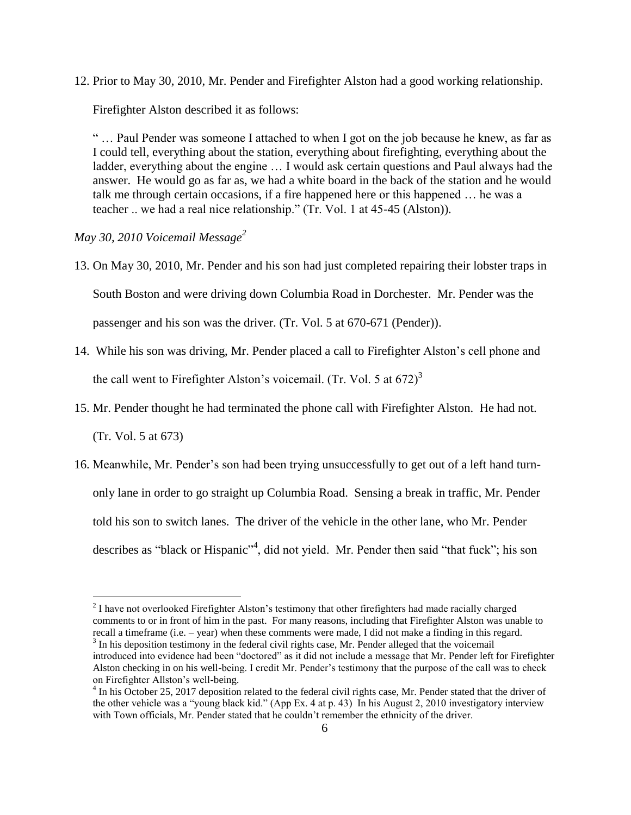12. Prior to May 30, 2010, Mr. Pender and Firefighter Alston had a good working relationship.

Firefighter Alston described it as follows:

" … Paul Pender was someone I attached to when I got on the job because he knew, as far as I could tell, everything about the station, everything about firefighting, everything about the ladder, everything about the engine … I would ask certain questions and Paul always had the answer. He would go as far as, we had a white board in the back of the station and he would talk me through certain occasions, if a fire happened here or this happened … he was a teacher .. we had a real nice relationship." (Tr. Vol. 1 at 45-45 (Alston)).

*May 30, 2010 Voicemail Message<sup>2</sup>*

- 13. On May 30, 2010, Mr. Pender and his son had just completed repairing their lobster traps in South Boston and were driving down Columbia Road in Dorchester. Mr. Pender was the passenger and his son was the driver. (Tr. Vol. 5 at 670-671 (Pender)).
- 14. While his son was driving, Mr. Pender placed a call to Firefighter Alston's cell phone and the call went to Firefighter Alston's voicemail. (Tr. Vol. 5 at  $672$ )<sup>3</sup>
- 15. Mr. Pender thought he had terminated the phone call with Firefighter Alston. He had not.

(Tr. Vol. 5 at 673)

 $\overline{a}$ 

16. Meanwhile, Mr. Pender's son had been trying unsuccessfully to get out of a left hand turnonly lane in order to go straight up Columbia Road. Sensing a break in traffic, Mr. Pender told his son to switch lanes. The driver of the vehicle in the other lane, who Mr. Pender describes as "black or Hispanic"<sup>4</sup>, did not yield. Mr. Pender then said "that fuck"; his son

 $2<sup>2</sup>$  I have not overlooked Firefighter Alston's testimony that other firefighters had made racially charged comments to or in front of him in the past. For many reasons, including that Firefighter Alston was unable to recall a timeframe (i.e. – year) when these comments were made, I did not make a finding in this regard.  $3$  In his deposition testimony in the federal civil rights case, Mr. Pender alleged that the voicemail

introduced into evidence had been "doctored" as it did not include a message that Mr. Pender left for Firefighter Alston checking in on his well-being. I credit Mr. Pender's testimony that the purpose of the call was to check on Firefighter Allston's well-being.

<sup>&</sup>lt;sup>4</sup> In his October 25, 2017 deposition related to the federal civil rights case, Mr. Pender stated that the driver of the other vehicle was a "young black kid." (App Ex. 4 at p. 43) In his August 2, 2010 investigatory interview with Town officials, Mr. Pender stated that he couldn't remember the ethnicity of the driver.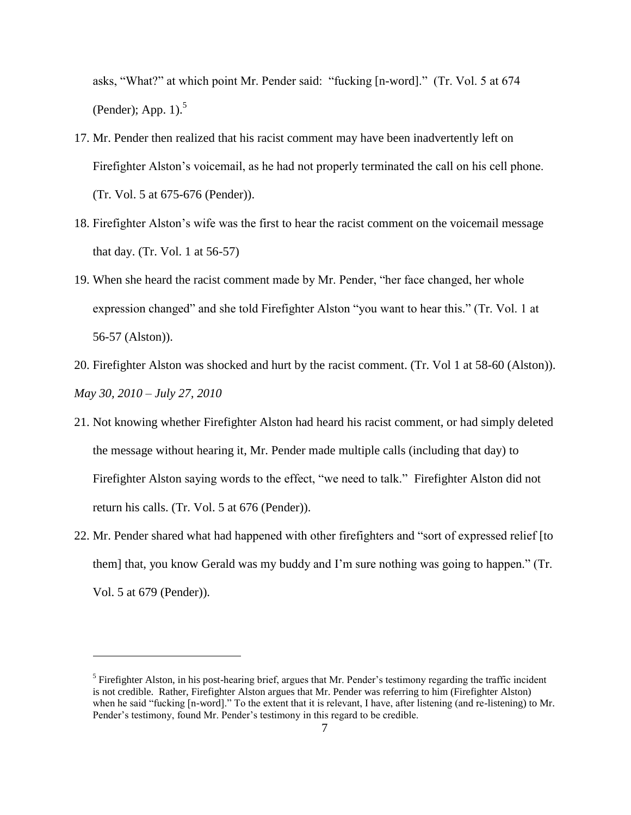asks, "What?" at which point Mr. Pender said: "fucking [n-word]." (Tr. Vol. 5 at 674 (Pender); App.  $1$ ).<sup>5</sup>

- 17. Mr. Pender then realized that his racist comment may have been inadvertently left on Firefighter Alston's voicemail, as he had not properly terminated the call on his cell phone. (Tr. Vol. 5 at 675-676 (Pender)).
- 18. Firefighter Alston's wife was the first to hear the racist comment on the voicemail message that day. (Tr. Vol. 1 at 56-57)
- 19. When she heard the racist comment made by Mr. Pender, "her face changed, her whole expression changed" and she told Firefighter Alston "you want to hear this." (Tr. Vol. 1 at 56-57 (Alston)).
- 20. Firefighter Alston was shocked and hurt by the racist comment. (Tr. Vol 1 at 58-60 (Alston)). *May 30, 2010 – July 27, 2010*
- 21. Not knowing whether Firefighter Alston had heard his racist comment, or had simply deleted the message without hearing it, Mr. Pender made multiple calls (including that day) to Firefighter Alston saying words to the effect, "we need to talk." Firefighter Alston did not return his calls. (Tr. Vol. 5 at 676 (Pender)).
- 22. Mr. Pender shared what had happened with other firefighters and "sort of expressed relief [to them] that, you know Gerald was my buddy and I'm sure nothing was going to happen." (Tr. Vol. 5 at 679 (Pender)).

 $\overline{a}$ 

<sup>&</sup>lt;sup>5</sup> Firefighter Alston, in his post-hearing brief, argues that Mr. Pender's testimony regarding the traffic incident is not credible. Rather, Firefighter Alston argues that Mr. Pender was referring to him (Firefighter Alston) when he said "fucking [n-word]." To the extent that it is relevant, I have, after listening (and re-listening) to Mr. Pender's testimony, found Mr. Pender's testimony in this regard to be credible.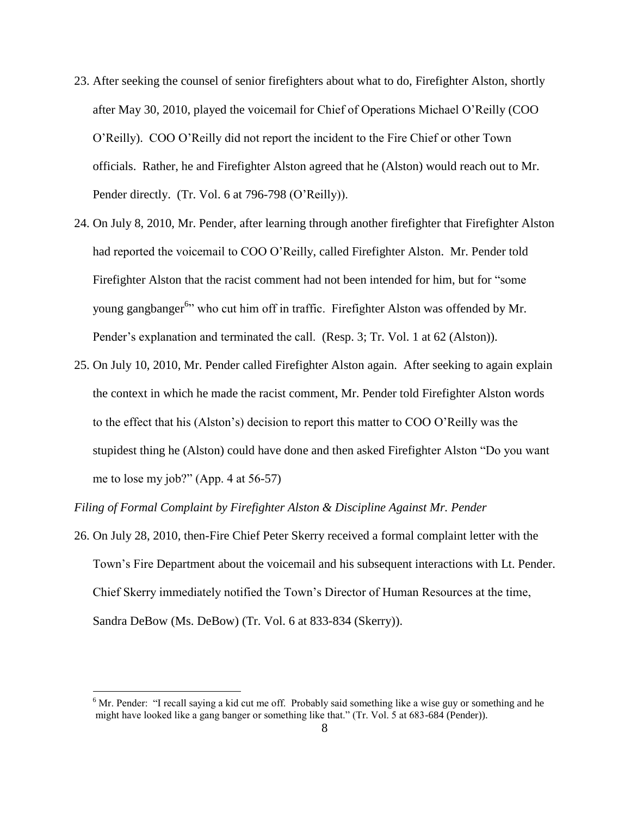- 23. After seeking the counsel of senior firefighters about what to do, Firefighter Alston, shortly after May 30, 2010, played the voicemail for Chief of Operations Michael O'Reilly (COO O'Reilly). COO O'Reilly did not report the incident to the Fire Chief or other Town officials. Rather, he and Firefighter Alston agreed that he (Alston) would reach out to Mr. Pender directly. (Tr. Vol. 6 at 796-798 (O'Reilly)).
- 24. On July 8, 2010, Mr. Pender, after learning through another firefighter that Firefighter Alston had reported the voicemail to COO O'Reilly, called Firefighter Alston. Mr. Pender told Firefighter Alston that the racist comment had not been intended for him, but for "some young gangbanger<sup>6</sup><sup>2</sup> who cut him off in traffic. Firefighter Alston was offended by Mr. Pender's explanation and terminated the call. (Resp. 3; Tr. Vol. 1 at 62 (Alston)).
- 25. On July 10, 2010, Mr. Pender called Firefighter Alston again. After seeking to again explain the context in which he made the racist comment, Mr. Pender told Firefighter Alston words to the effect that his (Alston's) decision to report this matter to COO O'Reilly was the stupidest thing he (Alston) could have done and then asked Firefighter Alston "Do you want me to lose my job?" (App. 4 at 56-57)

*Filing of Formal Complaint by Firefighter Alston & Discipline Against Mr. Pender*

 $\overline{a}$ 

26. On July 28, 2010, then-Fire Chief Peter Skerry received a formal complaint letter with the Town's Fire Department about the voicemail and his subsequent interactions with Lt. Pender. Chief Skerry immediately notified the Town's Director of Human Resources at the time, Sandra DeBow (Ms. DeBow) (Tr. Vol. 6 at 833-834 (Skerry)).

 $6$  Mr. Pender: "I recall saying a kid cut me off. Probably said something like a wise guy or something and he might have looked like a gang banger or something like that." (Tr. Vol. 5 at 683-684 (Pender)).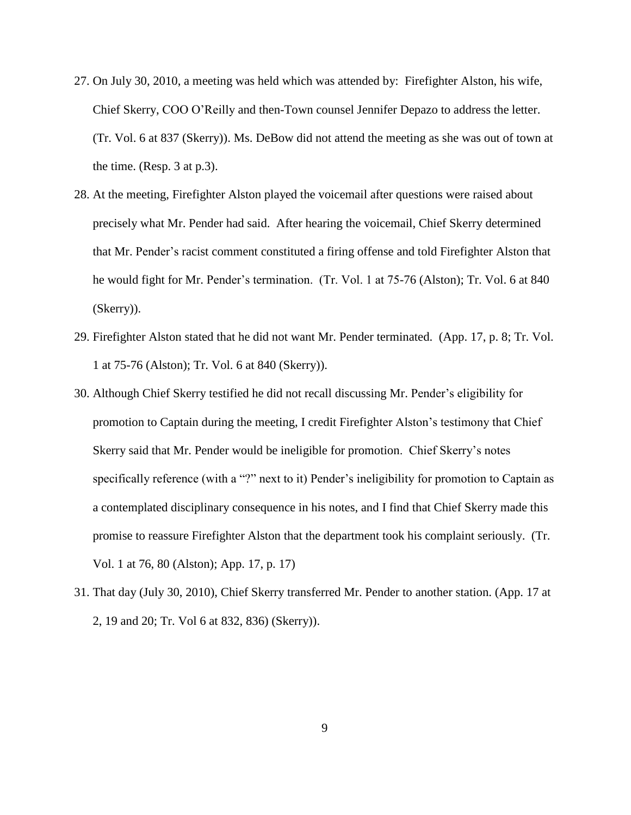- 27. On July 30, 2010, a meeting was held which was attended by: Firefighter Alston, his wife, Chief Skerry, COO O'Reilly and then-Town counsel Jennifer Depazo to address the letter. (Tr. Vol. 6 at 837 (Skerry)). Ms. DeBow did not attend the meeting as she was out of town at the time. (Resp. 3 at p.3).
- 28. At the meeting, Firefighter Alston played the voicemail after questions were raised about precisely what Mr. Pender had said. After hearing the voicemail, Chief Skerry determined that Mr. Pender's racist comment constituted a firing offense and told Firefighter Alston that he would fight for Mr. Pender's termination. (Tr. Vol. 1 at 75-76 (Alston); Tr. Vol. 6 at 840 (Skerry)).
- 29. Firefighter Alston stated that he did not want Mr. Pender terminated. (App. 17, p. 8; Tr. Vol. 1 at 75-76 (Alston); Tr. Vol. 6 at 840 (Skerry)).
- 30. Although Chief Skerry testified he did not recall discussing Mr. Pender's eligibility for promotion to Captain during the meeting, I credit Firefighter Alston's testimony that Chief Skerry said that Mr. Pender would be ineligible for promotion. Chief Skerry's notes specifically reference (with a "?" next to it) Pender's ineligibility for promotion to Captain as a contemplated disciplinary consequence in his notes, and I find that Chief Skerry made this promise to reassure Firefighter Alston that the department took his complaint seriously. (Tr. Vol. 1 at 76, 80 (Alston); App. 17, p. 17)
- 31. That day (July 30, 2010), Chief Skerry transferred Mr. Pender to another station. (App. 17 at 2, 19 and 20; Tr. Vol 6 at 832, 836) (Skerry)).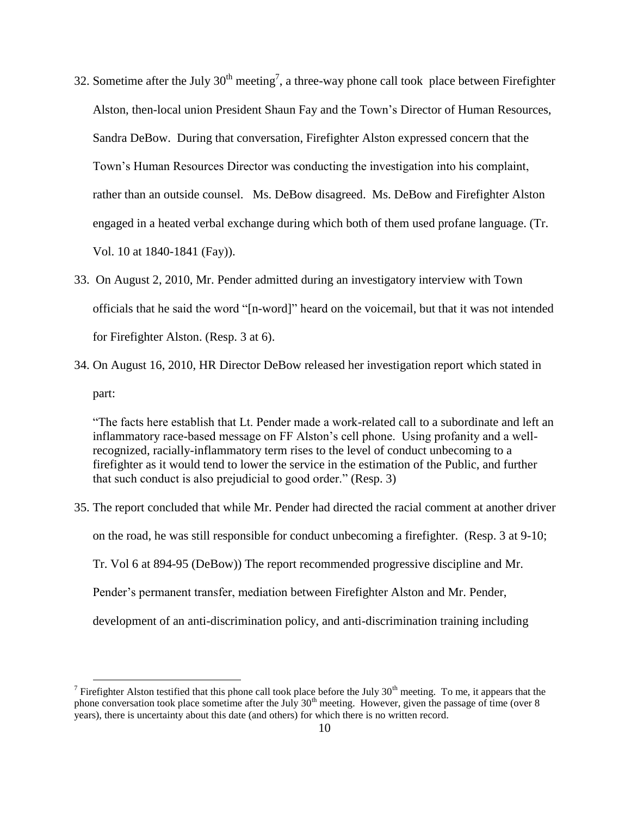- 32. Sometime after the July  $30<sup>th</sup>$  meeting<sup>7</sup>, a three-way phone call took place between Firefighter Alston, then-local union President Shaun Fay and the Town's Director of Human Resources, Sandra DeBow. During that conversation, Firefighter Alston expressed concern that the Town's Human Resources Director was conducting the investigation into his complaint, rather than an outside counsel. Ms. DeBow disagreed. Ms. DeBow and Firefighter Alston engaged in a heated verbal exchange during which both of them used profane language. (Tr. Vol. 10 at 1840-1841 (Fay)).
- 33. On August 2, 2010, Mr. Pender admitted during an investigatory interview with Town officials that he said the word "[n-word]" heard on the voicemail, but that it was not intended for Firefighter Alston. (Resp. 3 at 6).
- 34. On August 16, 2010, HR Director DeBow released her investigation report which stated in part:

"The facts here establish that Lt. Pender made a work-related call to a subordinate and left an inflammatory race-based message on FF Alston's cell phone. Using profanity and a wellrecognized, racially-inflammatory term rises to the level of conduct unbecoming to a firefighter as it would tend to lower the service in the estimation of the Public, and further that such conduct is also prejudicial to good order." (Resp. 3)

35. The report concluded that while Mr. Pender had directed the racial comment at another driver on the road, he was still responsible for conduct unbecoming a firefighter. (Resp. 3 at 9-10; Tr. Vol 6 at 894-95 (DeBow)) The report recommended progressive discipline and Mr. Pender's permanent transfer, mediation between Firefighter Alston and Mr. Pender, development of an anti-discrimination policy, and anti-discrimination training including

 $\overline{a}$ 

<sup>&</sup>lt;sup>7</sup> Firefighter Alston testified that this phone call took place before the July 30<sup>th</sup> meeting. To me, it appears that the phone conversation took place sometime after the July 30<sup>th</sup> meeting. However, given the passage of time (over 8 years), there is uncertainty about this date (and others) for which there is no written record.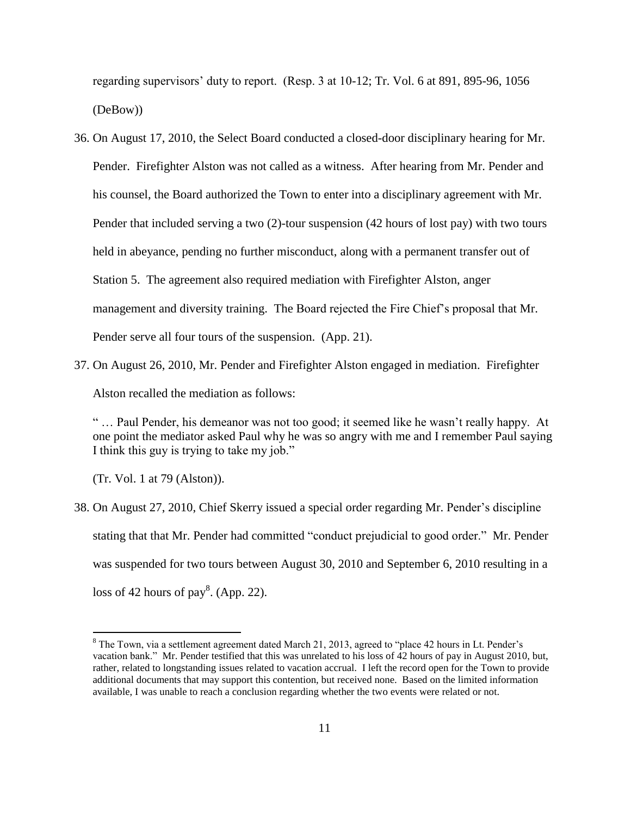regarding supervisors' duty to report. (Resp. 3 at 10-12; Tr. Vol. 6 at 891, 895-96, 1056 (DeBow))

- 36. On August 17, 2010, the Select Board conducted a closed-door disciplinary hearing for Mr. Pender. Firefighter Alston was not called as a witness. After hearing from Mr. Pender and his counsel, the Board authorized the Town to enter into a disciplinary agreement with Mr. Pender that included serving a two (2)-tour suspension (42 hours of lost pay) with two tours held in abeyance, pending no further misconduct, along with a permanent transfer out of Station 5. The agreement also required mediation with Firefighter Alston, anger management and diversity training. The Board rejected the Fire Chief's proposal that Mr. Pender serve all four tours of the suspension. (App. 21).
- 37. On August 26, 2010, Mr. Pender and Firefighter Alston engaged in mediation. Firefighter

Alston recalled the mediation as follows:

" … Paul Pender, his demeanor was not too good; it seemed like he wasn't really happy. At one point the mediator asked Paul why he was so angry with me and I remember Paul saying I think this guy is trying to take my job."

(Tr. Vol. 1 at 79 (Alston)).

 $\overline{a}$ 

38. On August 27, 2010, Chief Skerry issued a special order regarding Mr. Pender's discipline stating that that Mr. Pender had committed "conduct prejudicial to good order." Mr. Pender was suspended for two tours between August 30, 2010 and September 6, 2010 resulting in a loss of 42 hours of pay<sup>8</sup>. (App. 22).

<sup>8</sup> The Town, via a settlement agreement dated March 21, 2013, agreed to "place 42 hours in Lt. Pender's vacation bank." Mr. Pender testified that this was unrelated to his loss of 42 hours of pay in August 2010, but, rather, related to longstanding issues related to vacation accrual. I left the record open for the Town to provide additional documents that may support this contention, but received none. Based on the limited information available, I was unable to reach a conclusion regarding whether the two events were related or not.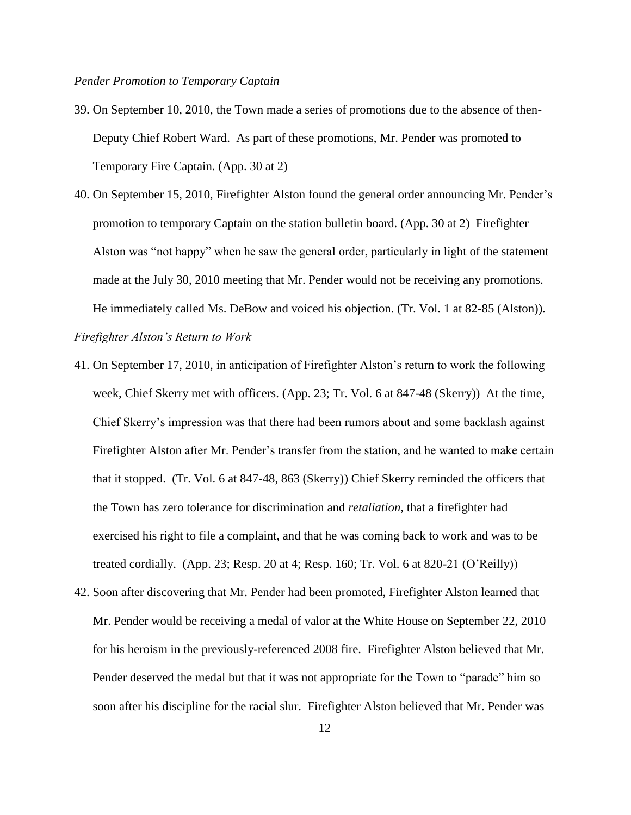#### *Pender Promotion to Temporary Captain*

- 39. On September 10, 2010, the Town made a series of promotions due to the absence of then-Deputy Chief Robert Ward. As part of these promotions, Mr. Pender was promoted to Temporary Fire Captain. (App. 30 at 2)
- 40. On September 15, 2010, Firefighter Alston found the general order announcing Mr. Pender's promotion to temporary Captain on the station bulletin board. (App. 30 at 2) Firefighter Alston was "not happy" when he saw the general order, particularly in light of the statement made at the July 30, 2010 meeting that Mr. Pender would not be receiving any promotions. He immediately called Ms. DeBow and voiced his objection. (Tr. Vol. 1 at 82-85 (Alston)). *Firefighter Alston's Return to Work*
- 41. On September 17, 2010, in anticipation of Firefighter Alston's return to work the following week, Chief Skerry met with officers. (App. 23; Tr. Vol. 6 at 847-48 (Skerry)) At the time, Chief Skerry's impression was that there had been rumors about and some backlash against Firefighter Alston after Mr. Pender's transfer from the station, and he wanted to make certain that it stopped. (Tr. Vol. 6 at 847-48, 863 (Skerry)) Chief Skerry reminded the officers that the Town has zero tolerance for discrimination and *retaliation*, that a firefighter had exercised his right to file a complaint, and that he was coming back to work and was to be treated cordially. (App. 23; Resp. 20 at 4; Resp. 160; Tr. Vol. 6 at 820-21 (O'Reilly))
- 42. Soon after discovering that Mr. Pender had been promoted, Firefighter Alston learned that Mr. Pender would be receiving a medal of valor at the White House on September 22, 2010 for his heroism in the previously-referenced 2008 fire. Firefighter Alston believed that Mr. Pender deserved the medal but that it was not appropriate for the Town to "parade" him so soon after his discipline for the racial slur. Firefighter Alston believed that Mr. Pender was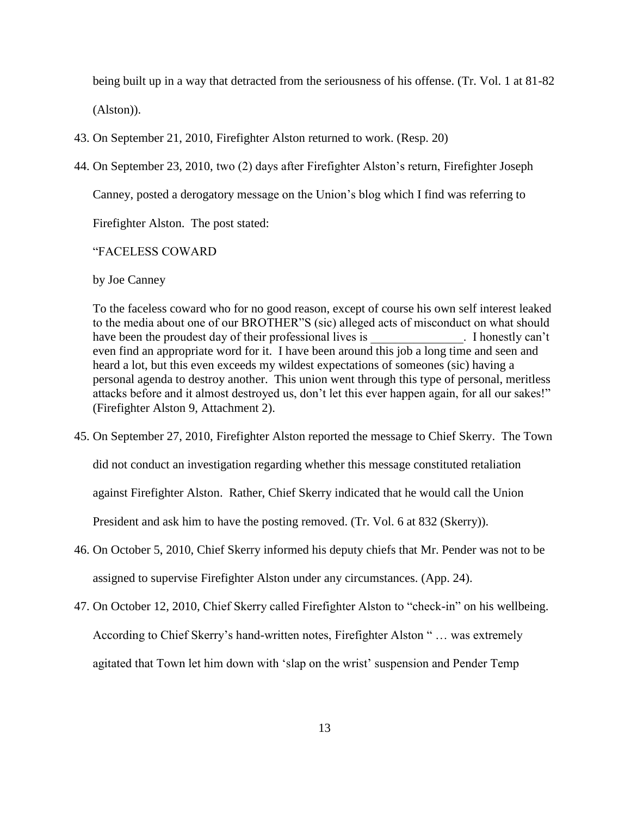being built up in a way that detracted from the seriousness of his offense. (Tr. Vol. 1 at 81-82 (Alston)).

- 43. On September 21, 2010, Firefighter Alston returned to work. (Resp. 20)
- 44. On September 23, 2010, two (2) days after Firefighter Alston's return, Firefighter Joseph

Canney, posted a derogatory message on the Union's blog which I find was referring to

Firefighter Alston. The post stated:

# "FACELESS COWARD

#### by Joe Canney

To the faceless coward who for no good reason, except of course his own self interest leaked to the media about one of our BROTHER"S (sic) alleged acts of misconduct on what should have been the proudest day of their professional lives is Thonestly can't even find an appropriate word for it. I have been around this job a long time and seen and heard a lot, but this even exceeds my wildest expectations of someones (sic) having a personal agenda to destroy another. This union went through this type of personal, meritless attacks before and it almost destroyed us, don't let this ever happen again, for all our sakes!" (Firefighter Alston 9, Attachment 2).

45. On September 27, 2010, Firefighter Alston reported the message to Chief Skerry. The Town did not conduct an investigation regarding whether this message constituted retaliation against Firefighter Alston. Rather, Chief Skerry indicated that he would call the Union

President and ask him to have the posting removed. (Tr. Vol. 6 at 832 (Skerry)).

- 46. On October 5, 2010, Chief Skerry informed his deputy chiefs that Mr. Pender was not to be assigned to supervise Firefighter Alston under any circumstances. (App. 24).
- 47. On October 12, 2010, Chief Skerry called Firefighter Alston to "check-in" on his wellbeing. According to Chief Skerry's hand-written notes, Firefighter Alston " … was extremely agitated that Town let him down with 'slap on the wrist' suspension and Pender Temp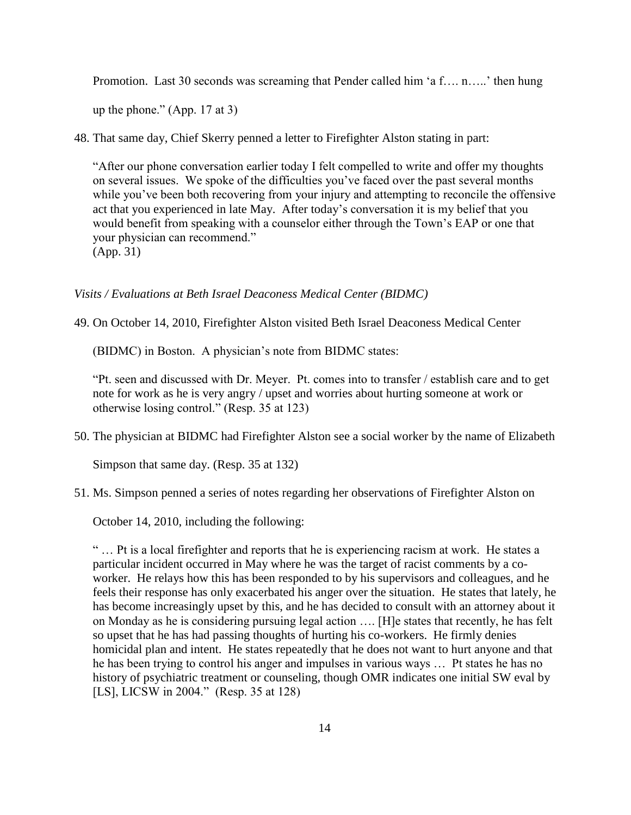Promotion. Last 30 seconds was screaming that Pender called him 'a f…. n…..' then hung

up the phone." (App. 17 at 3)

48. That same day, Chief Skerry penned a letter to Firefighter Alston stating in part:

"After our phone conversation earlier today I felt compelled to write and offer my thoughts on several issues. We spoke of the difficulties you've faced over the past several months while you've been both recovering from your injury and attempting to reconcile the offensive act that you experienced in late May. After today's conversation it is my belief that you would benefit from speaking with a counselor either through the Town's EAP or one that your physician can recommend." (App. 31)

## *Visits / Evaluations at Beth Israel Deaconess Medical Center (BIDMC)*

49. On October 14, 2010, Firefighter Alston visited Beth Israel Deaconess Medical Center

(BIDMC) in Boston. A physician's note from BIDMC states:

"Pt. seen and discussed with Dr. Meyer. Pt. comes into to transfer / establish care and to get note for work as he is very angry / upset and worries about hurting someone at work or otherwise losing control." (Resp. 35 at 123)

50. The physician at BIDMC had Firefighter Alston see a social worker by the name of Elizabeth

Simpson that same day. (Resp. 35 at 132)

51. Ms. Simpson penned a series of notes regarding her observations of Firefighter Alston on

October 14, 2010, including the following:

" … Pt is a local firefighter and reports that he is experiencing racism at work. He states a particular incident occurred in May where he was the target of racist comments by a coworker. He relays how this has been responded to by his supervisors and colleagues, and he feels their response has only exacerbated his anger over the situation. He states that lately, he has become increasingly upset by this, and he has decided to consult with an attorney about it on Monday as he is considering pursuing legal action …. [H]e states that recently, he has felt so upset that he has had passing thoughts of hurting his co-workers. He firmly denies homicidal plan and intent. He states repeatedly that he does not want to hurt anyone and that he has been trying to control his anger and impulses in various ways … Pt states he has no history of psychiatric treatment or counseling, though OMR indicates one initial SW eval by [LS], LICSW in 2004." (Resp. 35 at 128)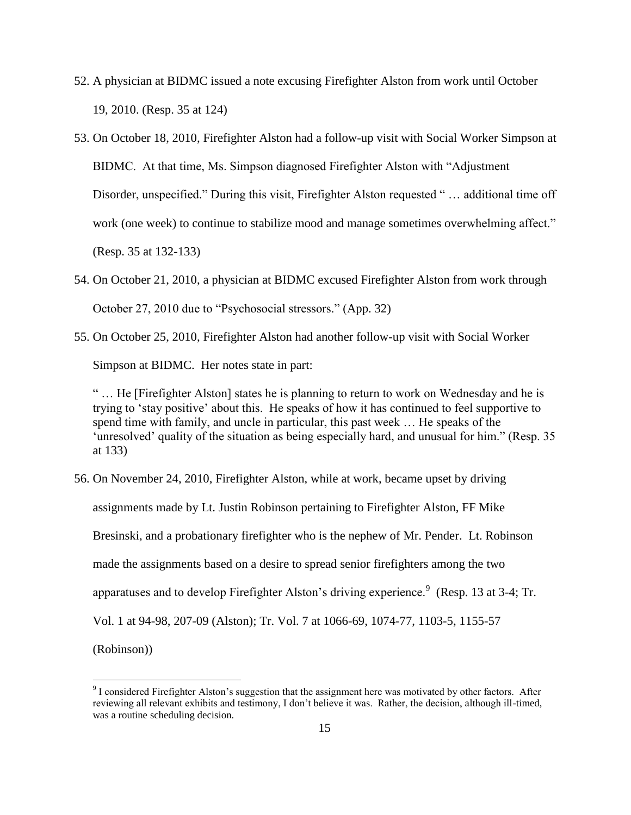- 52. A physician at BIDMC issued a note excusing Firefighter Alston from work until October 19, 2010. (Resp. 35 at 124)
- 53. On October 18, 2010, Firefighter Alston had a follow-up visit with Social Worker Simpson at BIDMC. At that time, Ms. Simpson diagnosed Firefighter Alston with "Adjustment Disorder, unspecified." During this visit, Firefighter Alston requested " … additional time off work (one week) to continue to stabilize mood and manage sometimes overwhelming affect." (Resp. 35 at 132-133)
- 54. On October 21, 2010, a physician at BIDMC excused Firefighter Alston from work through October 27, 2010 due to "Psychosocial stressors." (App. 32)
- 55. On October 25, 2010, Firefighter Alston had another follow-up visit with Social Worker Simpson at BIDMC. Her notes state in part:

" … He [Firefighter Alston] states he is planning to return to work on Wednesday and he is trying to 'stay positive' about this. He speaks of how it has continued to feel supportive to spend time with family, and uncle in particular, this past week … He speaks of the 'unresolved' quality of the situation as being especially hard, and unusual for him." (Resp. 35 at 133)

56. On November 24, 2010, Firefighter Alston, while at work, became upset by driving assignments made by Lt. Justin Robinson pertaining to Firefighter Alston, FF Mike Bresinski, and a probationary firefighter who is the nephew of Mr. Pender. Lt. Robinson made the assignments based on a desire to spread senior firefighters among the two apparatuses and to develop Firefighter Alston's driving experience.<sup>9</sup> (Resp. 13 at 3-4; Tr. Vol. 1 at 94-98, 207-09 (Alston); Tr. Vol. 7 at 1066-69, 1074-77, 1103-5, 1155-57 (Robinson))

 $\overline{a}$ 

<sup>&</sup>lt;sup>9</sup> I considered Firefighter Alston's suggestion that the assignment here was motivated by other factors. After reviewing all relevant exhibits and testimony, I don't believe it was. Rather, the decision, although ill-timed, was a routine scheduling decision.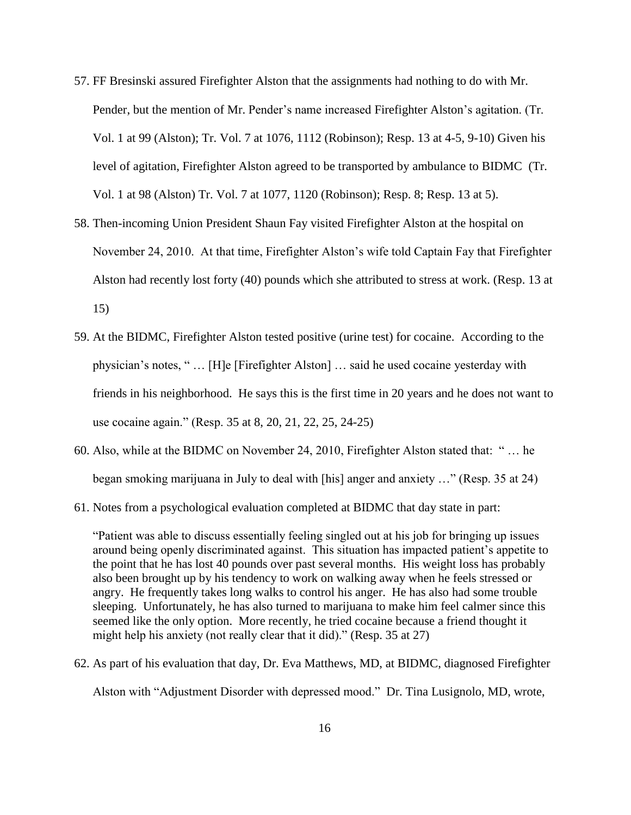- 57. FF Bresinski assured Firefighter Alston that the assignments had nothing to do with Mr. Pender, but the mention of Mr. Pender's name increased Firefighter Alston's agitation. (Tr. Vol. 1 at 99 (Alston); Tr. Vol. 7 at 1076, 1112 (Robinson); Resp. 13 at 4-5, 9-10) Given his level of agitation, Firefighter Alston agreed to be transported by ambulance to BIDMC (Tr. Vol. 1 at 98 (Alston) Tr. Vol. 7 at 1077, 1120 (Robinson); Resp. 8; Resp. 13 at 5).
- 58. Then-incoming Union President Shaun Fay visited Firefighter Alston at the hospital on November 24, 2010. At that time, Firefighter Alston's wife told Captain Fay that Firefighter Alston had recently lost forty (40) pounds which she attributed to stress at work. (Resp. 13 at 15)
- 59. At the BIDMC, Firefighter Alston tested positive (urine test) for cocaine. According to the physician's notes, " … [H]e [Firefighter Alston] … said he used cocaine yesterday with friends in his neighborhood. He says this is the first time in 20 years and he does not want to use cocaine again." (Resp. 35 at 8, 20, 21, 22, 25, 24-25)
- 60. Also, while at the BIDMC on November 24, 2010, Firefighter Alston stated that: " … he began smoking marijuana in July to deal with [his] anger and anxiety …" (Resp. 35 at 24)
- 61. Notes from a psychological evaluation completed at BIDMC that day state in part:

"Patient was able to discuss essentially feeling singled out at his job for bringing up issues around being openly discriminated against. This situation has impacted patient's appetite to the point that he has lost 40 pounds over past several months. His weight loss has probably also been brought up by his tendency to work on walking away when he feels stressed or angry. He frequently takes long walks to control his anger. He has also had some trouble sleeping. Unfortunately, he has also turned to marijuana to make him feel calmer since this seemed like the only option. More recently, he tried cocaine because a friend thought it might help his anxiety (not really clear that it did)." (Resp. 35 at 27)

62. As part of his evaluation that day, Dr. Eva Matthews, MD, at BIDMC, diagnosed Firefighter

Alston with "Adjustment Disorder with depressed mood." Dr. Tina Lusignolo, MD, wrote,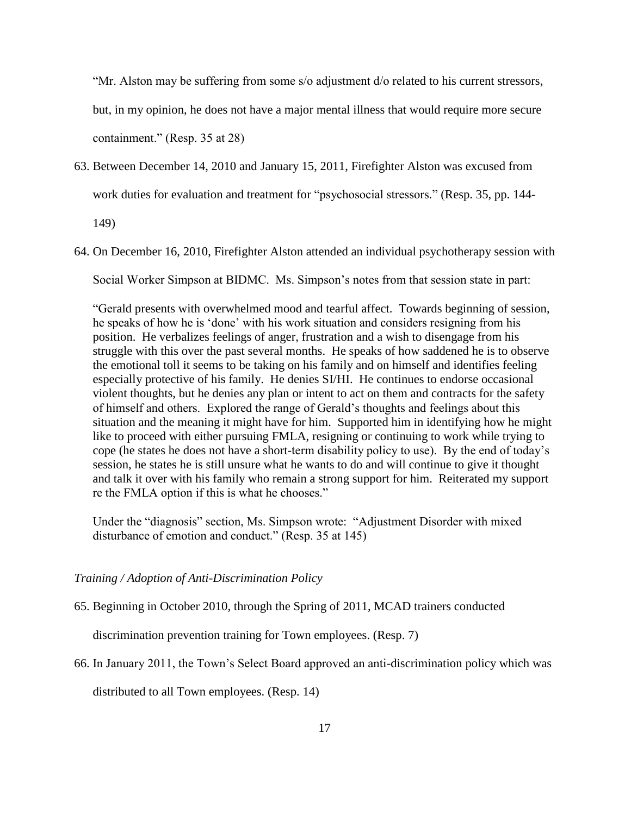"Mr. Alston may be suffering from some s/o adjustment d/o related to his current stressors, but, in my opinion, he does not have a major mental illness that would require more secure containment." (Resp. 35 at 28)

63. Between December 14, 2010 and January 15, 2011, Firefighter Alston was excused from work duties for evaluation and treatment for "psychosocial stressors." (Resp. 35, pp. 144-

149)

64. On December 16, 2010, Firefighter Alston attended an individual psychotherapy session with

Social Worker Simpson at BIDMC. Ms. Simpson's notes from that session state in part:

"Gerald presents with overwhelmed mood and tearful affect. Towards beginning of session, he speaks of how he is 'done' with his work situation and considers resigning from his position. He verbalizes feelings of anger, frustration and a wish to disengage from his struggle with this over the past several months. He speaks of how saddened he is to observe the emotional toll it seems to be taking on his family and on himself and identifies feeling especially protective of his family. He denies SI/HI. He continues to endorse occasional violent thoughts, but he denies any plan or intent to act on them and contracts for the safety of himself and others. Explored the range of Gerald's thoughts and feelings about this situation and the meaning it might have for him. Supported him in identifying how he might like to proceed with either pursuing FMLA, resigning or continuing to work while trying to cope (he states he does not have a short-term disability policy to use). By the end of today's session, he states he is still unsure what he wants to do and will continue to give it thought and talk it over with his family who remain a strong support for him. Reiterated my support re the FMLA option if this is what he chooses."

Under the "diagnosis" section, Ms. Simpson wrote: "Adjustment Disorder with mixed disturbance of emotion and conduct." (Resp. 35 at 145)

## *Training / Adoption of Anti-Discrimination Policy*

65. Beginning in October 2010, through the Spring of 2011, MCAD trainers conducted

discrimination prevention training for Town employees. (Resp. 7)

66. In January 2011, the Town's Select Board approved an anti-discrimination policy which was

distributed to all Town employees. (Resp. 14)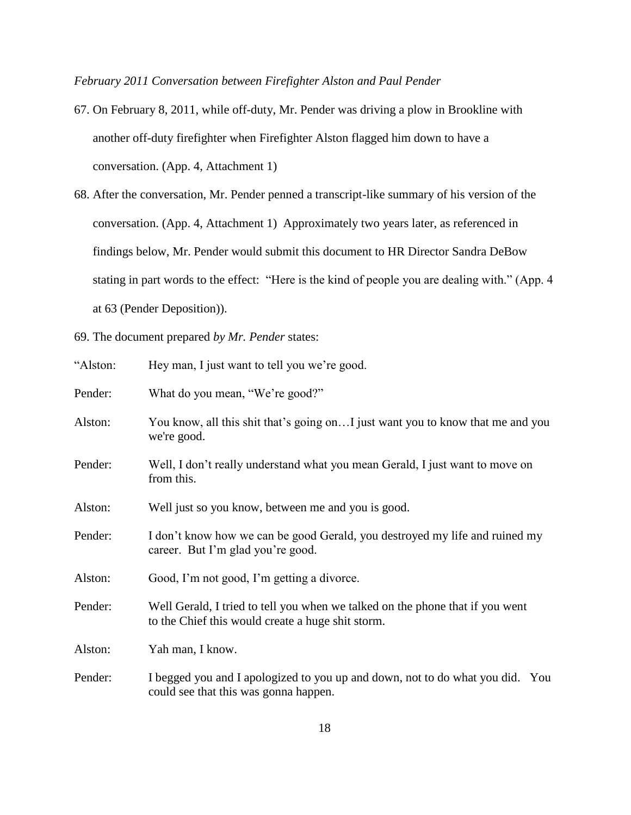*February 2011 Conversation between Firefighter Alston and Paul Pender*

- 67. On February 8, 2011, while off-duty, Mr. Pender was driving a plow in Brookline with another off-duty firefighter when Firefighter Alston flagged him down to have a conversation. (App. 4, Attachment 1)
- 68. After the conversation, Mr. Pender penned a transcript-like summary of his version of the conversation. (App. 4, Attachment 1) Approximately two years later, as referenced in findings below, Mr. Pender would submit this document to HR Director Sandra DeBow stating in part words to the effect: "Here is the kind of people you are dealing with." (App. 4 at 63 (Pender Deposition)).
- 69. The document prepared *by Mr. Pender* states:

| "Alston: | Hey man, I just want to tell you we're good.                                                                                       |
|----------|------------------------------------------------------------------------------------------------------------------------------------|
| Pender:  | What do you mean, "We're good?"                                                                                                    |
| Alston:  | You know, all this shit that's going on I just want you to know that me and you<br>we're good.                                     |
| Pender:  | Well, I don't really understand what you mean Gerald, I just want to move on<br>from this.                                         |
| Alston:  | Well just so you know, between me and you is good.                                                                                 |
| Pender:  | I don't know how we can be good Gerald, you destroyed my life and ruined my<br>career. But I'm glad you're good.                   |
| Alston:  | Good, I'm not good, I'm getting a divorce.                                                                                         |
| Pender:  | Well Gerald, I tried to tell you when we talked on the phone that if you went<br>to the Chief this would create a huge shit storm. |
| Alston:  | Yah man, I know.                                                                                                                   |
| Pender:  | I begged you and I apologized to you up and down, not to do what you did. You<br>could see that this was gonna happen.             |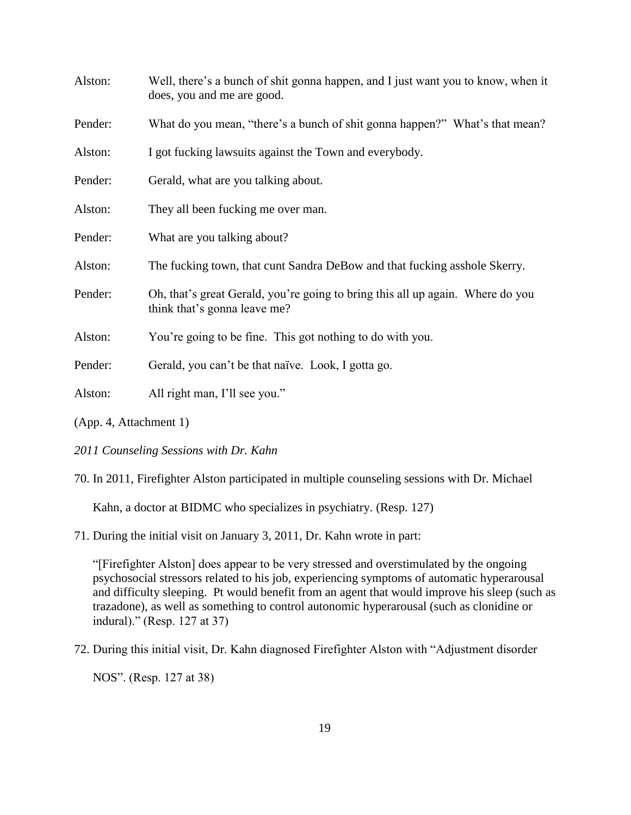| Alston: | Well, there's a bunch of shit gonna happen, and I just want you to know, when it<br>does, you and me are good. |
|---------|----------------------------------------------------------------------------------------------------------------|
| Pender: | What do you mean, "there's a bunch of shit gonna happen?" What's that mean?                                    |
| Alston: | I got fucking lawsuits against the Town and everybody.                                                         |
| Pender: | Gerald, what are you talking about.                                                                            |
| Alston: | They all been fucking me over man.                                                                             |
| Pender: | What are you talking about?                                                                                    |
| Alston: | The fucking town, that cunt Sandra DeBow and that fucking asshole Skerry.                                      |
| Pender: | Oh, that's great Gerald, you're going to bring this all up again. Where do you<br>think that's gonna leave me? |
| Alston: | You're going to be fine. This got nothing to do with you.                                                      |
| Pender: | Gerald, you can't be that naïve. Look, I gotta go.                                                             |
| Alston: | All right man, I'll see you."                                                                                  |
|         |                                                                                                                |

<sup>(</sup>App. 4, Attachment 1)

70. In 2011, Firefighter Alston participated in multiple counseling sessions with Dr. Michael

Kahn, a doctor at BIDMC who specializes in psychiatry. (Resp. 127)

71. During the initial visit on January 3, 2011, Dr. Kahn wrote in part:

"[Firefighter Alston] does appear to be very stressed and overstimulated by the ongoing psychosocial stressors related to his job, experiencing symptoms of automatic hyperarousal and difficulty sleeping. Pt would benefit from an agent that would improve his sleep (such as trazadone), as well as something to control autonomic hyperarousal (such as clonidine or indural)." (Resp. 127 at 37)

72. During this initial visit, Dr. Kahn diagnosed Firefighter Alston with "Adjustment disorder

NOS". (Resp. 127 at 38)

*<sup>2011</sup> Counseling Sessions with Dr. Kahn*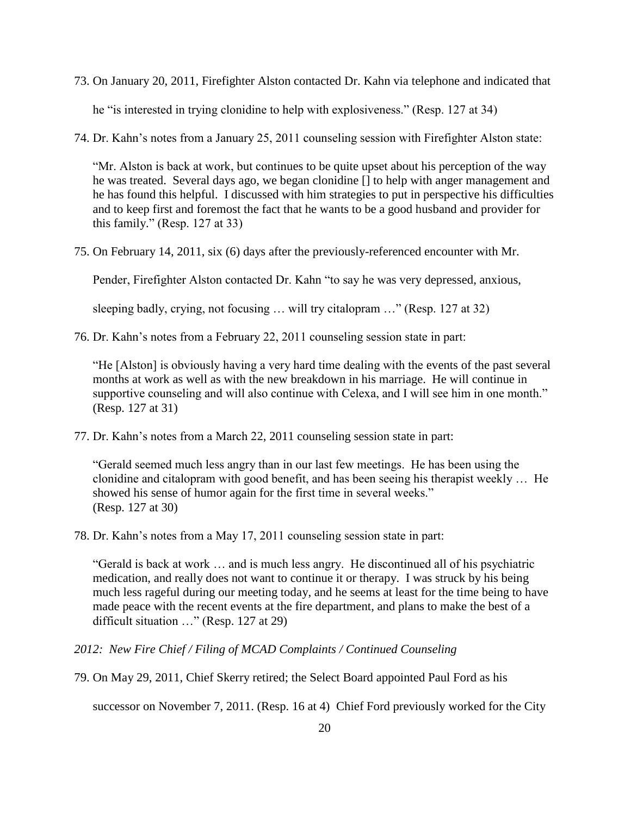73. On January 20, 2011, Firefighter Alston contacted Dr. Kahn via telephone and indicated that

he "is interested in trying clonidine to help with explosiveness." (Resp. 127 at 34)

74. Dr. Kahn's notes from a January 25, 2011 counseling session with Firefighter Alston state:

"Mr. Alston is back at work, but continues to be quite upset about his perception of the way he was treated. Several days ago, we began clonidine [] to help with anger management and he has found this helpful. I discussed with him strategies to put in perspective his difficulties and to keep first and foremost the fact that he wants to be a good husband and provider for this family." (Resp. 127 at 33)

75. On February 14, 2011, six (6) days after the previously-referenced encounter with Mr.

Pender, Firefighter Alston contacted Dr. Kahn "to say he was very depressed, anxious,

sleeping badly, crying, not focusing … will try citalopram …" (Resp. 127 at 32)

76. Dr. Kahn's notes from a February 22, 2011 counseling session state in part:

"He [Alston] is obviously having a very hard time dealing with the events of the past several months at work as well as with the new breakdown in his marriage. He will continue in supportive counseling and will also continue with Celexa, and I will see him in one month." (Resp. 127 at 31)

77. Dr. Kahn's notes from a March 22, 2011 counseling session state in part:

"Gerald seemed much less angry than in our last few meetings. He has been using the clonidine and citalopram with good benefit, and has been seeing his therapist weekly … He showed his sense of humor again for the first time in several weeks." (Resp. 127 at 30)

78. Dr. Kahn's notes from a May 17, 2011 counseling session state in part:

"Gerald is back at work … and is much less angry. He discontinued all of his psychiatric medication, and really does not want to continue it or therapy. I was struck by his being much less rageful during our meeting today, and he seems at least for the time being to have made peace with the recent events at the fire department, and plans to make the best of a difficult situation …" (Resp. 127 at 29)

*2012: New Fire Chief / Filing of MCAD Complaints / Continued Counseling*

79. On May 29, 2011, Chief Skerry retired; the Select Board appointed Paul Ford as his

successor on November 7, 2011. (Resp. 16 at 4) Chief Ford previously worked for the City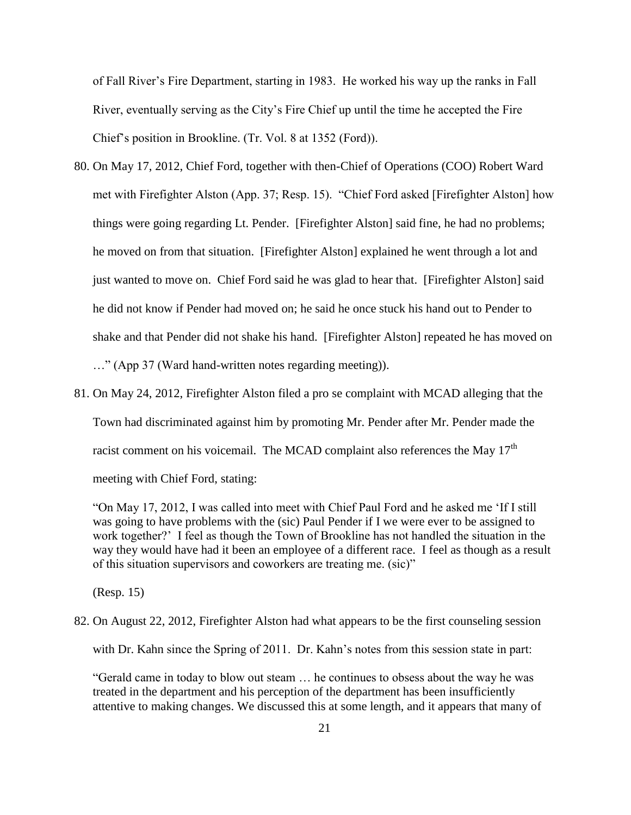of Fall River's Fire Department, starting in 1983. He worked his way up the ranks in Fall River, eventually serving as the City's Fire Chief up until the time he accepted the Fire Chief's position in Brookline. (Tr. Vol. 8 at 1352 (Ford)).

- 80. On May 17, 2012, Chief Ford, together with then-Chief of Operations (COO) Robert Ward met with Firefighter Alston (App. 37; Resp. 15). "Chief Ford asked [Firefighter Alston] how things were going regarding Lt. Pender. [Firefighter Alston] said fine, he had no problems; he moved on from that situation. [Firefighter Alston] explained he went through a lot and just wanted to move on. Chief Ford said he was glad to hear that. [Firefighter Alston] said he did not know if Pender had moved on; he said he once stuck his hand out to Pender to shake and that Pender did not shake his hand. [Firefighter Alston] repeated he has moved on …" (App 37 (Ward hand-written notes regarding meeting)).
- 81. On May 24, 2012, Firefighter Alston filed a pro se complaint with MCAD alleging that the Town had discriminated against him by promoting Mr. Pender after Mr. Pender made the racist comment on his voicemail. The MCAD complaint also references the May  $17<sup>th</sup>$ meeting with Chief Ford, stating:

"On May 17, 2012, I was called into meet with Chief Paul Ford and he asked me 'If I still was going to have problems with the (sic) Paul Pender if I we were ever to be assigned to work together?' I feel as though the Town of Brookline has not handled the situation in the way they would have had it been an employee of a different race. I feel as though as a result of this situation supervisors and coworkers are treating me. (sic)"

(Resp. 15)

82. On August 22, 2012, Firefighter Alston had what appears to be the first counseling session

with Dr. Kahn since the Spring of 2011. Dr. Kahn's notes from this session state in part:

"Gerald came in today to blow out steam … he continues to obsess about the way he was treated in the department and his perception of the department has been insufficiently attentive to making changes. We discussed this at some length, and it appears that many of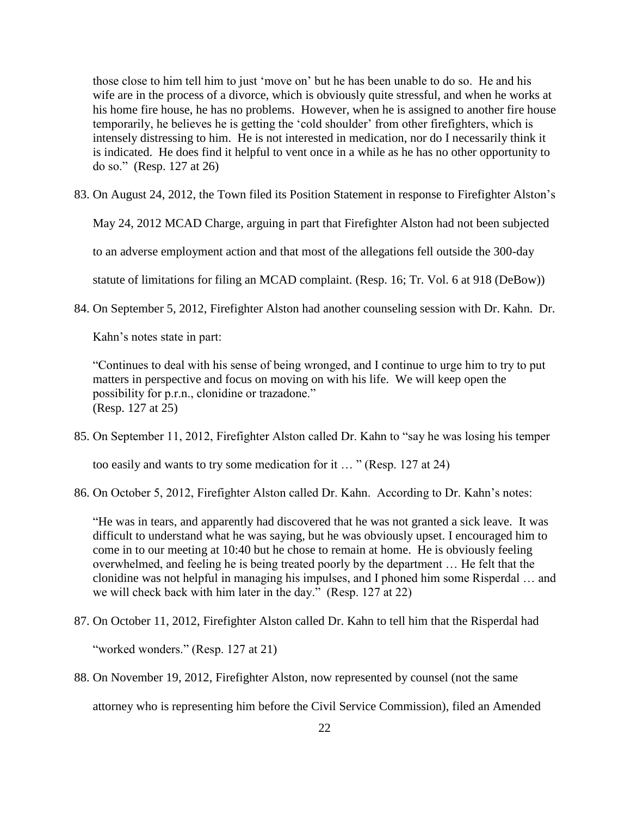those close to him tell him to just 'move on' but he has been unable to do so. He and his wife are in the process of a divorce, which is obviously quite stressful, and when he works at his home fire house, he has no problems. However, when he is assigned to another fire house temporarily, he believes he is getting the 'cold shoulder' from other firefighters, which is intensely distressing to him. He is not interested in medication, nor do I necessarily think it is indicated. He does find it helpful to vent once in a while as he has no other opportunity to do so." (Resp. 127 at 26)

83. On August 24, 2012, the Town filed its Position Statement in response to Firefighter Alston's

May 24, 2012 MCAD Charge, arguing in part that Firefighter Alston had not been subjected

to an adverse employment action and that most of the allegations fell outside the 300-day

statute of limitations for filing an MCAD complaint. (Resp. 16; Tr. Vol. 6 at 918 (DeBow))

84. On September 5, 2012, Firefighter Alston had another counseling session with Dr. Kahn. Dr.

Kahn's notes state in part:

"Continues to deal with his sense of being wronged, and I continue to urge him to try to put matters in perspective and focus on moving on with his life. We will keep open the possibility for p.r.n., clonidine or trazadone." (Resp. 127 at 25)

85. On September 11, 2012, Firefighter Alston called Dr. Kahn to "say he was losing his temper

too easily and wants to try some medication for it … " (Resp. 127 at 24)

86. On October 5, 2012, Firefighter Alston called Dr. Kahn. According to Dr. Kahn's notes:

"He was in tears, and apparently had discovered that he was not granted a sick leave. It was difficult to understand what he was saying, but he was obviously upset. I encouraged him to come in to our meeting at 10:40 but he chose to remain at home. He is obviously feeling overwhelmed, and feeling he is being treated poorly by the department … He felt that the clonidine was not helpful in managing his impulses, and I phoned him some Risperdal … and we will check back with him later in the day." (Resp. 127 at 22)

87. On October 11, 2012, Firefighter Alston called Dr. Kahn to tell him that the Risperdal had

"worked wonders." (Resp. 127 at 21)

88. On November 19, 2012, Firefighter Alston, now represented by counsel (not the same

attorney who is representing him before the Civil Service Commission), filed an Amended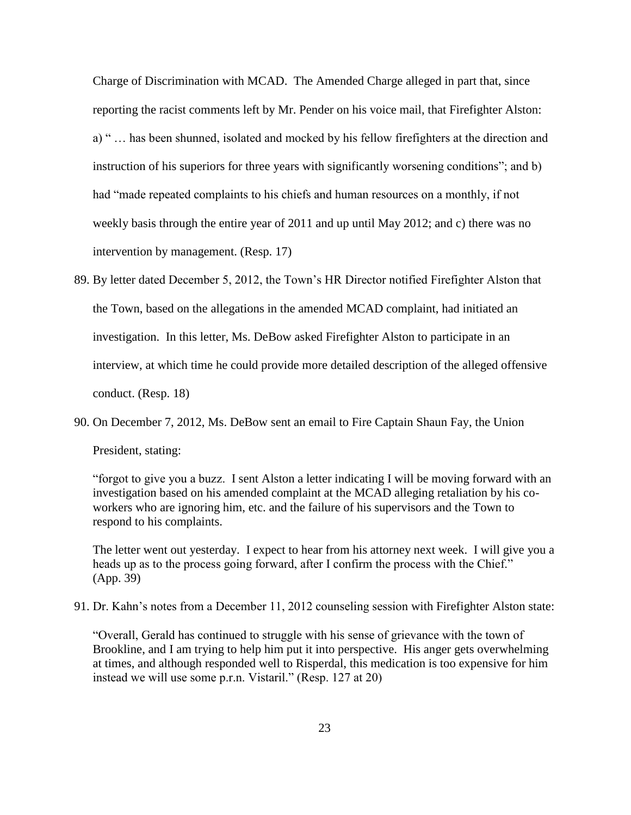Charge of Discrimination with MCAD. The Amended Charge alleged in part that, since reporting the racist comments left by Mr. Pender on his voice mail, that Firefighter Alston: a) " … has been shunned, isolated and mocked by his fellow firefighters at the direction and instruction of his superiors for three years with significantly worsening conditions"; and b) had "made repeated complaints to his chiefs and human resources on a monthly, if not weekly basis through the entire year of 2011 and up until May 2012; and c) there was no intervention by management. (Resp. 17)

- 89. By letter dated December 5, 2012, the Town's HR Director notified Firefighter Alston that the Town, based on the allegations in the amended MCAD complaint, had initiated an investigation. In this letter, Ms. DeBow asked Firefighter Alston to participate in an interview, at which time he could provide more detailed description of the alleged offensive conduct. (Resp. 18)
- 90. On December 7, 2012, Ms. DeBow sent an email to Fire Captain Shaun Fay, the Union President, stating:

"forgot to give you a buzz. I sent Alston a letter indicating I will be moving forward with an investigation based on his amended complaint at the MCAD alleging retaliation by his coworkers who are ignoring him, etc. and the failure of his supervisors and the Town to respond to his complaints.

The letter went out yesterday. I expect to hear from his attorney next week. I will give you a heads up as to the process going forward, after I confirm the process with the Chief." (App. 39)

91. Dr. Kahn's notes from a December 11, 2012 counseling session with Firefighter Alston state:

"Overall, Gerald has continued to struggle with his sense of grievance with the town of Brookline, and I am trying to help him put it into perspective. His anger gets overwhelming at times, and although responded well to Risperdal, this medication is too expensive for him instead we will use some p.r.n. Vistaril." (Resp. 127 at 20)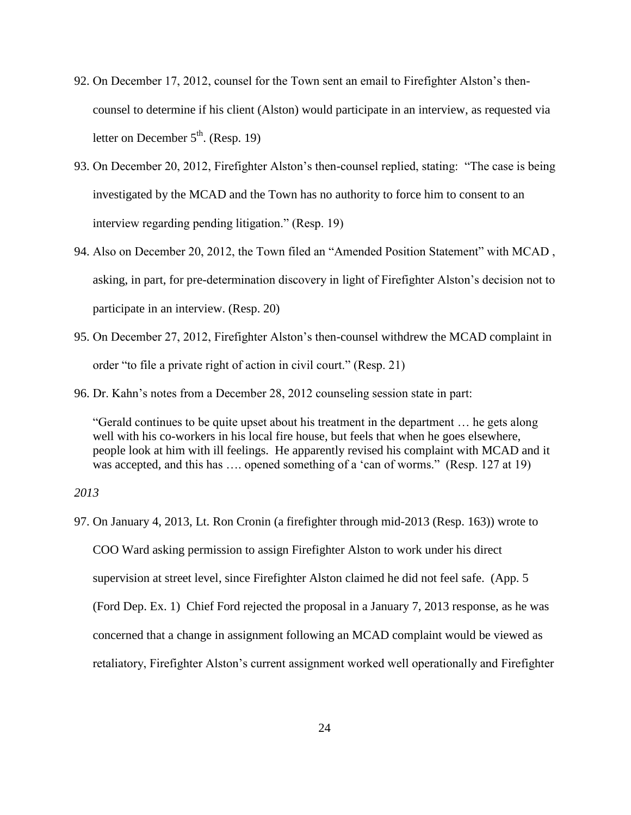- 92. On December 17, 2012, counsel for the Town sent an email to Firefighter Alston's thencounsel to determine if his client (Alston) would participate in an interview, as requested via letter on December  $5<sup>th</sup>$ . (Resp. 19)
- 93. On December 20, 2012, Firefighter Alston's then-counsel replied, stating: "The case is being investigated by the MCAD and the Town has no authority to force him to consent to an interview regarding pending litigation." (Resp. 19)
- 94. Also on December 20, 2012, the Town filed an "Amended Position Statement" with MCAD , asking, in part, for pre-determination discovery in light of Firefighter Alston's decision not to participate in an interview. (Resp. 20)
- 95. On December 27, 2012, Firefighter Alston's then-counsel withdrew the MCAD complaint in order "to file a private right of action in civil court." (Resp. 21)
- 96. Dr. Kahn's notes from a December 28, 2012 counseling session state in part:

"Gerald continues to be quite upset about his treatment in the department … he gets along well with his co-workers in his local fire house, but feels that when he goes elsewhere, people look at him with ill feelings. He apparently revised his complaint with MCAD and it was accepted, and this has ..., opened something of a 'can of worms." (Resp. 127 at 19)

*2013*

97. On January 4, 2013, Lt. Ron Cronin (a firefighter through mid-2013 (Resp. 163)) wrote to COO Ward asking permission to assign Firefighter Alston to work under his direct supervision at street level, since Firefighter Alston claimed he did not feel safe. (App. 5 (Ford Dep. Ex. 1) Chief Ford rejected the proposal in a January 7, 2013 response, as he was concerned that a change in assignment following an MCAD complaint would be viewed as retaliatory, Firefighter Alston's current assignment worked well operationally and Firefighter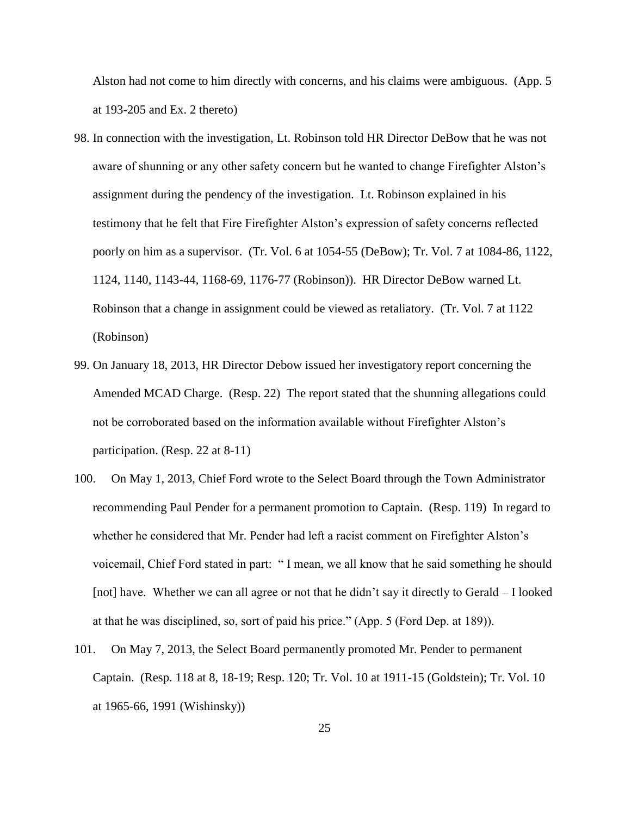Alston had not come to him directly with concerns, and his claims were ambiguous. (App. 5 at 193-205 and Ex. 2 thereto)

- 98. In connection with the investigation, Lt. Robinson told HR Director DeBow that he was not aware of shunning or any other safety concern but he wanted to change Firefighter Alston's assignment during the pendency of the investigation. Lt. Robinson explained in his testimony that he felt that Fire Firefighter Alston's expression of safety concerns reflected poorly on him as a supervisor. (Tr. Vol. 6 at 1054-55 (DeBow); Tr. Vol. 7 at 1084-86, 1122, 1124, 1140, 1143-44, 1168-69, 1176-77 (Robinson)). HR Director DeBow warned Lt. Robinson that a change in assignment could be viewed as retaliatory. (Tr. Vol. 7 at 1122 (Robinson)
- 99. On January 18, 2013, HR Director Debow issued her investigatory report concerning the Amended MCAD Charge. (Resp. 22) The report stated that the shunning allegations could not be corroborated based on the information available without Firefighter Alston's participation. (Resp. 22 at 8-11)
- 100. On May 1, 2013, Chief Ford wrote to the Select Board through the Town Administrator recommending Paul Pender for a permanent promotion to Captain. (Resp. 119) In regard to whether he considered that Mr. Pender had left a racist comment on Firefighter Alston's voicemail, Chief Ford stated in part: " I mean, we all know that he said something he should [not] have. Whether we can all agree or not that he didn't say it directly to Gerald – I looked at that he was disciplined, so, sort of paid his price." (App. 5 (Ford Dep. at 189)).
- 101. On May 7, 2013, the Select Board permanently promoted Mr. Pender to permanent Captain. (Resp. 118 at 8, 18-19; Resp. 120; Tr. Vol. 10 at 1911-15 (Goldstein); Tr. Vol. 10 at 1965-66, 1991 (Wishinsky))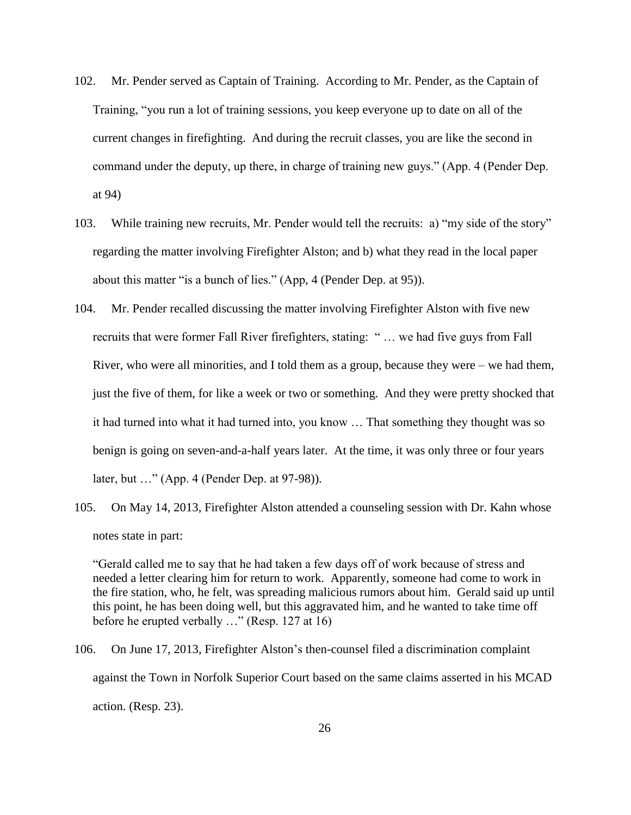- 102. Mr. Pender served as Captain of Training. According to Mr. Pender, as the Captain of Training, "you run a lot of training sessions, you keep everyone up to date on all of the current changes in firefighting. And during the recruit classes, you are like the second in command under the deputy, up there, in charge of training new guys." (App. 4 (Pender Dep. at 94)
- 103. While training new recruits, Mr. Pender would tell the recruits: a) "my side of the story" regarding the matter involving Firefighter Alston; and b) what they read in the local paper about this matter "is a bunch of lies." (App, 4 (Pender Dep. at 95)).
- 104. Mr. Pender recalled discussing the matter involving Firefighter Alston with five new recruits that were former Fall River firefighters, stating: " … we had five guys from Fall River, who were all minorities, and I told them as a group, because they were – we had them, just the five of them, for like a week or two or something. And they were pretty shocked that it had turned into what it had turned into, you know … That something they thought was so benign is going on seven-and-a-half years later. At the time, it was only three or four years later, but …" (App. 4 (Pender Dep. at 97-98)).
- 105. On May 14, 2013, Firefighter Alston attended a counseling session with Dr. Kahn whose notes state in part:

"Gerald called me to say that he had taken a few days off of work because of stress and needed a letter clearing him for return to work. Apparently, someone had come to work in the fire station, who, he felt, was spreading malicious rumors about him. Gerald said up until this point, he has been doing well, but this aggravated him, and he wanted to take time off before he erupted verbally …" (Resp. 127 at 16)

106. On June 17, 2013, Firefighter Alston's then-counsel filed a discrimination complaint against the Town in Norfolk Superior Court based on the same claims asserted in his MCAD action. (Resp. 23).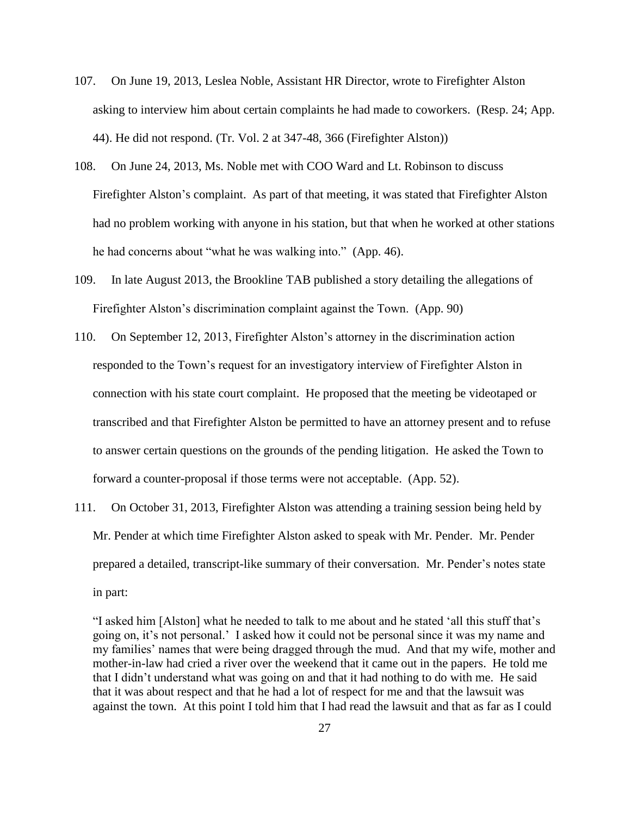- 107. On June 19, 2013, Leslea Noble, Assistant HR Director, wrote to Firefighter Alston asking to interview him about certain complaints he had made to coworkers. (Resp. 24; App. 44). He did not respond. (Tr. Vol. 2 at 347-48, 366 (Firefighter Alston))
- 108. On June 24, 2013, Ms. Noble met with COO Ward and Lt. Robinson to discuss Firefighter Alston's complaint. As part of that meeting, it was stated that Firefighter Alston had no problem working with anyone in his station, but that when he worked at other stations he had concerns about "what he was walking into." (App. 46).
- 109. In late August 2013, the Brookline TAB published a story detailing the allegations of Firefighter Alston's discrimination complaint against the Town. (App. 90)
- 110. On September 12, 2013, Firefighter Alston's attorney in the discrimination action responded to the Town's request for an investigatory interview of Firefighter Alston in connection with his state court complaint. He proposed that the meeting be videotaped or transcribed and that Firefighter Alston be permitted to have an attorney present and to refuse to answer certain questions on the grounds of the pending litigation. He asked the Town to forward a counter-proposal if those terms were not acceptable. (App. 52).
- 111. On October 31, 2013, Firefighter Alston was attending a training session being held by Mr. Pender at which time Firefighter Alston asked to speak with Mr. Pender. Mr. Pender prepared a detailed, transcript-like summary of their conversation. Mr. Pender's notes state in part:

<sup>&</sup>quot;I asked him [Alston] what he needed to talk to me about and he stated 'all this stuff that's going on, it's not personal.' I asked how it could not be personal since it was my name and my families' names that were being dragged through the mud. And that my wife, mother and mother-in-law had cried a river over the weekend that it came out in the papers. He told me that I didn't understand what was going on and that it had nothing to do with me. He said that it was about respect and that he had a lot of respect for me and that the lawsuit was against the town. At this point I told him that I had read the lawsuit and that as far as I could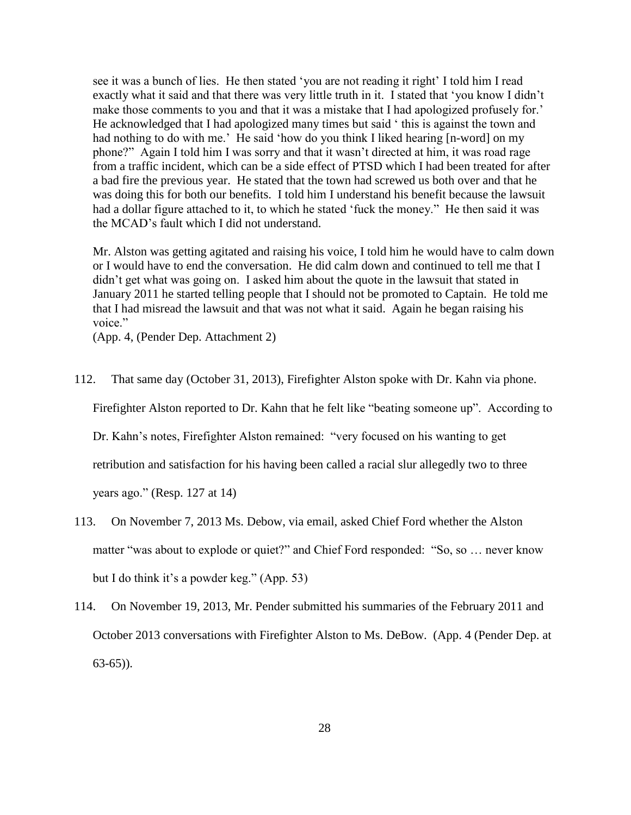see it was a bunch of lies. He then stated 'you are not reading it right' I told him I read exactly what it said and that there was very little truth in it. I stated that 'you know I didn't make those comments to you and that it was a mistake that I had apologized profusely for.' He acknowledged that I had apologized many times but said ' this is against the town and had nothing to do with me.' He said 'how do you think I liked hearing [n-word] on my phone?" Again I told him I was sorry and that it wasn't directed at him, it was road rage from a traffic incident, which can be a side effect of PTSD which I had been treated for after a bad fire the previous year. He stated that the town had screwed us both over and that he was doing this for both our benefits. I told him I understand his benefit because the lawsuit had a dollar figure attached to it, to which he stated 'fuck the money." He then said it was the MCAD's fault which I did not understand.

Mr. Alston was getting agitated and raising his voice, I told him he would have to calm down or I would have to end the conversation. He did calm down and continued to tell me that I didn't get what was going on. I asked him about the quote in the lawsuit that stated in January 2011 he started telling people that I should not be promoted to Captain. He told me that I had misread the lawsuit and that was not what it said. Again he began raising his voice."

(App. 4, (Pender Dep. Attachment 2)

112. That same day (October 31, 2013), Firefighter Alston spoke with Dr. Kahn via phone. Firefighter Alston reported to Dr. Kahn that he felt like "beating someone up". According to Dr. Kahn's notes, Firefighter Alston remained: "very focused on his wanting to get retribution and satisfaction for his having been called a racial slur allegedly two to three

years ago." (Resp. 127 at 14)

- 113. On November 7, 2013 Ms. Debow, via email, asked Chief Ford whether the Alston matter "was about to explode or quiet?" and Chief Ford responded: "So, so ... never know but I do think it's a powder keg." (App. 53)
- 114. On November 19, 2013, Mr. Pender submitted his summaries of the February 2011 and October 2013 conversations with Firefighter Alston to Ms. DeBow. (App. 4 (Pender Dep. at 63-65)).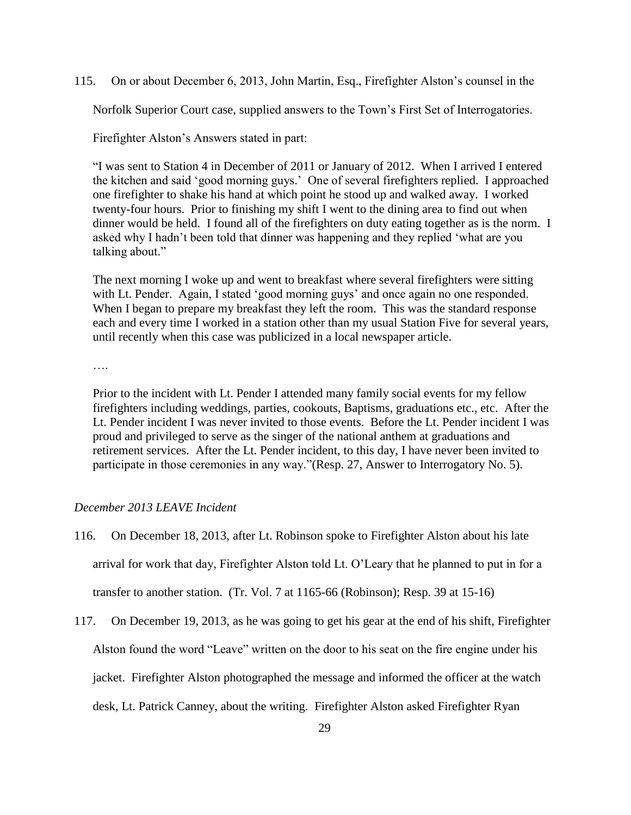115. On or about December 6, 2013, John Martin, Esq., Firefighter Alston's counsel in the

Norfolk Superior Court case, supplied answers to the Town's First Set of Interrogatories.

Firefighter Alston's Answers stated in part:

"I was sent to Station 4 in December of 2011 or January of 2012. When I arrived I entered the kitchen and said 'good morning guys.' One of several firefighters replied. I approached one firefighter to shake his hand at which point he stood up and walked away. I worked twenty-four hours. Prior to finishing my shift I went to the dining area to find out when dinner would be held. I found all of the firefighters on duty eating together as is the norm. I asked why I hadn't been told that dinner was happening and they replied 'what are you talking about."

The next morning I woke up and went to breakfast where several firefighters were sitting with Lt. Pender. Again, I stated 'good morning guys' and once again no one responded. When I began to prepare my breakfast they left the room. This was the standard response each and every time I worked in a station other than my usual Station Five for several years, until recently when this case was publicized in a local newspaper article.

….

Prior to the incident with Lt. Pender I attended many family social events for my fellow firefighters including weddings, parties, cookouts, Baptisms, graduations etc., etc. After the Lt. Pender incident I was never invited to those events. Before the Lt. Pender incident I was proud and privileged to serve as the singer of the national anthem at graduations and retirement services. After the Lt. Pender incident, to this day, I have never been invited to participate in those ceremonies in any way."(Resp. 27, Answer to Interrogatory No. 5).

## *December 2013 LEAVE Incident*

- 116. On December 18, 2013, after Lt. Robinson spoke to Firefighter Alston about his late arrival for work that day, Firefighter Alston told Lt. O'Leary that he planned to put in for a transfer to another station. (Tr. Vol. 7 at 1165-66 (Robinson); Resp. 39 at 15-16)
- 117. On December 19, 2013, as he was going to get his gear at the end of his shift, Firefighter Alston found the word "Leave" written on the door to his seat on the fire engine under his jacket. Firefighter Alston photographed the message and informed the officer at the watch desk, Lt. Patrick Canney, about the writing. Firefighter Alston asked Firefighter Ryan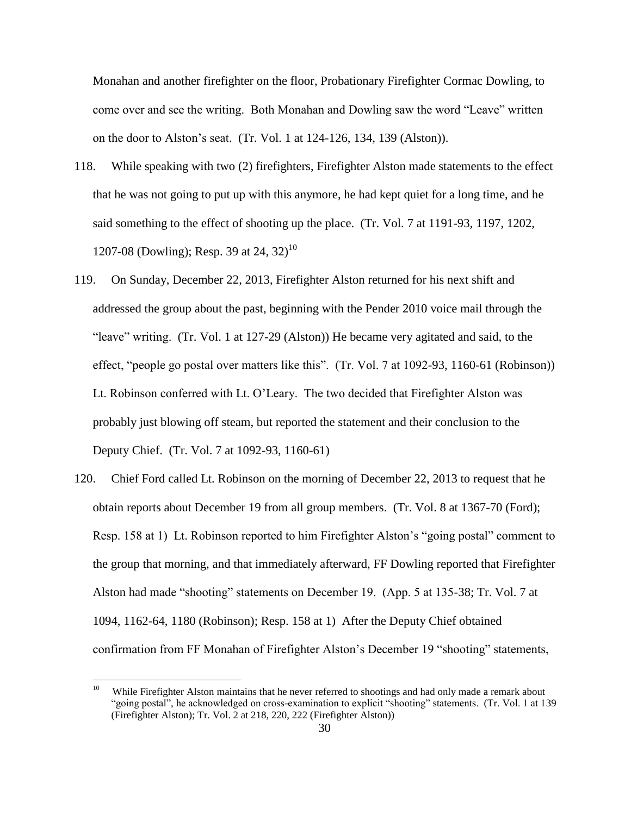Monahan and another firefighter on the floor, Probationary Firefighter Cormac Dowling, to come over and see the writing. Both Monahan and Dowling saw the word "Leave" written on the door to Alston's seat. (Tr. Vol. 1 at 124-126, 134, 139 (Alston)).

- 118. While speaking with two (2) firefighters, Firefighter Alston made statements to the effect that he was not going to put up with this anymore, he had kept quiet for a long time, and he said something to the effect of shooting up the place. (Tr. Vol. 7 at 1191-93, 1197, 1202, 1207-08 (Dowling); Resp. 39 at 24, 32)<sup>10</sup>
- 119. On Sunday, December 22, 2013, Firefighter Alston returned for his next shift and addressed the group about the past, beginning with the Pender 2010 voice mail through the "leave" writing. (Tr. Vol. 1 at 127-29 (Alston)) He became very agitated and said, to the effect, "people go postal over matters like this". (Tr. Vol. 7 at 1092-93, 1160-61 (Robinson)) Lt. Robinson conferred with Lt. O'Leary. The two decided that Firefighter Alston was probably just blowing off steam, but reported the statement and their conclusion to the Deputy Chief. (Tr. Vol. 7 at 1092-93, 1160-61)
- 120. Chief Ford called Lt. Robinson on the morning of December 22, 2013 to request that he obtain reports about December 19 from all group members. (Tr. Vol. 8 at 1367-70 (Ford); Resp. 158 at 1) Lt. Robinson reported to him Firefighter Alston's "going postal" comment to the group that morning, and that immediately afterward, FF Dowling reported that Firefighter Alston had made "shooting" statements on December 19. (App. 5 at 135-38; Tr. Vol. 7 at 1094, 1162-64, 1180 (Robinson); Resp. 158 at 1) After the Deputy Chief obtained confirmation from FF Monahan of Firefighter Alston's December 19 "shooting" statements,

<sup>&</sup>lt;sup>10</sup> While Firefighter Alston maintains that he never referred to shootings and had only made a remark about "going postal", he acknowledged on cross-examination to explicit "shooting" statements. (Tr. Vol. 1 at 139 (Firefighter Alston); Tr. Vol. 2 at 218, 220, 222 (Firefighter Alston))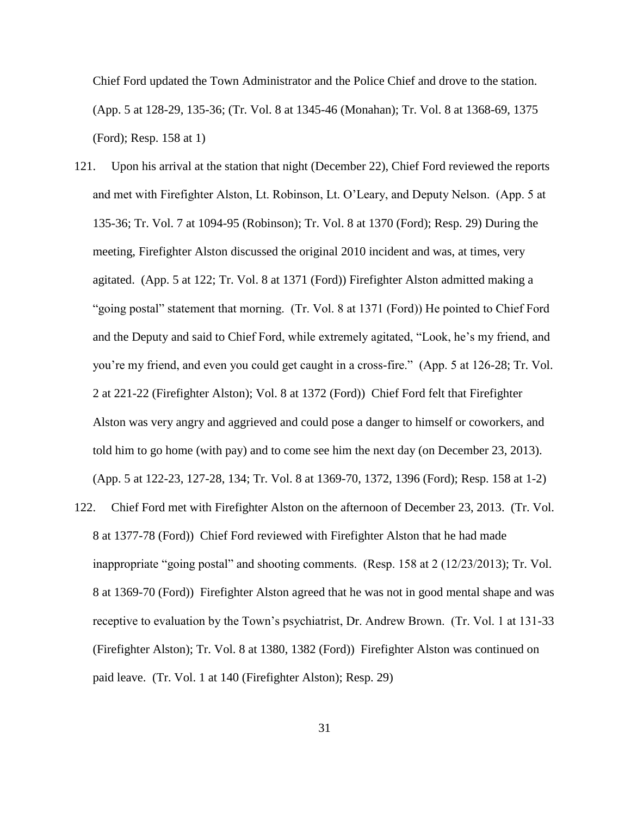Chief Ford updated the Town Administrator and the Police Chief and drove to the station. (App. 5 at 128-29, 135-36; (Tr. Vol. 8 at 1345-46 (Monahan); Tr. Vol. 8 at 1368-69, 1375 (Ford); Resp. 158 at 1)

- 121. Upon his arrival at the station that night (December 22), Chief Ford reviewed the reports and met with Firefighter Alston, Lt. Robinson, Lt. O'Leary, and Deputy Nelson. (App. 5 at 135-36; Tr. Vol. 7 at 1094-95 (Robinson); Tr. Vol. 8 at 1370 (Ford); Resp. 29) During the meeting, Firefighter Alston discussed the original 2010 incident and was, at times, very agitated. (App. 5 at 122; Tr. Vol. 8 at 1371 (Ford)) Firefighter Alston admitted making a "going postal" statement that morning. (Tr. Vol. 8 at 1371 (Ford)) He pointed to Chief Ford and the Deputy and said to Chief Ford, while extremely agitated, "Look, he's my friend, and you're my friend, and even you could get caught in a cross-fire." (App. 5 at 126-28; Tr. Vol. 2 at 221-22 (Firefighter Alston); Vol. 8 at 1372 (Ford)) Chief Ford felt that Firefighter Alston was very angry and aggrieved and could pose a danger to himself or coworkers, and told him to go home (with pay) and to come see him the next day (on December 23, 2013). (App. 5 at 122-23, 127-28, 134; Tr. Vol. 8 at 1369-70, 1372, 1396 (Ford); Resp. 158 at 1-2)
- 122. Chief Ford met with Firefighter Alston on the afternoon of December 23, 2013. (Tr. Vol. 8 at 1377-78 (Ford)) Chief Ford reviewed with Firefighter Alston that he had made inappropriate "going postal" and shooting comments. (Resp. 158 at 2 (12/23/2013); Tr. Vol. 8 at 1369-70 (Ford)) Firefighter Alston agreed that he was not in good mental shape and was receptive to evaluation by the Town's psychiatrist, Dr. Andrew Brown. (Tr. Vol. 1 at 131-33 (Firefighter Alston); Tr. Vol. 8 at 1380, 1382 (Ford)) Firefighter Alston was continued on paid leave. (Tr. Vol. 1 at 140 (Firefighter Alston); Resp. 29)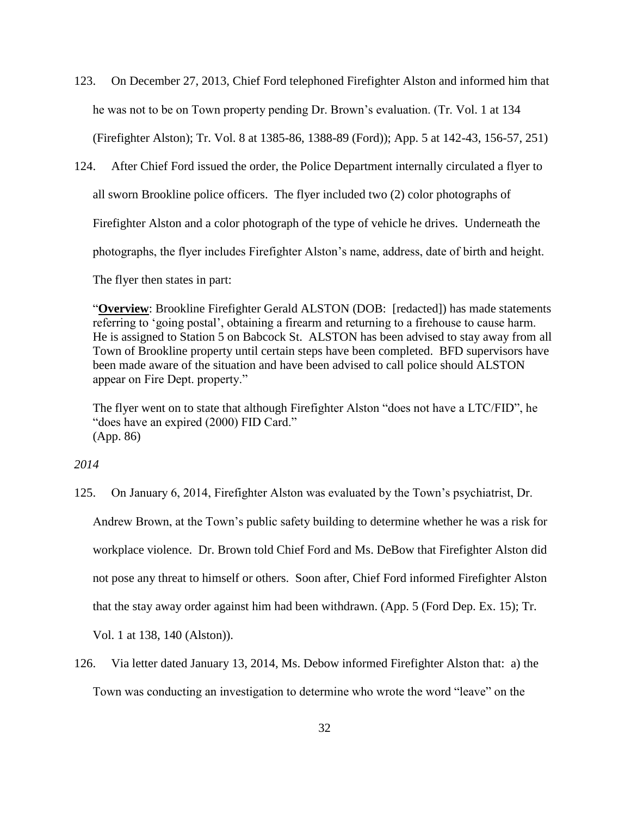- 123. On December 27, 2013, Chief Ford telephoned Firefighter Alston and informed him that he was not to be on Town property pending Dr. Brown's evaluation. (Tr. Vol. 1 at 134 (Firefighter Alston); Tr. Vol. 8 at 1385-86, 1388-89 (Ford)); App. 5 at 142-43, 156-57, 251)
- 124. After Chief Ford issued the order, the Police Department internally circulated a flyer to all sworn Brookline police officers. The flyer included two (2) color photographs of Firefighter Alston and a color photograph of the type of vehicle he drives. Underneath the photographs, the flyer includes Firefighter Alston's name, address, date of birth and height.

The flyer then states in part:

"**Overview**: Brookline Firefighter Gerald ALSTON (DOB: [redacted]) has made statements referring to 'going postal', obtaining a firearm and returning to a firehouse to cause harm. He is assigned to Station 5 on Babcock St. ALSTON has been advised to stay away from all Town of Brookline property until certain steps have been completed. BFD supervisors have been made aware of the situation and have been advised to call police should ALSTON appear on Fire Dept. property."

The flyer went on to state that although Firefighter Alston "does not have a LTC/FID", he "does have an expired (2000) FID Card." (App. 86)

*2014*

125. On January 6, 2014, Firefighter Alston was evaluated by the Town's psychiatrist, Dr.

Andrew Brown, at the Town's public safety building to determine whether he was a risk for workplace violence. Dr. Brown told Chief Ford and Ms. DeBow that Firefighter Alston did not pose any threat to himself or others. Soon after, Chief Ford informed Firefighter Alston that the stay away order against him had been withdrawn. (App. 5 (Ford Dep. Ex. 15); Tr.

Vol. 1 at 138, 140 (Alston)).

126. Via letter dated January 13, 2014, Ms. Debow informed Firefighter Alston that: a) the Town was conducting an investigation to determine who wrote the word "leave" on the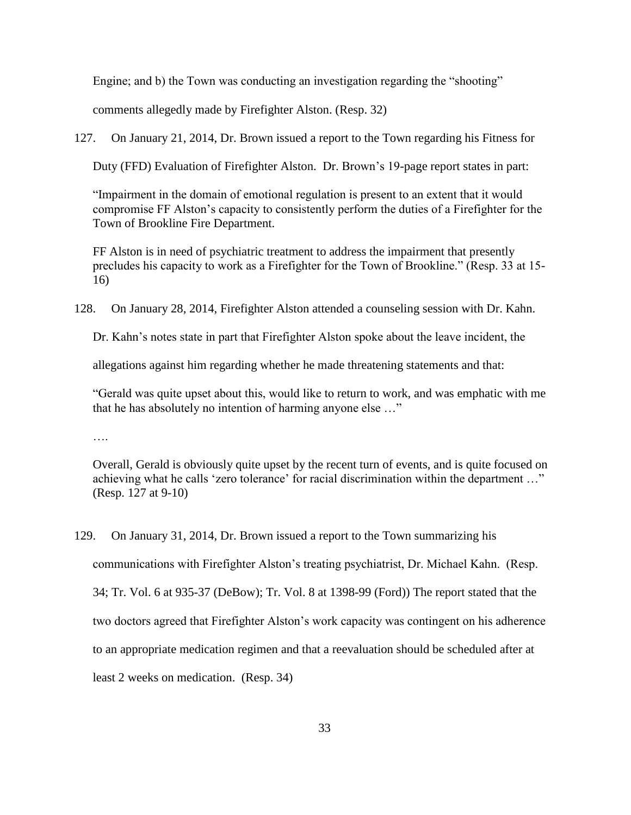Engine; and b) the Town was conducting an investigation regarding the "shooting"

comments allegedly made by Firefighter Alston. (Resp. 32)

127. On January 21, 2014, Dr. Brown issued a report to the Town regarding his Fitness for

Duty (FFD) Evaluation of Firefighter Alston. Dr. Brown's 19-page report states in part:

"Impairment in the domain of emotional regulation is present to an extent that it would compromise FF Alston's capacity to consistently perform the duties of a Firefighter for the Town of Brookline Fire Department.

FF Alston is in need of psychiatric treatment to address the impairment that presently precludes his capacity to work as a Firefighter for the Town of Brookline." (Resp. 33 at 15- 16)

128. On January 28, 2014, Firefighter Alston attended a counseling session with Dr. Kahn.

Dr. Kahn's notes state in part that Firefighter Alston spoke about the leave incident, the

allegations against him regarding whether he made threatening statements and that:

"Gerald was quite upset about this, would like to return to work, and was emphatic with me that he has absolutely no intention of harming anyone else …"

….

Overall, Gerald is obviously quite upset by the recent turn of events, and is quite focused on achieving what he calls 'zero tolerance' for racial discrimination within the department …" (Resp. 127 at 9-10)

129. On January 31, 2014, Dr. Brown issued a report to the Town summarizing his communications with Firefighter Alston's treating psychiatrist, Dr. Michael Kahn. (Resp. 34; Tr. Vol. 6 at 935-37 (DeBow); Tr. Vol. 8 at 1398-99 (Ford)) The report stated that the two doctors agreed that Firefighter Alston's work capacity was contingent on his adherence to an appropriate medication regimen and that a reevaluation should be scheduled after at least 2 weeks on medication. (Resp. 34)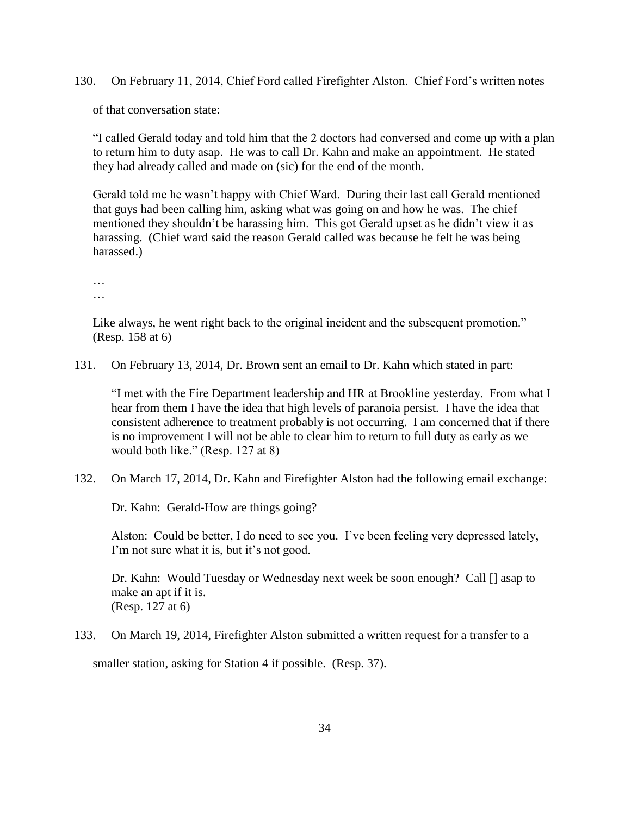130. On February 11, 2014, Chief Ford called Firefighter Alston. Chief Ford's written notes

of that conversation state:

"I called Gerald today and told him that the 2 doctors had conversed and come up with a plan to return him to duty asap. He was to call Dr. Kahn and make an appointment. He stated they had already called and made on (sic) for the end of the month.

Gerald told me he wasn't happy with Chief Ward. During their last call Gerald mentioned that guys had been calling him, asking what was going on and how he was. The chief mentioned they shouldn't be harassing him. This got Gerald upset as he didn't view it as harassing. (Chief ward said the reason Gerald called was because he felt he was being harassed.)

… …

Like always, he went right back to the original incident and the subsequent promotion." (Resp. 158 at 6)

131. On February 13, 2014, Dr. Brown sent an email to Dr. Kahn which stated in part:

"I met with the Fire Department leadership and HR at Brookline yesterday. From what I hear from them I have the idea that high levels of paranoia persist. I have the idea that consistent adherence to treatment probably is not occurring. I am concerned that if there is no improvement I will not be able to clear him to return to full duty as early as we would both like." (Resp. 127 at 8)

132. On March 17, 2014, Dr. Kahn and Firefighter Alston had the following email exchange:

Dr. Kahn: Gerald-How are things going?

Alston: Could be better, I do need to see you. I've been feeling very depressed lately, I'm not sure what it is, but it's not good.

Dr. Kahn: Would Tuesday or Wednesday next week be soon enough? Call [] asap to make an apt if it is. (Resp. 127 at 6)

133. On March 19, 2014, Firefighter Alston submitted a written request for a transfer to a

smaller station, asking for Station 4 if possible. (Resp. 37).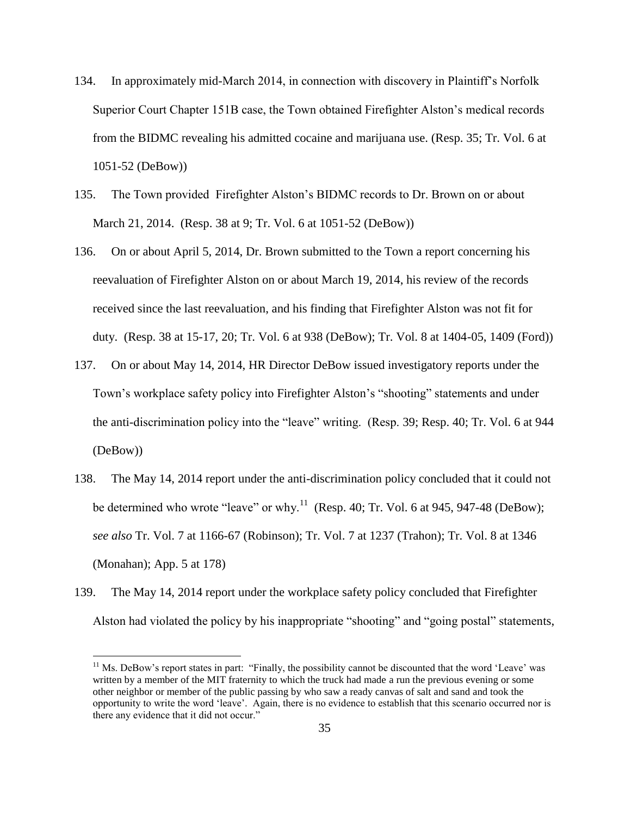- 134. In approximately mid-March 2014, in connection with discovery in Plaintiff's Norfolk Superior Court Chapter 151B case, the Town obtained Firefighter Alston's medical records from the BIDMC revealing his admitted cocaine and marijuana use. (Resp. 35; Tr. Vol. 6 at 1051-52 (DeBow))
- 135. The Town provided Firefighter Alston's BIDMC records to Dr. Brown on or about March 21, 2014. (Resp. 38 at 9; Tr. Vol. 6 at 1051-52 (DeBow))
- 136. On or about April 5, 2014, Dr. Brown submitted to the Town a report concerning his reevaluation of Firefighter Alston on or about March 19, 2014, his review of the records received since the last reevaluation, and his finding that Firefighter Alston was not fit for duty. (Resp. 38 at 15-17, 20; Tr. Vol. 6 at 938 (DeBow); Tr. Vol. 8 at 1404-05, 1409 (Ford))
- 137. On or about May 14, 2014, HR Director DeBow issued investigatory reports under the Town's workplace safety policy into Firefighter Alston's "shooting" statements and under the anti-discrimination policy into the "leave" writing. (Resp. 39; Resp. 40; Tr. Vol. 6 at 944 (DeBow))
- 138. The May 14, 2014 report under the anti-discrimination policy concluded that it could not be determined who wrote "leave" or why.<sup>11</sup> (Resp. 40; Tr. Vol. 6 at 945, 947-48 (DeBow); *see also* Tr. Vol. 7 at 1166-67 (Robinson); Tr. Vol. 7 at 1237 (Trahon); Tr. Vol. 8 at 1346 (Monahan); App. 5 at 178)
- 139. The May 14, 2014 report under the workplace safety policy concluded that Firefighter Alston had violated the policy by his inappropriate "shooting" and "going postal" statements,

 $\overline{a}$ 

<sup>&</sup>lt;sup>11</sup> Ms. DeBow's report states in part: "Finally, the possibility cannot be discounted that the word 'Leave' was written by a member of the MIT fraternity to which the truck had made a run the previous evening or some other neighbor or member of the public passing by who saw a ready canvas of salt and sand and took the opportunity to write the word 'leave'. Again, there is no evidence to establish that this scenario occurred nor is there any evidence that it did not occur."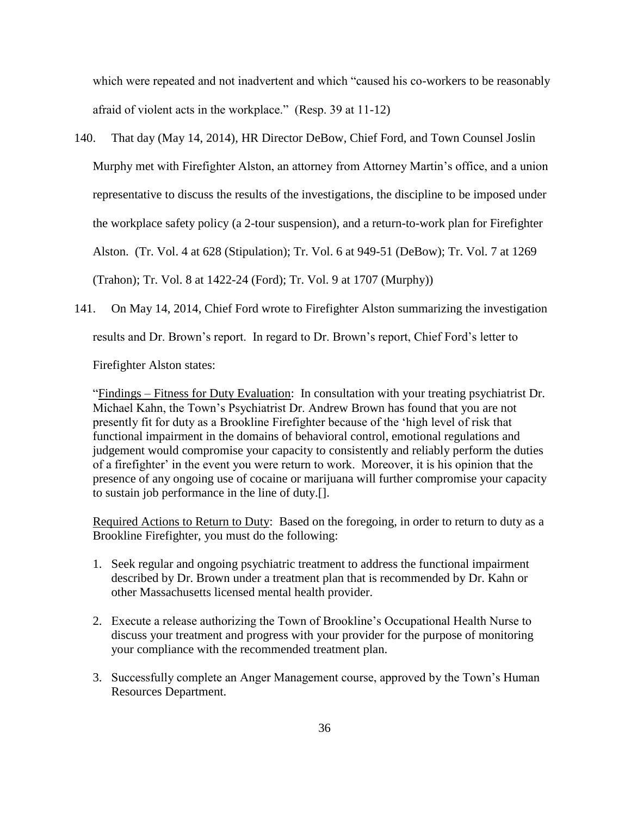which were repeated and not inadvertent and which "caused his co-workers to be reasonably afraid of violent acts in the workplace." (Resp. 39 at 11-12)

- 140. That day (May 14, 2014), HR Director DeBow, Chief Ford, and Town Counsel Joslin Murphy met with Firefighter Alston, an attorney from Attorney Martin's office, and a union representative to discuss the results of the investigations, the discipline to be imposed under the workplace safety policy (a 2-tour suspension), and a return-to-work plan for Firefighter Alston. (Tr. Vol. 4 at 628 (Stipulation); Tr. Vol. 6 at 949-51 (DeBow); Tr. Vol. 7 at 1269 (Trahon); Tr. Vol. 8 at 1422-24 (Ford); Tr. Vol. 9 at 1707 (Murphy))
- 141. On May 14, 2014, Chief Ford wrote to Firefighter Alston summarizing the investigation results and Dr. Brown's report. In regard to Dr. Brown's report, Chief Ford's letter to

Firefighter Alston states:

"Findings – Fitness for Duty Evaluation: In consultation with your treating psychiatrist Dr. Michael Kahn, the Town's Psychiatrist Dr. Andrew Brown has found that you are not presently fit for duty as a Brookline Firefighter because of the 'high level of risk that functional impairment in the domains of behavioral control, emotional regulations and judgement would compromise your capacity to consistently and reliably perform the duties of a firefighter' in the event you were return to work. Moreover, it is his opinion that the presence of any ongoing use of cocaine or marijuana will further compromise your capacity to sustain job performance in the line of duty.[].

Required Actions to Return to Duty: Based on the foregoing, in order to return to duty as a Brookline Firefighter, you must do the following:

- 1. Seek regular and ongoing psychiatric treatment to address the functional impairment described by Dr. Brown under a treatment plan that is recommended by Dr. Kahn or other Massachusetts licensed mental health provider.
- 2. Execute a release authorizing the Town of Brookline's Occupational Health Nurse to discuss your treatment and progress with your provider for the purpose of monitoring your compliance with the recommended treatment plan.
- 3. Successfully complete an Anger Management course, approved by the Town's Human Resources Department.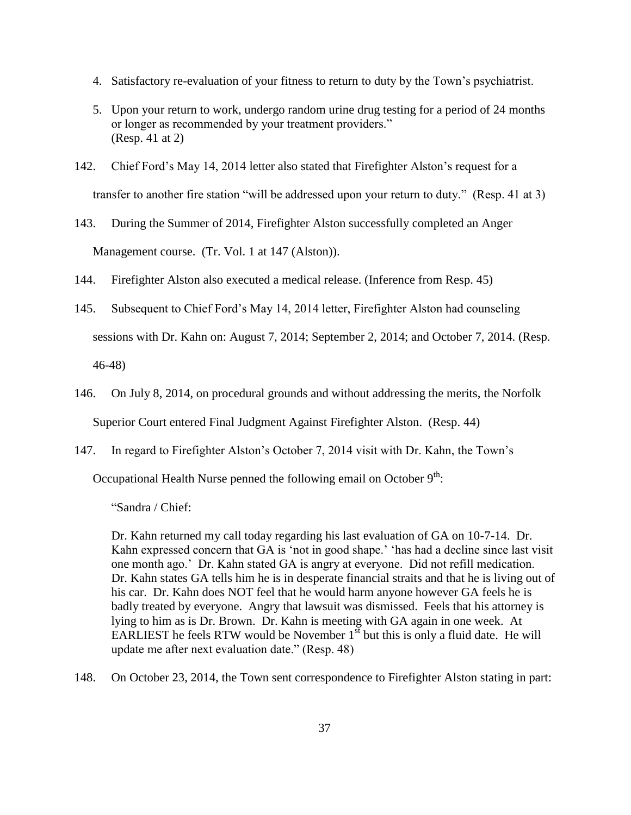- 4. Satisfactory re-evaluation of your fitness to return to duty by the Town's psychiatrist.
- 5. Upon your return to work, undergo random urine drug testing for a period of 24 months or longer as recommended by your treatment providers." (Resp. 41 at 2)
- 142. Chief Ford's May 14, 2014 letter also stated that Firefighter Alston's request for a transfer to another fire station "will be addressed upon your return to duty." (Resp. 41 at 3)
- 143. During the Summer of 2014, Firefighter Alston successfully completed an Anger Management course. (Tr. Vol. 1 at 147 (Alston)).
- 144. Firefighter Alston also executed a medical release. (Inference from Resp. 45)
- 145. Subsequent to Chief Ford's May 14, 2014 letter, Firefighter Alston had counseling sessions with Dr. Kahn on: August 7, 2014; September 2, 2014; and October 7, 2014. (Resp. 46-48)
- 146. On July 8, 2014, on procedural grounds and without addressing the merits, the Norfolk Superior Court entered Final Judgment Against Firefighter Alston. (Resp. 44)
- 147. In regard to Firefighter Alston's October 7, 2014 visit with Dr. Kahn, the Town's

Occupational Health Nurse penned the following email on October  $9<sup>th</sup>$ :

"Sandra / Chief:

Dr. Kahn returned my call today regarding his last evaluation of GA on 10-7-14. Dr. Kahn expressed concern that GA is 'not in good shape.' 'has had a decline since last visit one month ago.' Dr. Kahn stated GA is angry at everyone. Did not refill medication. Dr. Kahn states GA tells him he is in desperate financial straits and that he is living out of his car. Dr. Kahn does NOT feel that he would harm anyone however GA feels he is badly treated by everyone. Angry that lawsuit was dismissed. Feels that his attorney is lying to him as is Dr. Brown. Dr. Kahn is meeting with GA again in one week. At EARLIEST he feels RTW would be November  $1<sup>st</sup>$  but this is only a fluid date. He will update me after next evaluation date." (Resp. 48)

148. On October 23, 2014, the Town sent correspondence to Firefighter Alston stating in part: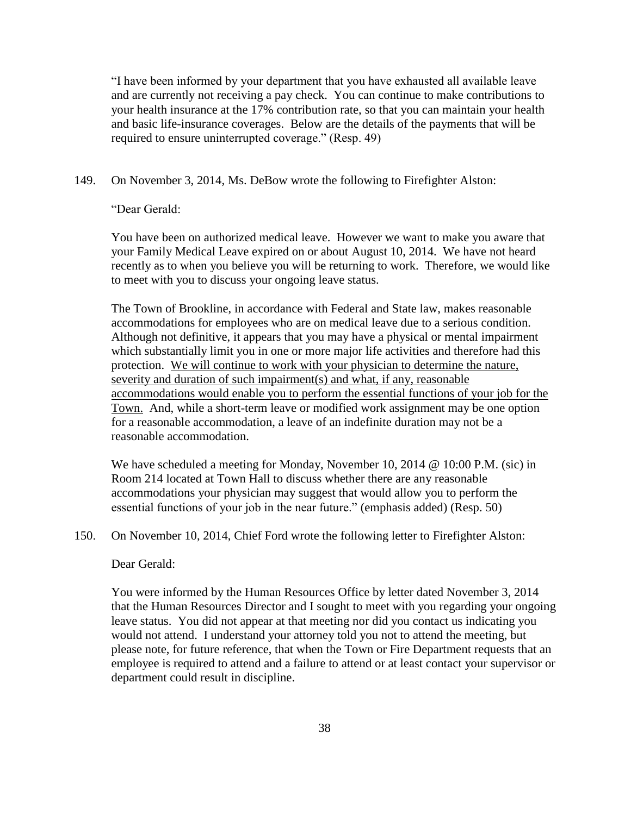"I have been informed by your department that you have exhausted all available leave and are currently not receiving a pay check. You can continue to make contributions to your health insurance at the 17% contribution rate, so that you can maintain your health and basic life-insurance coverages. Below are the details of the payments that will be required to ensure uninterrupted coverage." (Resp. 49)

# 149. On November 3, 2014, Ms. DeBow wrote the following to Firefighter Alston:

"Dear Gerald:

You have been on authorized medical leave. However we want to make you aware that your Family Medical Leave expired on or about August 10, 2014. We have not heard recently as to when you believe you will be returning to work. Therefore, we would like to meet with you to discuss your ongoing leave status.

The Town of Brookline, in accordance with Federal and State law, makes reasonable accommodations for employees who are on medical leave due to a serious condition. Although not definitive, it appears that you may have a physical or mental impairment which substantially limit you in one or more major life activities and therefore had this protection. We will continue to work with your physician to determine the nature, severity and duration of such impairment(s) and what, if any, reasonable accommodations would enable you to perform the essential functions of your job for the Town. And, while a short-term leave or modified work assignment may be one option for a reasonable accommodation, a leave of an indefinite duration may not be a reasonable accommodation.

We have scheduled a meeting for Monday, November 10, 2014  $\omega$  10:00 P.M. (sic) in Room 214 located at Town Hall to discuss whether there are any reasonable accommodations your physician may suggest that would allow you to perform the essential functions of your job in the near future." (emphasis added) (Resp. 50)

150. On November 10, 2014, Chief Ford wrote the following letter to Firefighter Alston:

## Dear Gerald:

You were informed by the Human Resources Office by letter dated November 3, 2014 that the Human Resources Director and I sought to meet with you regarding your ongoing leave status. You did not appear at that meeting nor did you contact us indicating you would not attend. I understand your attorney told you not to attend the meeting, but please note, for future reference, that when the Town or Fire Department requests that an employee is required to attend and a failure to attend or at least contact your supervisor or department could result in discipline.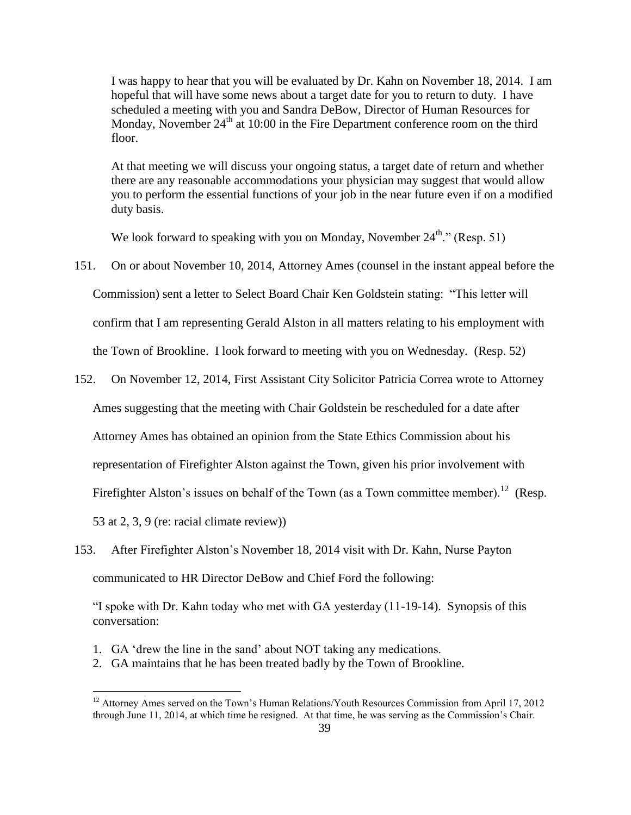I was happy to hear that you will be evaluated by Dr. Kahn on November 18, 2014. I am hopeful that will have some news about a target date for you to return to duty. I have scheduled a meeting with you and Sandra DeBow, Director of Human Resources for Monday, November  $24<sup>th</sup>$  at 10:00 in the Fire Department conference room on the third floor.

At that meeting we will discuss your ongoing status, a target date of return and whether there are any reasonable accommodations your physician may suggest that would allow you to perform the essential functions of your job in the near future even if on a modified duty basis.

We look forward to speaking with you on Monday, November  $24^{\text{th}}$ ." (Resp. 51)

- 151. On or about November 10, 2014, Attorney Ames (counsel in the instant appeal before the Commission) sent a letter to Select Board Chair Ken Goldstein stating: "This letter will confirm that I am representing Gerald Alston in all matters relating to his employment with the Town of Brookline. I look forward to meeting with you on Wednesday. (Resp. 52)
- 152. On November 12, 2014, First Assistant City Solicitor Patricia Correa wrote to Attorney

Ames suggesting that the meeting with Chair Goldstein be rescheduled for a date after

Attorney Ames has obtained an opinion from the State Ethics Commission about his

representation of Firefighter Alston against the Town, given his prior involvement with

Firefighter Alston's issues on behalf of the Town (as a Town committee member).<sup>12</sup> (Resp.

53 at 2, 3, 9 (re: racial climate review))

 $\overline{a}$ 

153. After Firefighter Alston's November 18, 2014 visit with Dr. Kahn, Nurse Payton communicated to HR Director DeBow and Chief Ford the following:

"I spoke with Dr. Kahn today who met with GA yesterday (11-19-14). Synopsis of this conversation:

- 1. GA 'drew the line in the sand' about NOT taking any medications.
- 2. GA maintains that he has been treated badly by the Town of Brookline.

 $12$  Attorney Ames served on the Town's Human Relations/Youth Resources Commission from April 17, 2012 through June 11, 2014, at which time he resigned. At that time, he was serving as the Commission's Chair.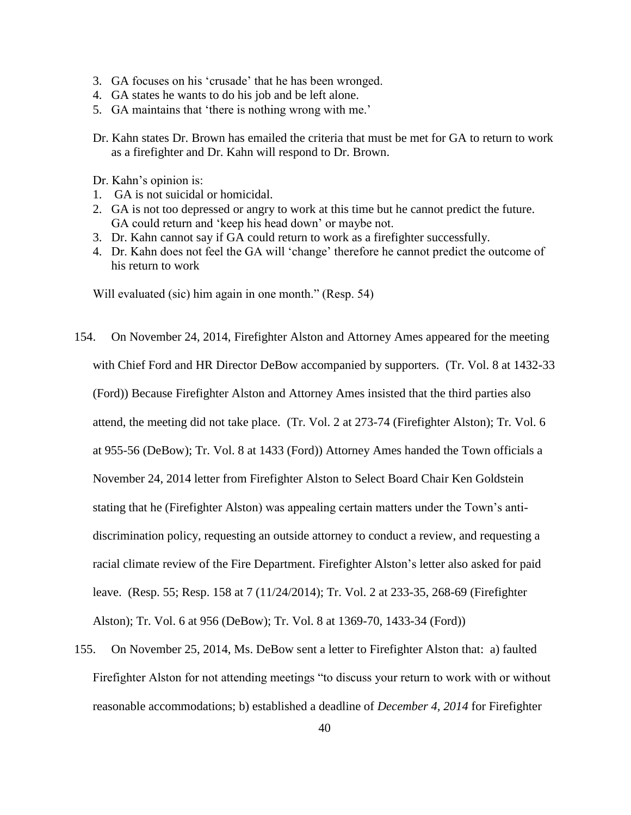- 3. GA focuses on his 'crusade' that he has been wronged.
- 4. GA states he wants to do his job and be left alone.
- 5. GA maintains that 'there is nothing wrong with me.'

Dr. Kahn states Dr. Brown has emailed the criteria that must be met for GA to return to work as a firefighter and Dr. Kahn will respond to Dr. Brown.

Dr. Kahn's opinion is:

- 1. GA is not suicidal or homicidal.
- 2. GA is not too depressed or angry to work at this time but he cannot predict the future. GA could return and 'keep his head down' or maybe not.
- 3. Dr. Kahn cannot say if GA could return to work as a firefighter successfully.
- 4. Dr. Kahn does not feel the GA will 'change' therefore he cannot predict the outcome of his return to work

Will evaluated (sic) him again in one month." (Resp. 54)

- 154. On November 24, 2014, Firefighter Alston and Attorney Ames appeared for the meeting with Chief Ford and HR Director DeBow accompanied by supporters. (Tr. Vol. 8 at 1432-33 (Ford)) Because Firefighter Alston and Attorney Ames insisted that the third parties also attend, the meeting did not take place. (Tr. Vol. 2 at 273-74 (Firefighter Alston); Tr. Vol. 6 at 955-56 (DeBow); Tr. Vol. 8 at 1433 (Ford)) Attorney Ames handed the Town officials a November 24, 2014 letter from Firefighter Alston to Select Board Chair Ken Goldstein stating that he (Firefighter Alston) was appealing certain matters under the Town's antidiscrimination policy, requesting an outside attorney to conduct a review, and requesting a racial climate review of the Fire Department. Firefighter Alston's letter also asked for paid leave. (Resp. 55; Resp. 158 at 7 (11/24/2014); Tr. Vol. 2 at 233-35, 268-69 (Firefighter Alston); Tr. Vol. 6 at 956 (DeBow); Tr. Vol. 8 at 1369-70, 1433-34 (Ford))
- 155. On November 25, 2014, Ms. DeBow sent a letter to Firefighter Alston that: a) faulted Firefighter Alston for not attending meetings "to discuss your return to work with or without reasonable accommodations; b) established a deadline of *December 4, 2014* for Firefighter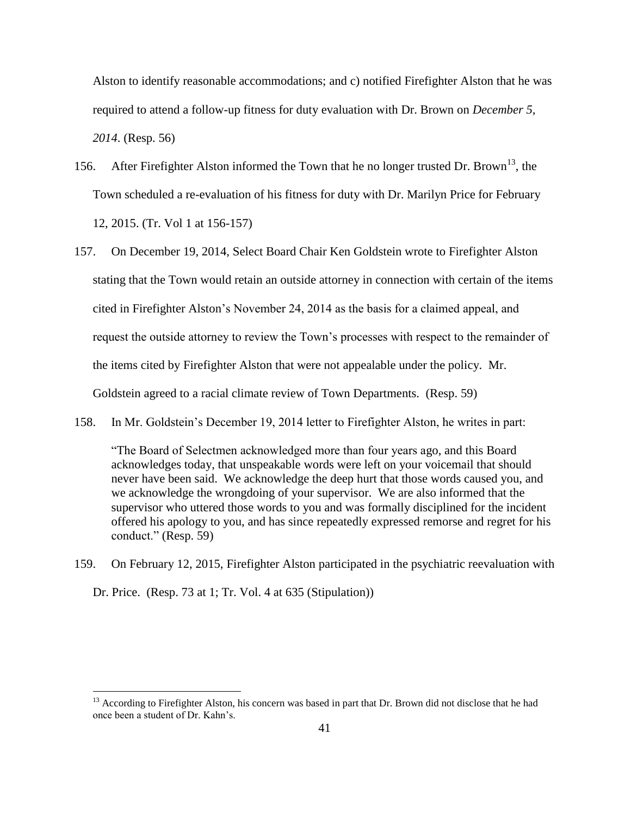Alston to identify reasonable accommodations; and c) notified Firefighter Alston that he was required to attend a follow-up fitness for duty evaluation with Dr. Brown on *December 5, 2014*. (Resp. 56)

- 156. After Firefighter Alston informed the Town that he no longer trusted Dr. Brown<sup>13</sup>, the Town scheduled a re-evaluation of his fitness for duty with Dr. Marilyn Price for February 12, 2015. (Tr. Vol 1 at 156-157)
- 157. On December 19, 2014, Select Board Chair Ken Goldstein wrote to Firefighter Alston stating that the Town would retain an outside attorney in connection with certain of the items cited in Firefighter Alston's November 24, 2014 as the basis for a claimed appeal, and request the outside attorney to review the Town's processes with respect to the remainder of the items cited by Firefighter Alston that were not appealable under the policy. Mr. Goldstein agreed to a racial climate review of Town Departments. (Resp. 59)
- 158. In Mr. Goldstein's December 19, 2014 letter to Firefighter Alston, he writes in part:

"The Board of Selectmen acknowledged more than four years ago, and this Board acknowledges today, that unspeakable words were left on your voicemail that should never have been said. We acknowledge the deep hurt that those words caused you, and we acknowledge the wrongdoing of your supervisor. We are also informed that the supervisor who uttered those words to you and was formally disciplined for the incident offered his apology to you, and has since repeatedly expressed remorse and regret for his conduct." (Resp. 59)

159. On February 12, 2015, Firefighter Alston participated in the psychiatric reevaluation with Dr. Price. (Resp. 73 at 1; Tr. Vol. 4 at 635 (Stipulation))

 $\overline{a}$ 

<sup>&</sup>lt;sup>13</sup> According to Firefighter Alston, his concern was based in part that Dr. Brown did not disclose that he had once been a student of Dr. Kahn's.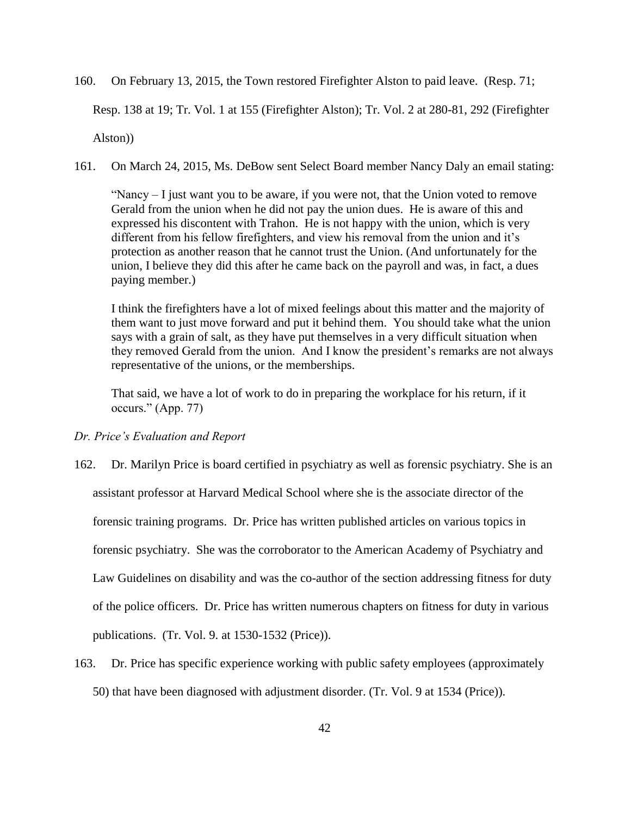160. On February 13, 2015, the Town restored Firefighter Alston to paid leave. (Resp. 71;

Resp. 138 at 19; Tr. Vol. 1 at 155 (Firefighter Alston); Tr. Vol. 2 at 280-81, 292 (Firefighter

Alston))

161. On March 24, 2015, Ms. DeBow sent Select Board member Nancy Daly an email stating:

"Nancy – I just want you to be aware, if you were not, that the Union voted to remove Gerald from the union when he did not pay the union dues. He is aware of this and expressed his discontent with Trahon. He is not happy with the union, which is very different from his fellow firefighters, and view his removal from the union and it's protection as another reason that he cannot trust the Union. (And unfortunately for the union, I believe they did this after he came back on the payroll and was, in fact, a dues paying member.)

I think the firefighters have a lot of mixed feelings about this matter and the majority of them want to just move forward and put it behind them. You should take what the union says with a grain of salt, as they have put themselves in a very difficult situation when they removed Gerald from the union. And I know the president's remarks are not always representative of the unions, or the memberships.

That said, we have a lot of work to do in preparing the workplace for his return, if it occurs." (App. 77)

## *Dr. Price's Evaluation and Report*

- 162. Dr. Marilyn Price is board certified in psychiatry as well as forensic psychiatry. She is an assistant professor at Harvard Medical School where she is the associate director of the forensic training programs. Dr. Price has written published articles on various topics in forensic psychiatry. She was the corroborator to the American Academy of Psychiatry and Law Guidelines on disability and was the co-author of the section addressing fitness for duty of the police officers. Dr. Price has written numerous chapters on fitness for duty in various publications. (Tr. Vol. 9. at 1530-1532 (Price)).
- 163. Dr. Price has specific experience working with public safety employees (approximately 50) that have been diagnosed with adjustment disorder. (Tr. Vol. 9 at 1534 (Price)).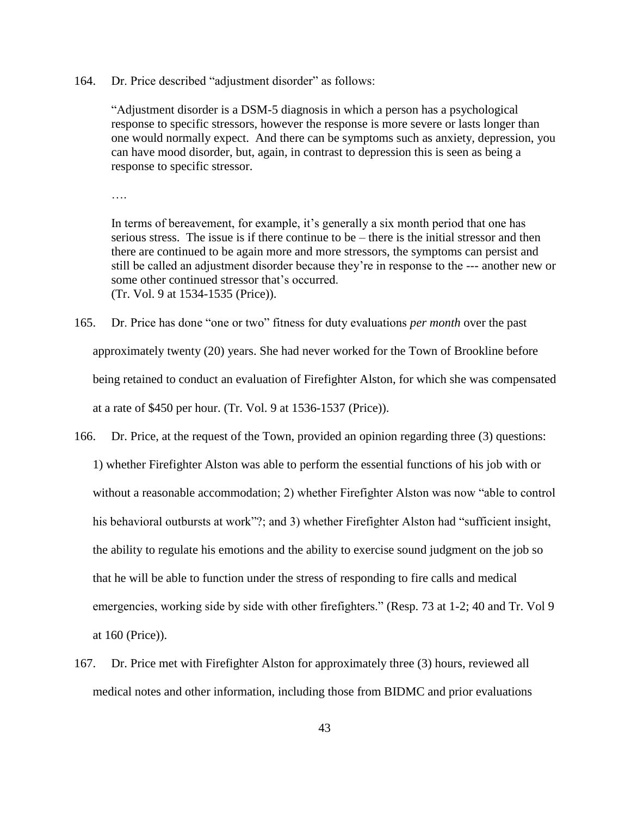164. Dr. Price described "adjustment disorder" as follows:

"Adjustment disorder is a DSM-5 diagnosis in which a person has a psychological response to specific stressors, however the response is more severe or lasts longer than one would normally expect. And there can be symptoms such as anxiety, depression, you can have mood disorder, but, again, in contrast to depression this is seen as being a response to specific stressor.

In terms of bereavement, for example, it's generally a six month period that one has serious stress. The issue is if there continue to be – there is the initial stressor and then there are continued to be again more and more stressors, the symptoms can persist and still be called an adjustment disorder because they're in response to the --- another new or some other continued stressor that's occurred. (Tr. Vol. 9 at 1534-1535 (Price)).

- 165. Dr. Price has done "one or two" fitness for duty evaluations *per month* over the past approximately twenty (20) years. She had never worked for the Town of Brookline before being retained to conduct an evaluation of Firefighter Alston, for which she was compensated at a rate of \$450 per hour. (Tr. Vol. 9 at 1536-1537 (Price)).
- 166. Dr. Price, at the request of the Town, provided an opinion regarding three (3) questions: 1) whether Firefighter Alston was able to perform the essential functions of his job with or without a reasonable accommodation; 2) whether Firefighter Alston was now "able to control his behavioral outbursts at work"?; and 3) whether Firefighter Alston had "sufficient insight, the ability to regulate his emotions and the ability to exercise sound judgment on the job so that he will be able to function under the stress of responding to fire calls and medical emergencies, working side by side with other firefighters." (Resp. 73 at 1-2; 40 and Tr. Vol 9 at 160 (Price)).
- 167. Dr. Price met with Firefighter Alston for approximately three (3) hours, reviewed all medical notes and other information, including those from BIDMC and prior evaluations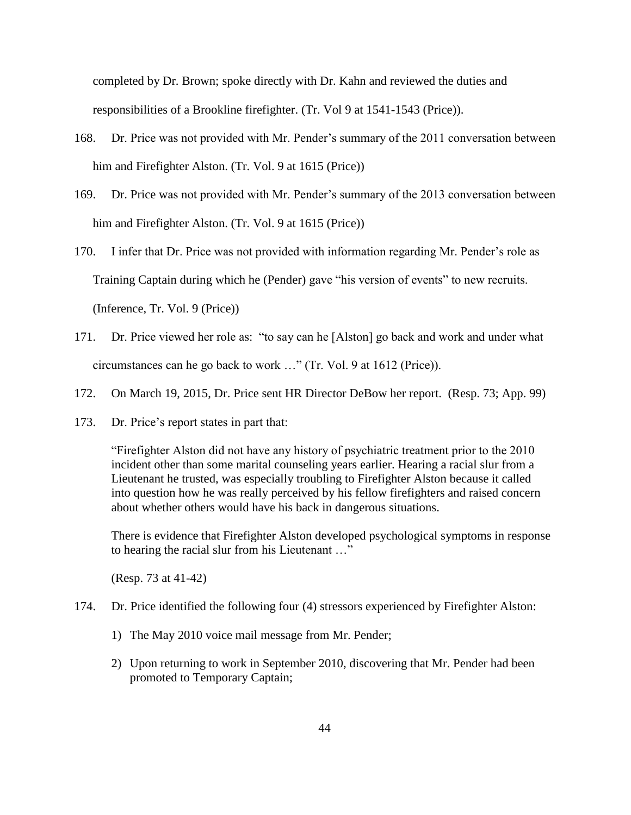completed by Dr. Brown; spoke directly with Dr. Kahn and reviewed the duties and responsibilities of a Brookline firefighter. (Tr. Vol 9 at 1541-1543 (Price)).

- 168. Dr. Price was not provided with Mr. Pender's summary of the 2011 conversation between him and Firefighter Alston. (Tr. Vol. 9 at 1615 (Price))
- 169. Dr. Price was not provided with Mr. Pender's summary of the 2013 conversation between him and Firefighter Alston. (Tr. Vol. 9 at 1615 (Price))
- 170. I infer that Dr. Price was not provided with information regarding Mr. Pender's role as Training Captain during which he (Pender) gave "his version of events" to new recruits. (Inference, Tr. Vol. 9 (Price))
- 171. Dr. Price viewed her role as: "to say can he [Alston] go back and work and under what circumstances can he go back to work …" (Tr. Vol. 9 at 1612 (Price)).
- 172. On March 19, 2015, Dr. Price sent HR Director DeBow her report. (Resp. 73; App. 99)
- 173. Dr. Price's report states in part that:

"Firefighter Alston did not have any history of psychiatric treatment prior to the 2010 incident other than some marital counseling years earlier. Hearing a racial slur from a Lieutenant he trusted, was especially troubling to Firefighter Alston because it called into question how he was really perceived by his fellow firefighters and raised concern about whether others would have his back in dangerous situations.

There is evidence that Firefighter Alston developed psychological symptoms in response to hearing the racial slur from his Lieutenant …"

(Resp. 73 at 41-42)

- 174. Dr. Price identified the following four (4) stressors experienced by Firefighter Alston:
	- 1) The May 2010 voice mail message from Mr. Pender;
	- 2) Upon returning to work in September 2010, discovering that Mr. Pender had been promoted to Temporary Captain;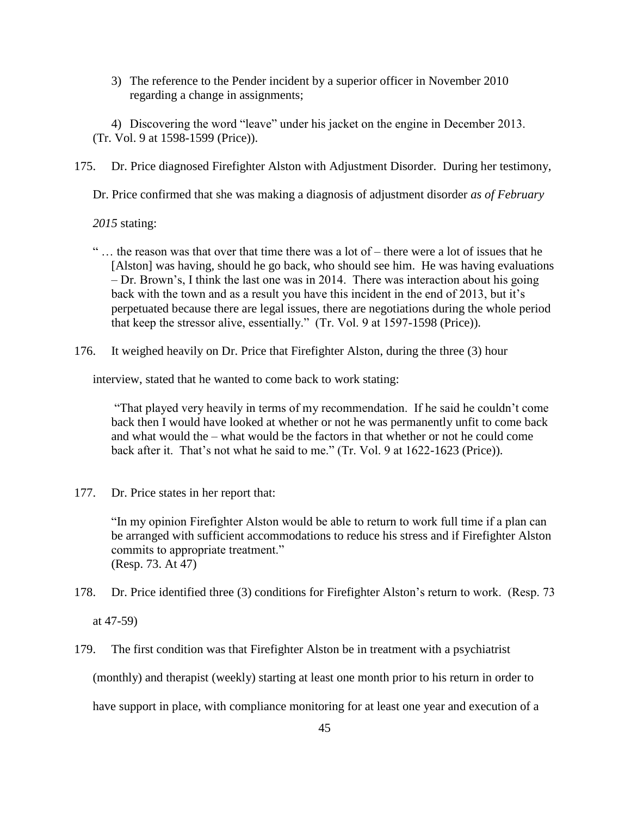3) The reference to the Pender incident by a superior officer in November 2010 regarding a change in assignments;

4) Discovering the word "leave" under his jacket on the engine in December 2013. (Tr. Vol. 9 at 1598-1599 (Price)).

175. Dr. Price diagnosed Firefighter Alston with Adjustment Disorder. During her testimony,

Dr. Price confirmed that she was making a diagnosis of adjustment disorder *as of February* 

*2015* stating:

- $\ldots$  the reason was that over that time there was a lot of there were a lot of issues that he [Alston] was having, should he go back, who should see him. He was having evaluations – Dr. Brown's, I think the last one was in 2014. There was interaction about his going back with the town and as a result you have this incident in the end of 2013, but it's perpetuated because there are legal issues, there are negotiations during the whole period that keep the stressor alive, essentially." (Tr. Vol. 9 at 1597-1598 (Price)).
- 176. It weighed heavily on Dr. Price that Firefighter Alston, during the three (3) hour

interview, stated that he wanted to come back to work stating:

"That played very heavily in terms of my recommendation. If he said he couldn't come back then I would have looked at whether or not he was permanently unfit to come back and what would the – what would be the factors in that whether or not he could come back after it. That's not what he said to me." (Tr. Vol. 9 at 1622-1623 (Price)).

177. Dr. Price states in her report that:

"In my opinion Firefighter Alston would be able to return to work full time if a plan can be arranged with sufficient accommodations to reduce his stress and if Firefighter Alston commits to appropriate treatment." (Resp. 73. At 47)

178. Dr. Price identified three (3) conditions for Firefighter Alston's return to work. (Resp. 73

at 47-59)

179. The first condition was that Firefighter Alston be in treatment with a psychiatrist (monthly) and therapist (weekly) starting at least one month prior to his return in order to have support in place, with compliance monitoring for at least one year and execution of a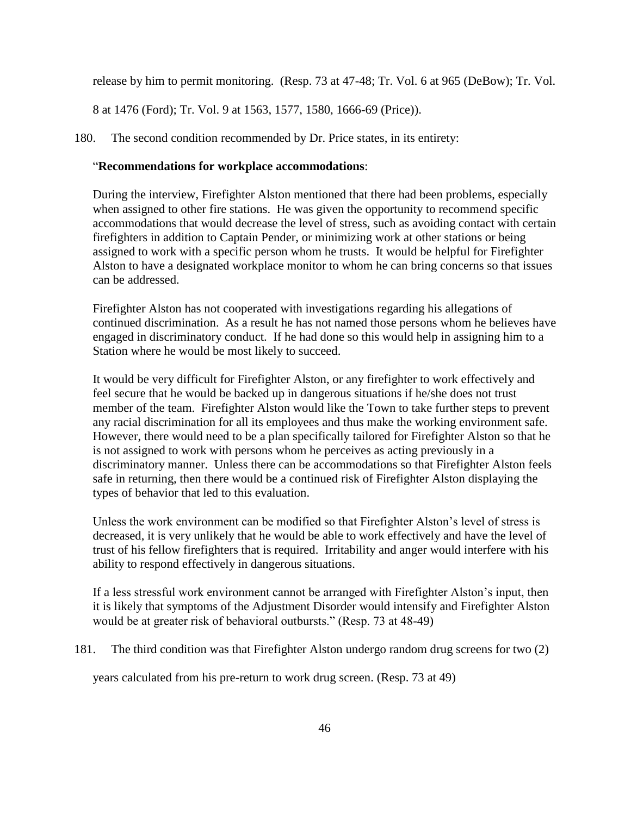release by him to permit monitoring. (Resp. 73 at 47-48; Tr. Vol. 6 at 965 (DeBow); Tr. Vol.

8 at 1476 (Ford); Tr. Vol. 9 at 1563, 1577, 1580, 1666-69 (Price)).

180. The second condition recommended by Dr. Price states, in its entirety:

### "**Recommendations for workplace accommodations**:

During the interview, Firefighter Alston mentioned that there had been problems, especially when assigned to other fire stations. He was given the opportunity to recommend specific accommodations that would decrease the level of stress, such as avoiding contact with certain firefighters in addition to Captain Pender, or minimizing work at other stations or being assigned to work with a specific person whom he trusts. It would be helpful for Firefighter Alston to have a designated workplace monitor to whom he can bring concerns so that issues can be addressed.

Firefighter Alston has not cooperated with investigations regarding his allegations of continued discrimination. As a result he has not named those persons whom he believes have engaged in discriminatory conduct. If he had done so this would help in assigning him to a Station where he would be most likely to succeed.

It would be very difficult for Firefighter Alston, or any firefighter to work effectively and feel secure that he would be backed up in dangerous situations if he/she does not trust member of the team. Firefighter Alston would like the Town to take further steps to prevent any racial discrimination for all its employees and thus make the working environment safe. However, there would need to be a plan specifically tailored for Firefighter Alston so that he is not assigned to work with persons whom he perceives as acting previously in a discriminatory manner. Unless there can be accommodations so that Firefighter Alston feels safe in returning, then there would be a continued risk of Firefighter Alston displaying the types of behavior that led to this evaluation.

Unless the work environment can be modified so that Firefighter Alston's level of stress is decreased, it is very unlikely that he would be able to work effectively and have the level of trust of his fellow firefighters that is required. Irritability and anger would interfere with his ability to respond effectively in dangerous situations.

If a less stressful work environment cannot be arranged with Firefighter Alston's input, then it is likely that symptoms of the Adjustment Disorder would intensify and Firefighter Alston would be at greater risk of behavioral outbursts." (Resp. 73 at 48-49)

181. The third condition was that Firefighter Alston undergo random drug screens for two (2)

years calculated from his pre-return to work drug screen. (Resp. 73 at 49)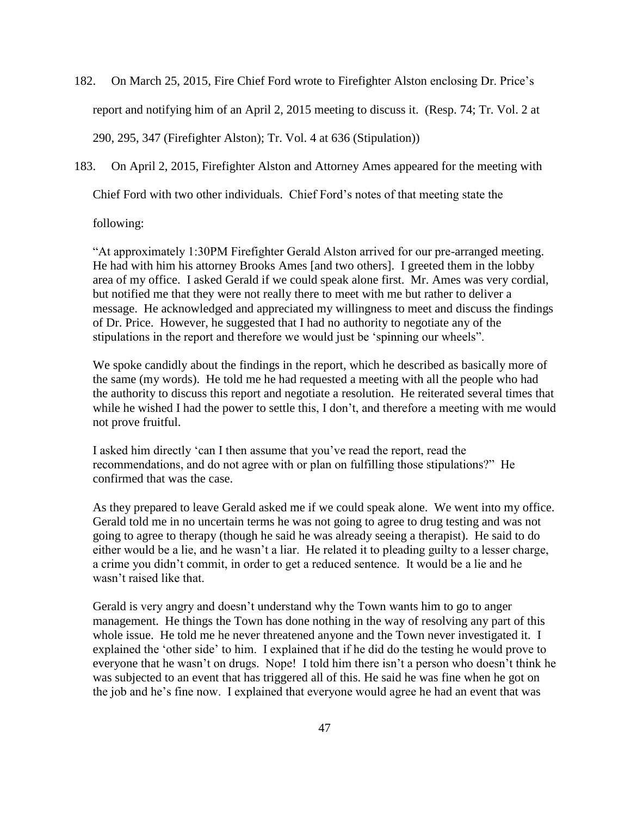182. On March 25, 2015, Fire Chief Ford wrote to Firefighter Alston enclosing Dr. Price's report and notifying him of an April 2, 2015 meeting to discuss it. (Resp. 74; Tr. Vol. 2 at 290, 295, 347 (Firefighter Alston); Tr. Vol. 4 at 636 (Stipulation))

183. On April 2, 2015, Firefighter Alston and Attorney Ames appeared for the meeting with

Chief Ford with two other individuals. Chief Ford's notes of that meeting state the

following:

"At approximately 1:30PM Firefighter Gerald Alston arrived for our pre-arranged meeting. He had with him his attorney Brooks Ames [and two others]. I greeted them in the lobby area of my office. I asked Gerald if we could speak alone first. Mr. Ames was very cordial, but notified me that they were not really there to meet with me but rather to deliver a message. He acknowledged and appreciated my willingness to meet and discuss the findings of Dr. Price. However, he suggested that I had no authority to negotiate any of the stipulations in the report and therefore we would just be 'spinning our wheels".

We spoke candidly about the findings in the report, which he described as basically more of the same (my words). He told me he had requested a meeting with all the people who had the authority to discuss this report and negotiate a resolution. He reiterated several times that while he wished I had the power to settle this, I don't, and therefore a meeting with me would not prove fruitful.

I asked him directly 'can I then assume that you've read the report, read the recommendations, and do not agree with or plan on fulfilling those stipulations?" He confirmed that was the case.

As they prepared to leave Gerald asked me if we could speak alone. We went into my office. Gerald told me in no uncertain terms he was not going to agree to drug testing and was not going to agree to therapy (though he said he was already seeing a therapist). He said to do either would be a lie, and he wasn't a liar. He related it to pleading guilty to a lesser charge, a crime you didn't commit, in order to get a reduced sentence. It would be a lie and he wasn't raised like that.

Gerald is very angry and doesn't understand why the Town wants him to go to anger management. He things the Town has done nothing in the way of resolving any part of this whole issue. He told me he never threatened anyone and the Town never investigated it. I explained the 'other side' to him. I explained that if he did do the testing he would prove to everyone that he wasn't on drugs. Nope! I told him there isn't a person who doesn't think he was subjected to an event that has triggered all of this. He said he was fine when he got on the job and he's fine now. I explained that everyone would agree he had an event that was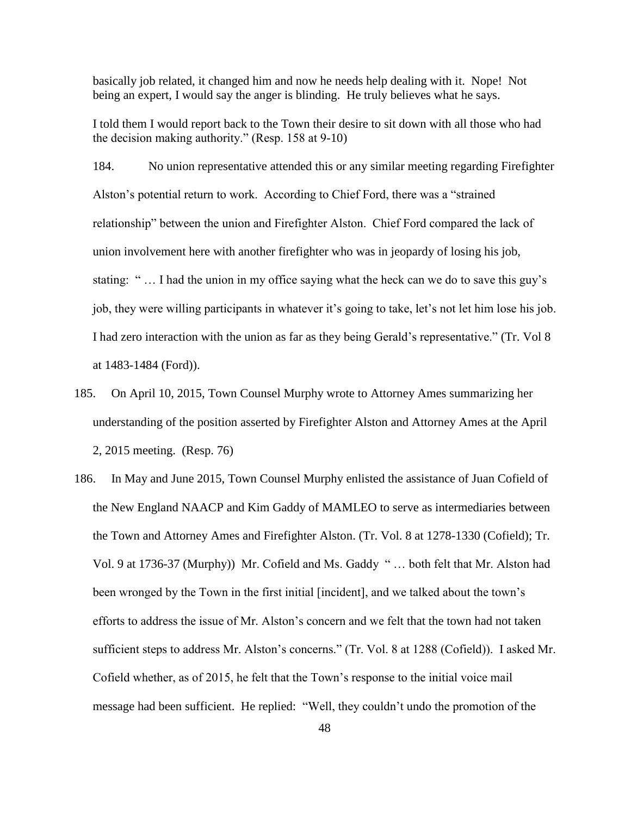basically job related, it changed him and now he needs help dealing with it. Nope! Not being an expert, I would say the anger is blinding. He truly believes what he says.

I told them I would report back to the Town their desire to sit down with all those who had the decision making authority." (Resp. 158 at 9-10)

184. No union representative attended this or any similar meeting regarding Firefighter Alston's potential return to work. According to Chief Ford, there was a "strained relationship" between the union and Firefighter Alston. Chief Ford compared the lack of union involvement here with another firefighter who was in jeopardy of losing his job, stating: " … I had the union in my office saying what the heck can we do to save this guy's job, they were willing participants in whatever it's going to take, let's not let him lose his job. I had zero interaction with the union as far as they being Gerald's representative." (Tr. Vol 8 at 1483-1484 (Ford)).

- 185. On April 10, 2015, Town Counsel Murphy wrote to Attorney Ames summarizing her understanding of the position asserted by Firefighter Alston and Attorney Ames at the April 2, 2015 meeting. (Resp. 76)
- 186. In May and June 2015, Town Counsel Murphy enlisted the assistance of Juan Cofield of the New England NAACP and Kim Gaddy of MAMLEO to serve as intermediaries between the Town and Attorney Ames and Firefighter Alston. (Tr. Vol. 8 at 1278-1330 (Cofield); Tr. Vol. 9 at 1736-37 (Murphy)) Mr. Cofield and Ms. Gaddy " … both felt that Mr. Alston had been wronged by the Town in the first initial [incident], and we talked about the town's efforts to address the issue of Mr. Alston's concern and we felt that the town had not taken sufficient steps to address Mr. Alston's concerns." (Tr. Vol. 8 at 1288 (Cofield)). I asked Mr. Cofield whether, as of 2015, he felt that the Town's response to the initial voice mail message had been sufficient. He replied: "Well, they couldn't undo the promotion of the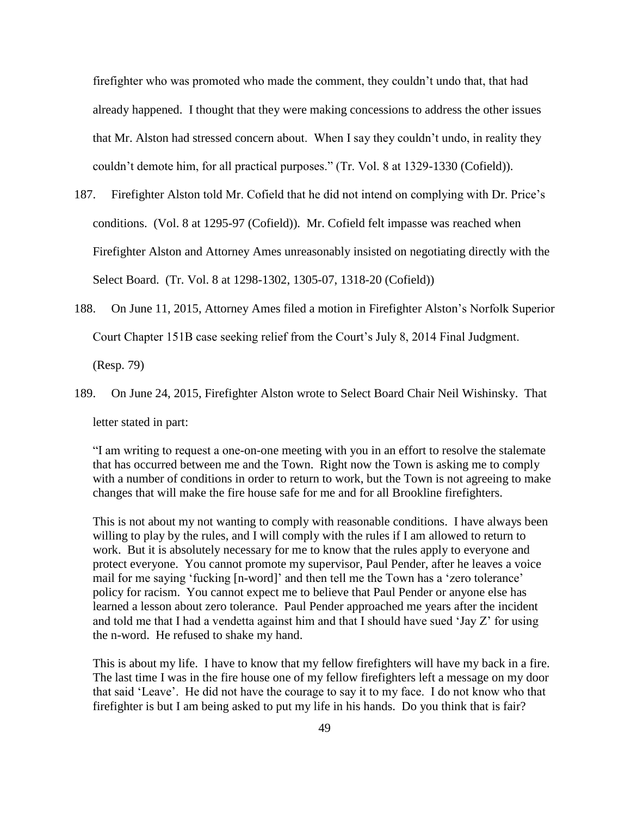firefighter who was promoted who made the comment, they couldn't undo that, that had already happened. I thought that they were making concessions to address the other issues that Mr. Alston had stressed concern about. When I say they couldn't undo, in reality they couldn't demote him, for all practical purposes." (Tr. Vol. 8 at 1329-1330 (Cofield)).

- 187. Firefighter Alston told Mr. Cofield that he did not intend on complying with Dr. Price's conditions. (Vol. 8 at 1295-97 (Cofield)). Mr. Cofield felt impasse was reached when Firefighter Alston and Attorney Ames unreasonably insisted on negotiating directly with the Select Board. (Tr. Vol. 8 at 1298-1302, 1305-07, 1318-20 (Cofield))
- 188. On June 11, 2015, Attorney Ames filed a motion in Firefighter Alston's Norfolk Superior Court Chapter 151B case seeking relief from the Court's July 8, 2014 Final Judgment.

(Resp. 79)

189. On June 24, 2015, Firefighter Alston wrote to Select Board Chair Neil Wishinsky. That letter stated in part:

"I am writing to request a one-on-one meeting with you in an effort to resolve the stalemate that has occurred between me and the Town. Right now the Town is asking me to comply with a number of conditions in order to return to work, but the Town is not agreeing to make changes that will make the fire house safe for me and for all Brookline firefighters.

This is not about my not wanting to comply with reasonable conditions. I have always been willing to play by the rules, and I will comply with the rules if I am allowed to return to work. But it is absolutely necessary for me to know that the rules apply to everyone and protect everyone. You cannot promote my supervisor, Paul Pender, after he leaves a voice mail for me saying 'fucking [n-word]' and then tell me the Town has a 'zero tolerance' policy for racism. You cannot expect me to believe that Paul Pender or anyone else has learned a lesson about zero tolerance. Paul Pender approached me years after the incident and told me that I had a vendetta against him and that I should have sued 'Jay  $Z$ ' for using the n-word. He refused to shake my hand.

This is about my life. I have to know that my fellow firefighters will have my back in a fire. The last time I was in the fire house one of my fellow firefighters left a message on my door that said 'Leave'. He did not have the courage to say it to my face. I do not know who that firefighter is but I am being asked to put my life in his hands. Do you think that is fair?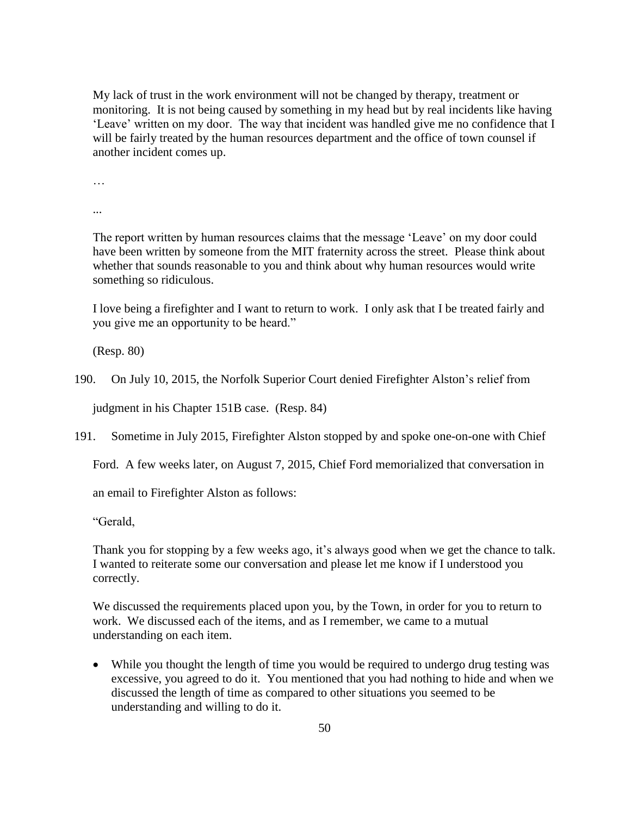My lack of trust in the work environment will not be changed by therapy, treatment or monitoring. It is not being caused by something in my head but by real incidents like having 'Leave' written on my door. The way that incident was handled give me no confidence that I will be fairly treated by the human resources department and the office of town counsel if another incident comes up.

…

...

The report written by human resources claims that the message 'Leave' on my door could have been written by someone from the MIT fraternity across the street. Please think about whether that sounds reasonable to you and think about why human resources would write something so ridiculous.

I love being a firefighter and I want to return to work. I only ask that I be treated fairly and you give me an opportunity to be heard."

(Resp. 80)

190. On July 10, 2015, the Norfolk Superior Court denied Firefighter Alston's relief from

judgment in his Chapter 151B case. (Resp. 84)

191. Sometime in July 2015, Firefighter Alston stopped by and spoke one-on-one with Chief

Ford. A few weeks later, on August 7, 2015, Chief Ford memorialized that conversation in

an email to Firefighter Alston as follows:

"Gerald,

Thank you for stopping by a few weeks ago, it's always good when we get the chance to talk. I wanted to reiterate some our conversation and please let me know if I understood you correctly.

We discussed the requirements placed upon you, by the Town, in order for you to return to work. We discussed each of the items, and as I remember, we came to a mutual understanding on each item.

 While you thought the length of time you would be required to undergo drug testing was excessive, you agreed to do it. You mentioned that you had nothing to hide and when we discussed the length of time as compared to other situations you seemed to be understanding and willing to do it.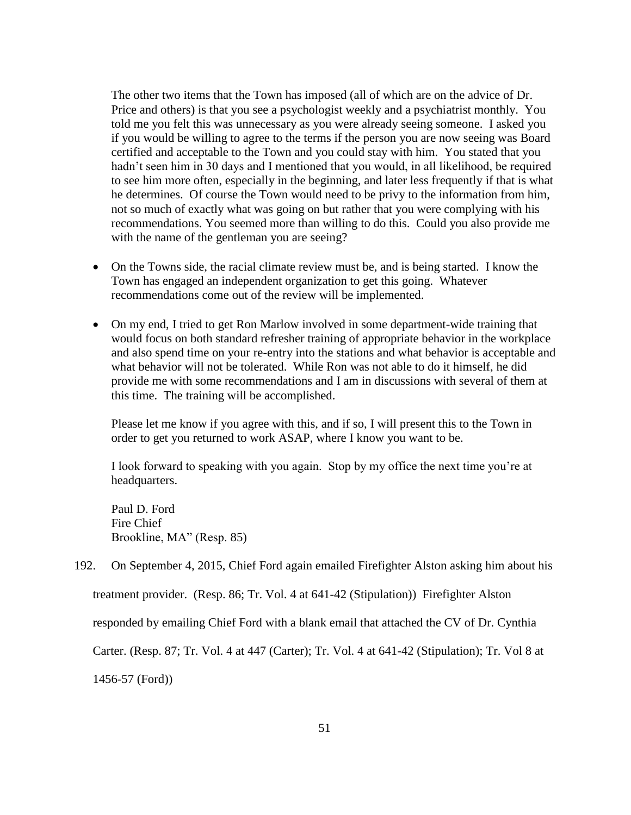The other two items that the Town has imposed (all of which are on the advice of Dr. Price and others) is that you see a psychologist weekly and a psychiatrist monthly. You told me you felt this was unnecessary as you were already seeing someone. I asked you if you would be willing to agree to the terms if the person you are now seeing was Board certified and acceptable to the Town and you could stay with him. You stated that you hadn't seen him in 30 days and I mentioned that you would, in all likelihood, be required to see him more often, especially in the beginning, and later less frequently if that is what he determines. Of course the Town would need to be privy to the information from him, not so much of exactly what was going on but rather that you were complying with his recommendations. You seemed more than willing to do this. Could you also provide me with the name of the gentleman you are seeing?

- On the Towns side, the racial climate review must be, and is being started. I know the Town has engaged an independent organization to get this going. Whatever recommendations come out of the review will be implemented.
- On my end, I tried to get Ron Marlow involved in some department-wide training that would focus on both standard refresher training of appropriate behavior in the workplace and also spend time on your re-entry into the stations and what behavior is acceptable and what behavior will not be tolerated. While Ron was not able to do it himself, he did provide me with some recommendations and I am in discussions with several of them at this time. The training will be accomplished.

Please let me know if you agree with this, and if so, I will present this to the Town in order to get you returned to work ASAP, where I know you want to be.

I look forward to speaking with you again. Stop by my office the next time you're at headquarters.

Paul D. Ford Fire Chief Brookline, MA" (Resp. 85)

192. On September 4, 2015, Chief Ford again emailed Firefighter Alston asking him about his

treatment provider. (Resp. 86; Tr. Vol. 4 at 641-42 (Stipulation))Firefighter Alston

responded by emailing Chief Ford with a blank email that attached the CV of Dr. Cynthia

Carter. (Resp. 87; Tr. Vol. 4 at 447 (Carter); Tr. Vol. 4 at 641-42 (Stipulation); Tr. Vol 8 at

1456-57 (Ford))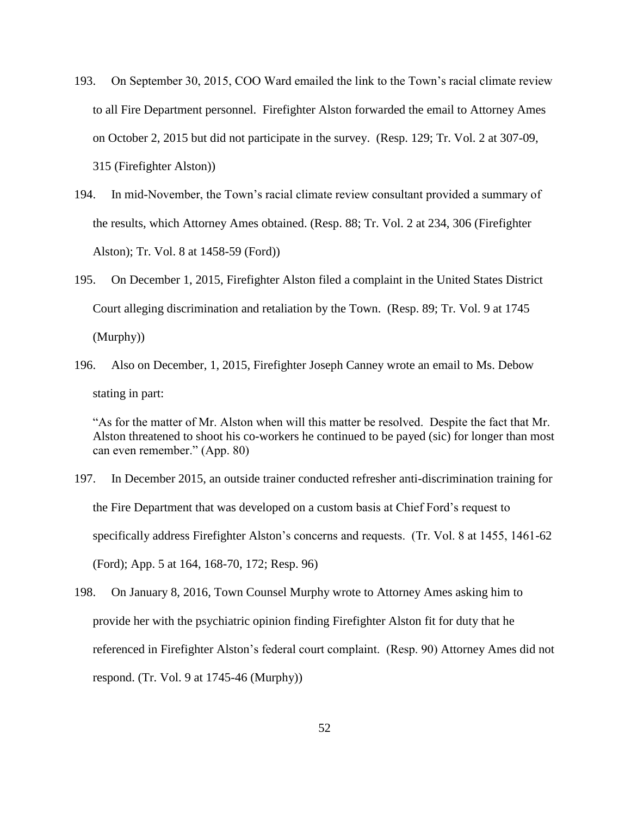- 193. On September 30, 2015, COO Ward emailed the link to the Town's racial climate review to all Fire Department personnel. Firefighter Alston forwarded the email to Attorney Ames on October 2, 2015 but did not participate in the survey. (Resp. 129; Tr. Vol. 2 at 307-09, 315 (Firefighter Alston))
- 194. In mid-November, the Town's racial climate review consultant provided a summary of the results, which Attorney Ames obtained. (Resp. 88; Tr. Vol. 2 at 234, 306 (Firefighter Alston); Tr. Vol. 8 at 1458-59 (Ford))
- 195. On December 1, 2015, Firefighter Alston filed a complaint in the United States District Court alleging discrimination and retaliation by the Town. (Resp. 89; Tr. Vol. 9 at 1745 (Murphy))
- 196. Also on December, 1, 2015, Firefighter Joseph Canney wrote an email to Ms. Debow stating in part:

"As for the matter of Mr. Alston when will this matter be resolved. Despite the fact that Mr. Alston threatened to shoot his co-workers he continued to be payed (sic) for longer than most can even remember." (App. 80)

- 197. In December 2015, an outside trainer conducted refresher anti-discrimination training for the Fire Department that was developed on a custom basis at Chief Ford's request to specifically address Firefighter Alston's concerns and requests. (Tr. Vol. 8 at 1455, 1461-62 (Ford); App. 5 at 164, 168-70, 172; Resp. 96)
- 198. On January 8, 2016, Town Counsel Murphy wrote to Attorney Ames asking him to provide her with the psychiatric opinion finding Firefighter Alston fit for duty that he referenced in Firefighter Alston's federal court complaint. (Resp. 90) Attorney Ames did not respond. (Tr. Vol. 9 at 1745-46 (Murphy))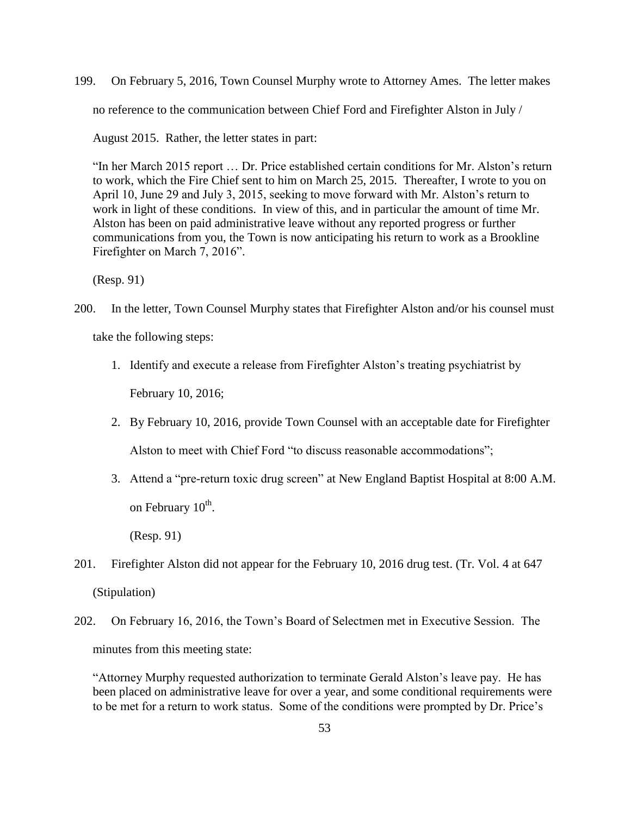199. On February 5, 2016, Town Counsel Murphy wrote to Attorney Ames. The letter makes no reference to the communication between Chief Ford and Firefighter Alston in July /

August 2015. Rather, the letter states in part:

"In her March 2015 report … Dr. Price established certain conditions for Mr. Alston's return to work, which the Fire Chief sent to him on March 25, 2015. Thereafter, I wrote to you on April 10, June 29 and July 3, 2015, seeking to move forward with Mr. Alston's return to work in light of these conditions. In view of this, and in particular the amount of time Mr. Alston has been on paid administrative leave without any reported progress or further communications from you, the Town is now anticipating his return to work as a Brookline Firefighter on March 7, 2016".

(Resp. 91)

- 200. In the letter, Town Counsel Murphy states that Firefighter Alston and/or his counsel must take the following steps:
	- 1. Identify and execute a release from Firefighter Alston's treating psychiatrist by February 10, 2016;
	- 2. By February 10, 2016, provide Town Counsel with an acceptable date for Firefighter Alston to meet with Chief Ford "to discuss reasonable accommodations";
	- 3. Attend a "pre-return toxic drug screen" at New England Baptist Hospital at 8:00 A.M. on February 10<sup>th</sup>.

(Resp. 91)

- 201. Firefighter Alston did not appear for the February 10, 2016 drug test. (Tr. Vol. 4 at 647 (Stipulation)
- 202. On February 16, 2016, the Town's Board of Selectmen met in Executive Session. The minutes from this meeting state:

"Attorney Murphy requested authorization to terminate Gerald Alston's leave pay. He has been placed on administrative leave for over a year, and some conditional requirements were to be met for a return to work status. Some of the conditions were prompted by Dr. Price's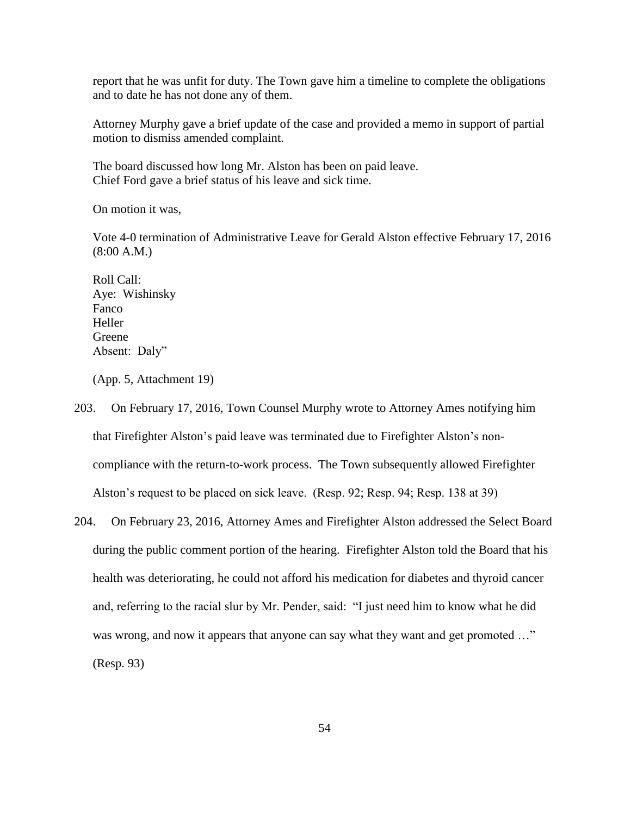report that he was unfit for duty. The Town gave him a timeline to complete the obligations and to date he has not done any of them.

Attorney Murphy gave a brief update of the case and provided a memo in support of partial motion to dismiss amended complaint.

The board discussed how long Mr. Alston has been on paid leave. Chief Ford gave a brief status of his leave and sick time.

On motion it was,

Vote 4-0 termination of Administrative Leave for Gerald Alston effective February 17, 2016 (8:00 A.M.)

Roll Call: Aye: Wishinsky Fanco Heller Greene Absent: Daly"

(App. 5, Attachment 19)

- 203. On February 17, 2016, Town Counsel Murphy wrote to Attorney Ames notifying him that Firefighter Alston's paid leave was terminated due to Firefighter Alston's noncompliance with the return-to-work process. The Town subsequently allowed Firefighter Alston's request to be placed on sick leave. (Resp. 92; Resp. 94; Resp. 138 at 39)
- 204. On February 23, 2016, Attorney Ames and Firefighter Alston addressed the Select Board during the public comment portion of the hearing. Firefighter Alston told the Board that his health was deteriorating, he could not afford his medication for diabetes and thyroid cancer and, referring to the racial slur by Mr. Pender, said: "I just need him to know what he did was wrong, and now it appears that anyone can say what they want and get promoted ..." (Resp. 93)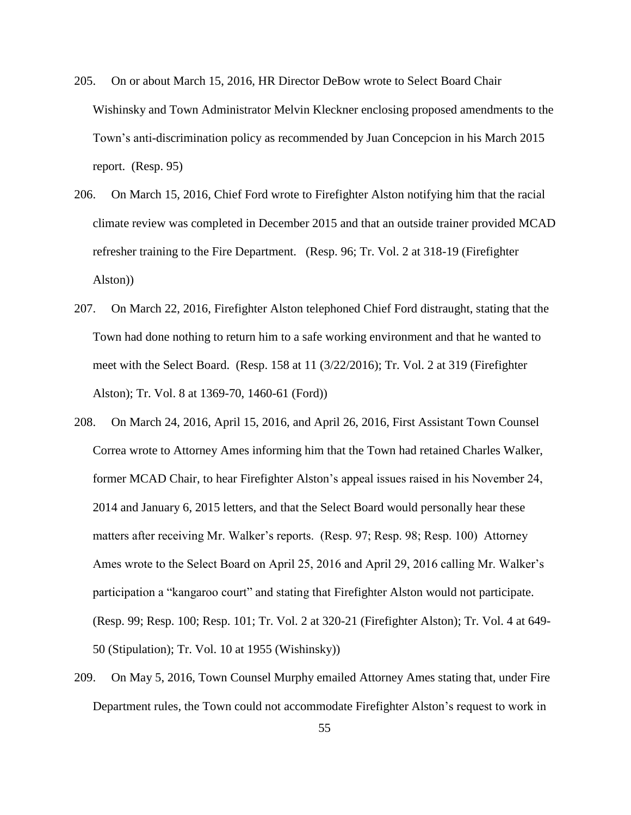- 205. On or about March 15, 2016, HR Director DeBow wrote to Select Board Chair Wishinsky and Town Administrator Melvin Kleckner enclosing proposed amendments to the Town's anti-discrimination policy as recommended by Juan Concepcion in his March 2015 report. (Resp. 95)
- 206. On March 15, 2016, Chief Ford wrote to Firefighter Alston notifying him that the racial climate review was completed in December 2015 and that an outside trainer provided MCAD refresher training to the Fire Department. (Resp. 96; Tr. Vol. 2 at 318-19 (Firefighter Alston))
- 207. On March 22, 2016, Firefighter Alston telephoned Chief Ford distraught, stating that the Town had done nothing to return him to a safe working environment and that he wanted to meet with the Select Board. (Resp. 158 at 11 (3/22/2016); Tr. Vol. 2 at 319 (Firefighter Alston); Tr. Vol. 8 at 1369-70, 1460-61 (Ford))
- 208. On March 24, 2016, April 15, 2016, and April 26, 2016, First Assistant Town Counsel Correa wrote to Attorney Ames informing him that the Town had retained Charles Walker, former MCAD Chair, to hear Firefighter Alston's appeal issues raised in his November 24, 2014 and January 6, 2015 letters, and that the Select Board would personally hear these matters after receiving Mr. Walker's reports. (Resp. 97; Resp. 98; Resp. 100) Attorney Ames wrote to the Select Board on April 25, 2016 and April 29, 2016 calling Mr. Walker's participation a "kangaroo court" and stating that Firefighter Alston would not participate. (Resp. 99; Resp. 100; Resp. 101; Tr. Vol. 2 at 320-21 (Firefighter Alston); Tr. Vol. 4 at 649- 50 (Stipulation); Tr. Vol. 10 at 1955 (Wishinsky))
- 209. On May 5, 2016, Town Counsel Murphy emailed Attorney Ames stating that, under Fire Department rules, the Town could not accommodate Firefighter Alston's request to work in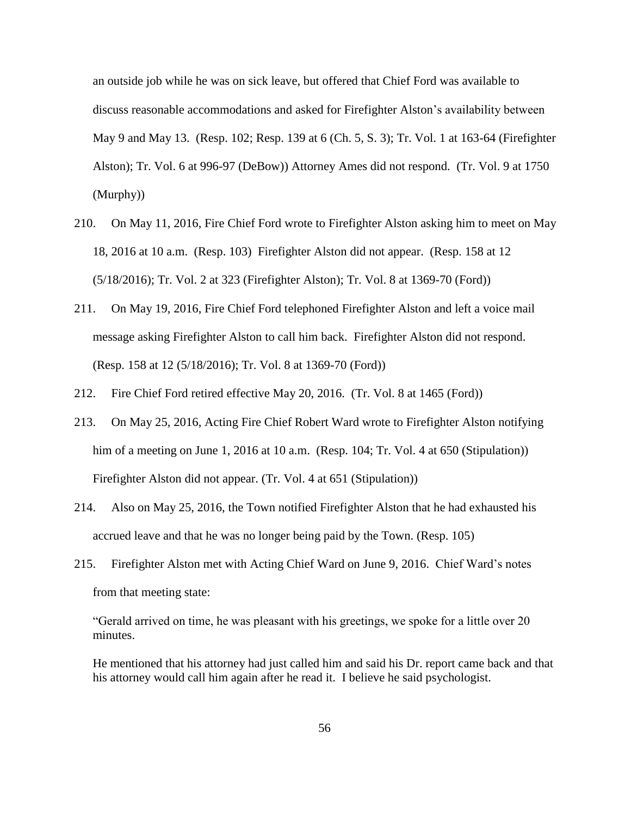an outside job while he was on sick leave, but offered that Chief Ford was available to discuss reasonable accommodations and asked for Firefighter Alston's availability between May 9 and May 13. (Resp. 102; Resp. 139 at 6 (Ch. 5, S. 3); Tr. Vol. 1 at 163-64 (Firefighter Alston); Tr. Vol. 6 at 996-97 (DeBow)) Attorney Ames did not respond. (Tr. Vol. 9 at 1750 (Murphy))

- 210. On May 11, 2016, Fire Chief Ford wrote to Firefighter Alston asking him to meet on May 18, 2016 at 10 a.m. (Resp. 103) Firefighter Alston did not appear. (Resp. 158 at 12 (5/18/2016); Tr. Vol. 2 at 323 (Firefighter Alston); Tr. Vol. 8 at 1369-70 (Ford))
- 211. On May 19, 2016, Fire Chief Ford telephoned Firefighter Alston and left a voice mail message asking Firefighter Alston to call him back. Firefighter Alston did not respond. (Resp. 158 at 12 (5/18/2016); Tr. Vol. 8 at 1369-70 (Ford))
- 212. Fire Chief Ford retired effective May 20, 2016. (Tr. Vol. 8 at 1465 (Ford))
- 213. On May 25, 2016, Acting Fire Chief Robert Ward wrote to Firefighter Alston notifying him of a meeting on June 1, 2016 at 10 a.m. (Resp. 104; Tr. Vol. 4 at 650 (Stipulation)) Firefighter Alston did not appear. (Tr. Vol. 4 at 651 (Stipulation))
- 214. Also on May 25, 2016, the Town notified Firefighter Alston that he had exhausted his accrued leave and that he was no longer being paid by the Town. (Resp. 105)
- 215. Firefighter Alston met with Acting Chief Ward on June 9, 2016. Chief Ward's notes from that meeting state:

"Gerald arrived on time, he was pleasant with his greetings, we spoke for a little over 20 minutes.

He mentioned that his attorney had just called him and said his Dr. report came back and that his attorney would call him again after he read it. I believe he said psychologist.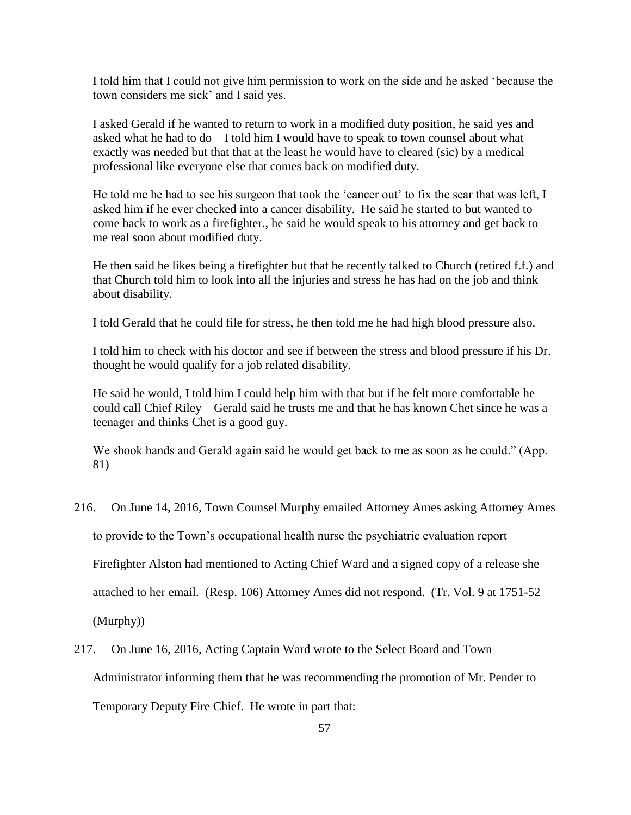I told him that I could not give him permission to work on the side and he asked 'because the town considers me sick' and I said yes.

I asked Gerald if he wanted to return to work in a modified duty position, he said yes and asked what he had to do – I told him I would have to speak to town counsel about what exactly was needed but that that at the least he would have to cleared (sic) by a medical professional like everyone else that comes back on modified duty.

He told me he had to see his surgeon that took the 'cancer out' to fix the scar that was left, I asked him if he ever checked into a cancer disability. He said he started to but wanted to come back to work as a firefighter., he said he would speak to his attorney and get back to me real soon about modified duty.

He then said he likes being a firefighter but that he recently talked to Church (retired f.f.) and that Church told him to look into all the injuries and stress he has had on the job and think about disability.

I told Gerald that he could file for stress, he then told me he had high blood pressure also.

I told him to check with his doctor and see if between the stress and blood pressure if his Dr. thought he would qualify for a job related disability.

He said he would, I told him I could help him with that but if he felt more comfortable he could call Chief Riley – Gerald said he trusts me and that he has known Chet since he was a teenager and thinks Chet is a good guy.

We shook hands and Gerald again said he would get back to me as soon as he could." (App. 81)

- 216. On June 14, 2016, Town Counsel Murphy emailed Attorney Ames asking Attorney Ames to provide to the Town's occupational health nurse the psychiatric evaluation report Firefighter Alston had mentioned to Acting Chief Ward and a signed copy of a release she attached to her email. (Resp. 106) Attorney Ames did not respond. (Tr. Vol. 9 at 1751-52 (Murphy))
- 217. On June 16, 2016, Acting Captain Ward wrote to the Select Board and Town Administrator informing them that he was recommending the promotion of Mr. Pender to Temporary Deputy Fire Chief. He wrote in part that: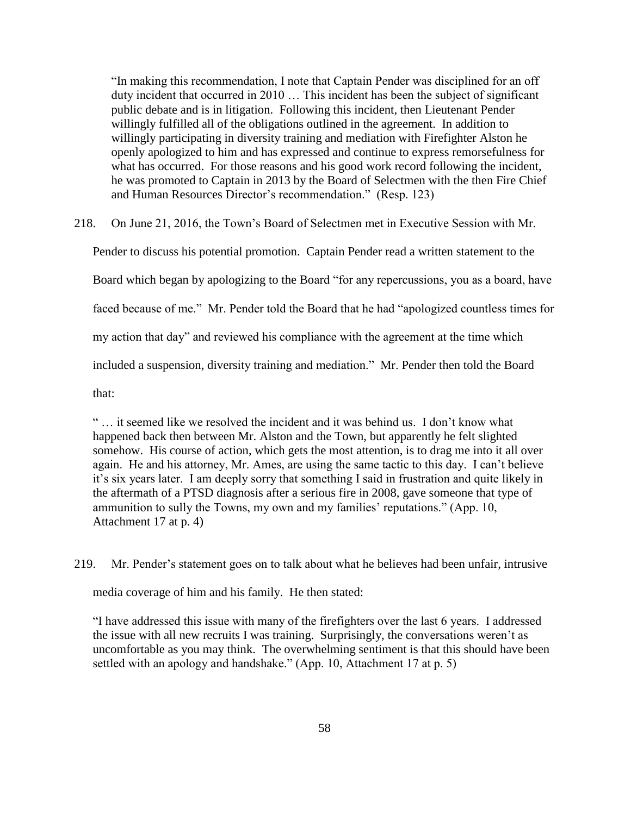"In making this recommendation, I note that Captain Pender was disciplined for an off duty incident that occurred in 2010 … This incident has been the subject of significant public debate and is in litigation. Following this incident, then Lieutenant Pender willingly fulfilled all of the obligations outlined in the agreement. In addition to willingly participating in diversity training and mediation with Firefighter Alston he openly apologized to him and has expressed and continue to express remorsefulness for what has occurred. For those reasons and his good work record following the incident, he was promoted to Captain in 2013 by the Board of Selectmen with the then Fire Chief and Human Resources Director's recommendation." (Resp. 123)

218. On June 21, 2016, the Town's Board of Selectmen met in Executive Session with Mr.

Pender to discuss his potential promotion. Captain Pender read a written statement to the

Board which began by apologizing to the Board "for any repercussions, you as a board, have

faced because of me." Mr. Pender told the Board that he had "apologized countless times for

my action that day" and reviewed his compliance with the agreement at the time which

included a suspension, diversity training and mediation." Mr. Pender then told the Board

that:

" … it seemed like we resolved the incident and it was behind us. I don't know what happened back then between Mr. Alston and the Town, but apparently he felt slighted somehow. His course of action, which gets the most attention, is to drag me into it all over again. He and his attorney, Mr. Ames, are using the same tactic to this day. I can't believe it's six years later. I am deeply sorry that something I said in frustration and quite likely in the aftermath of a PTSD diagnosis after a serious fire in 2008, gave someone that type of ammunition to sully the Towns, my own and my families' reputations." (App. 10, Attachment 17 at p. 4)

219. Mr. Pender's statement goes on to talk about what he believes had been unfair, intrusive

media coverage of him and his family. He then stated:

"I have addressed this issue with many of the firefighters over the last 6 years. I addressed the issue with all new recruits I was training. Surprisingly, the conversations weren't as uncomfortable as you may think. The overwhelming sentiment is that this should have been settled with an apology and handshake." (App. 10, Attachment 17 at p. 5)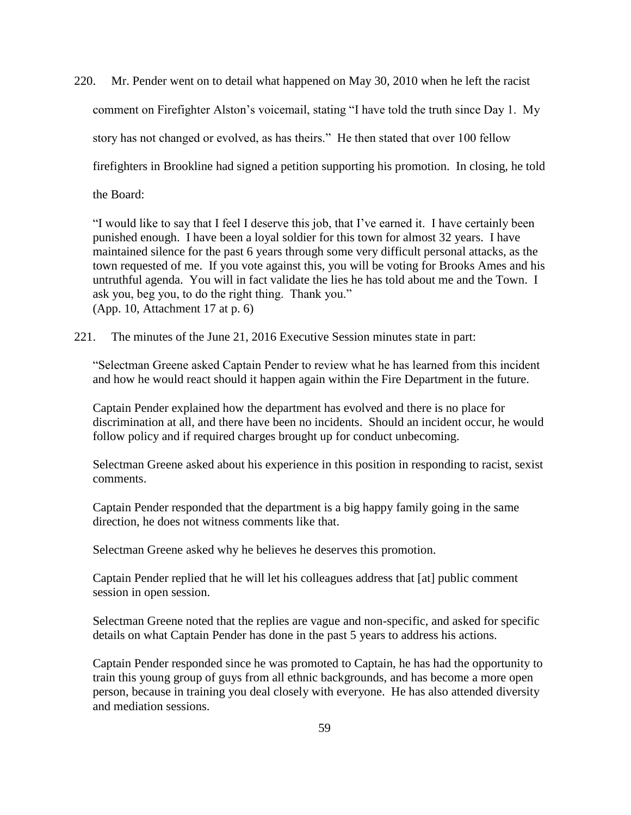220. Mr. Pender went on to detail what happened on May 30, 2010 when he left the racist comment on Firefighter Alston's voicemail, stating "I have told the truth since Day 1. My story has not changed or evolved, as has theirs." He then stated that over 100 fellow firefighters in Brookline had signed a petition supporting his promotion. In closing, he told the Board:

"I would like to say that I feel I deserve this job, that I've earned it. I have certainly been punished enough. I have been a loyal soldier for this town for almost 32 years. I have maintained silence for the past 6 years through some very difficult personal attacks, as the town requested of me. If you vote against this, you will be voting for Brooks Ames and his untruthful agenda. You will in fact validate the lies he has told about me and the Town. I ask you, beg you, to do the right thing. Thank you." (App. 10, Attachment 17 at p. 6)

221. The minutes of the June 21, 2016 Executive Session minutes state in part:

"Selectman Greene asked Captain Pender to review what he has learned from this incident and how he would react should it happen again within the Fire Department in the future.

Captain Pender explained how the department has evolved and there is no place for discrimination at all, and there have been no incidents. Should an incident occur, he would follow policy and if required charges brought up for conduct unbecoming.

Selectman Greene asked about his experience in this position in responding to racist, sexist comments.

Captain Pender responded that the department is a big happy family going in the same direction, he does not witness comments like that.

Selectman Greene asked why he believes he deserves this promotion.

Captain Pender replied that he will let his colleagues address that [at] public comment session in open session.

Selectman Greene noted that the replies are vague and non-specific, and asked for specific details on what Captain Pender has done in the past 5 years to address his actions.

Captain Pender responded since he was promoted to Captain, he has had the opportunity to train this young group of guys from all ethnic backgrounds, and has become a more open person, because in training you deal closely with everyone. He has also attended diversity and mediation sessions.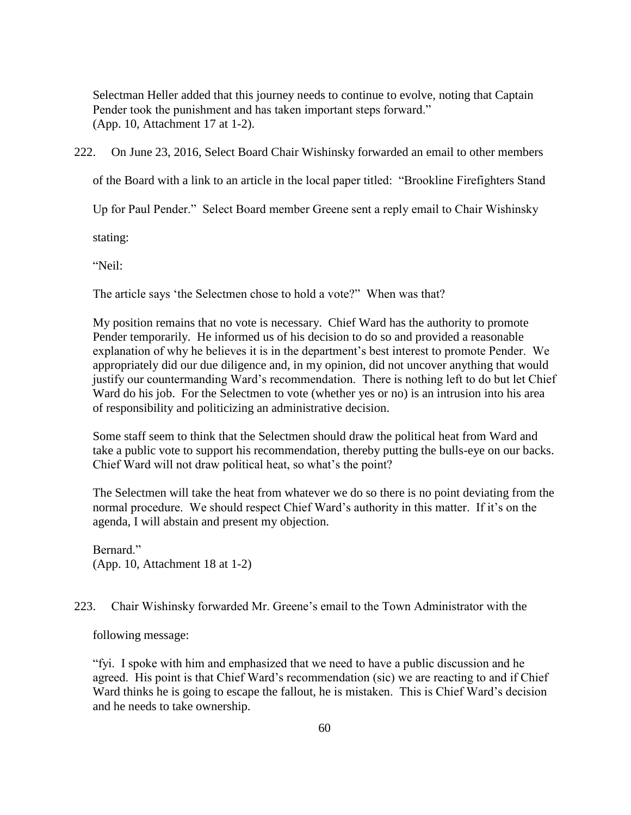Selectman Heller added that this journey needs to continue to evolve, noting that Captain Pender took the punishment and has taken important steps forward." (App. 10, Attachment 17 at 1-2).

222. On June 23, 2016, Select Board Chair Wishinsky forwarded an email to other members

of the Board with a link to an article in the local paper titled: "Brookline Firefighters Stand

Up for Paul Pender." Select Board member Greene sent a reply email to Chair Wishinsky

stating:

"Neil:

The article says 'the Selectmen chose to hold a vote?" When was that?

My position remains that no vote is necessary. Chief Ward has the authority to promote Pender temporarily. He informed us of his decision to do so and provided a reasonable explanation of why he believes it is in the department's best interest to promote Pender. We appropriately did our due diligence and, in my opinion, did not uncover anything that would justify our countermanding Ward's recommendation. There is nothing left to do but let Chief Ward do his job. For the Selectmen to vote (whether yes or no) is an intrusion into his area of responsibility and politicizing an administrative decision.

Some staff seem to think that the Selectmen should draw the political heat from Ward and take a public vote to support his recommendation, thereby putting the bulls-eye on our backs. Chief Ward will not draw political heat, so what's the point?

The Selectmen will take the heat from whatever we do so there is no point deviating from the normal procedure. We should respect Chief Ward's authority in this matter. If it's on the agenda, I will abstain and present my objection.

Bernard." (App. 10, Attachment 18 at 1-2)

# 223. Chair Wishinsky forwarded Mr. Greene's email to the Town Administrator with the

following message:

"fyi. I spoke with him and emphasized that we need to have a public discussion and he agreed. His point is that Chief Ward's recommendation (sic) we are reacting to and if Chief Ward thinks he is going to escape the fallout, he is mistaken. This is Chief Ward's decision and he needs to take ownership.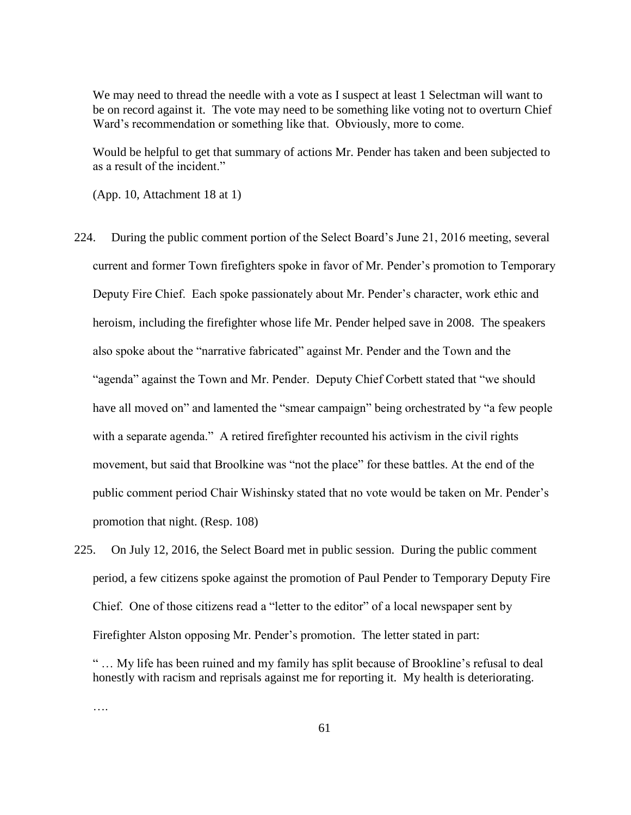We may need to thread the needle with a vote as I suspect at least 1 Selectman will want to be on record against it. The vote may need to be something like voting not to overturn Chief Ward's recommendation or something like that. Obviously, more to come.

Would be helpful to get that summary of actions Mr. Pender has taken and been subjected to as a result of the incident."

(App. 10, Attachment 18 at 1)

- 224. During the public comment portion of the Select Board's June 21, 2016 meeting, several current and former Town firefighters spoke in favor of Mr. Pender's promotion to Temporary Deputy Fire Chief. Each spoke passionately about Mr. Pender's character, work ethic and heroism, including the firefighter whose life Mr. Pender helped save in 2008. The speakers also spoke about the "narrative fabricated" against Mr. Pender and the Town and the "agenda" against the Town and Mr. Pender. Deputy Chief Corbett stated that "we should have all moved on" and lamented the "smear campaign" being orchestrated by "a few people with a separate agenda." A retired firefighter recounted his activism in the civil rights movement, but said that Broolkine was "not the place" for these battles. At the end of the public comment period Chair Wishinsky stated that no vote would be taken on Mr. Pender's promotion that night. (Resp. 108)
- 225. On July 12, 2016, the Select Board met in public session. During the public comment period, a few citizens spoke against the promotion of Paul Pender to Temporary Deputy Fire Chief. One of those citizens read a "letter to the editor" of a local newspaper sent by Firefighter Alston opposing Mr. Pender's promotion. The letter stated in part:

….

<sup>&</sup>quot; … My life has been ruined and my family has split because of Brookline's refusal to deal honestly with racism and reprisals against me for reporting it. My health is deteriorating.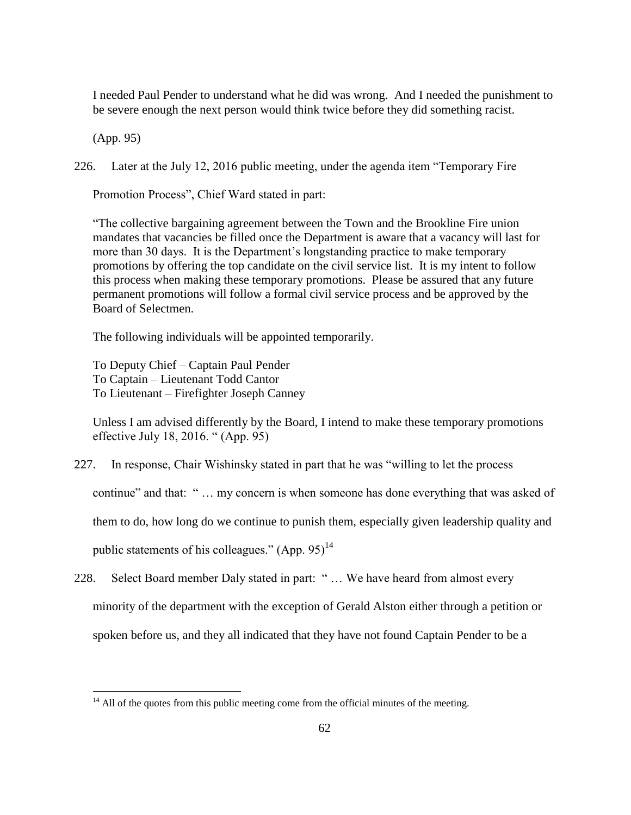I needed Paul Pender to understand what he did was wrong. And I needed the punishment to be severe enough the next person would think twice before they did something racist.

(App. 95)

 $\overline{a}$ 

226. Later at the July 12, 2016 public meeting, under the agenda item "Temporary Fire

Promotion Process", Chief Ward stated in part:

"The collective bargaining agreement between the Town and the Brookline Fire union mandates that vacancies be filled once the Department is aware that a vacancy will last for more than 30 days. It is the Department's longstanding practice to make temporary promotions by offering the top candidate on the civil service list. It is my intent to follow this process when making these temporary promotions. Please be assured that any future permanent promotions will follow a formal civil service process and be approved by the Board of Selectmen.

The following individuals will be appointed temporarily.

To Deputy Chief – Captain Paul Pender To Captain – Lieutenant Todd Cantor To Lieutenant – Firefighter Joseph Canney

Unless I am advised differently by the Board, I intend to make these temporary promotions effective July 18, 2016. " (App. 95)

227. In response, Chair Wishinsky stated in part that he was "willing to let the process

continue" and that: " … my concern is when someone has done everything that was asked of

them to do, how long do we continue to punish them, especially given leadership quality and

public statements of his colleagues."  $(App. 95)^{14}$ 

228. Select Board member Daly stated in part: " … We have heard from almost every minority of the department with the exception of Gerald Alston either through a petition or spoken before us, and they all indicated that they have not found Captain Pender to be a

 $14$  All of the quotes from this public meeting come from the official minutes of the meeting.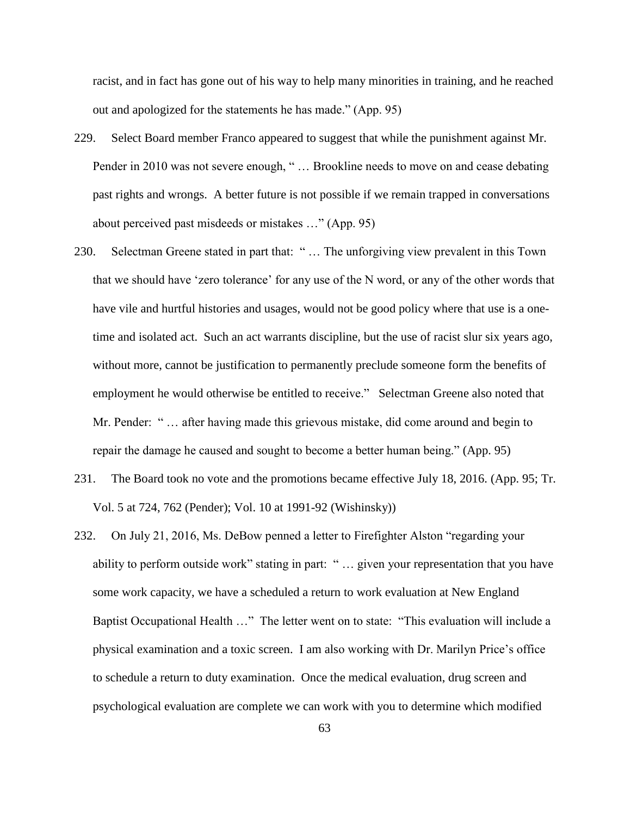racist, and in fact has gone out of his way to help many minorities in training, and he reached out and apologized for the statements he has made." (App. 95)

- 229. Select Board member Franco appeared to suggest that while the punishment against Mr. Pender in 2010 was not severe enough, "... Brookline needs to move on and cease debating past rights and wrongs. A better future is not possible if we remain trapped in conversations about perceived past misdeeds or mistakes …" (App. 95)
- 230. Selectman Greene stated in part that: " … The unforgiving view prevalent in this Town that we should have 'zero tolerance' for any use of the N word, or any of the other words that have vile and hurtful histories and usages, would not be good policy where that use is a onetime and isolated act. Such an act warrants discipline, but the use of racist slur six years ago, without more, cannot be justification to permanently preclude someone form the benefits of employment he would otherwise be entitled to receive." Selectman Greene also noted that Mr. Pender: " … after having made this grievous mistake, did come around and begin to repair the damage he caused and sought to become a better human being." (App. 95)
- 231. The Board took no vote and the promotions became effective July 18, 2016. (App. 95; Tr. Vol. 5 at 724, 762 (Pender); Vol. 10 at 1991-92 (Wishinsky))
- 232. On July 21, 2016, Ms. DeBow penned a letter to Firefighter Alston "regarding your ability to perform outside work" stating in part: " … given your representation that you have some work capacity, we have a scheduled a return to work evaluation at New England Baptist Occupational Health …" The letter went on to state: "This evaluation will include a physical examination and a toxic screen. I am also working with Dr. Marilyn Price's office to schedule a return to duty examination. Once the medical evaluation, drug screen and psychological evaluation are complete we can work with you to determine which modified

63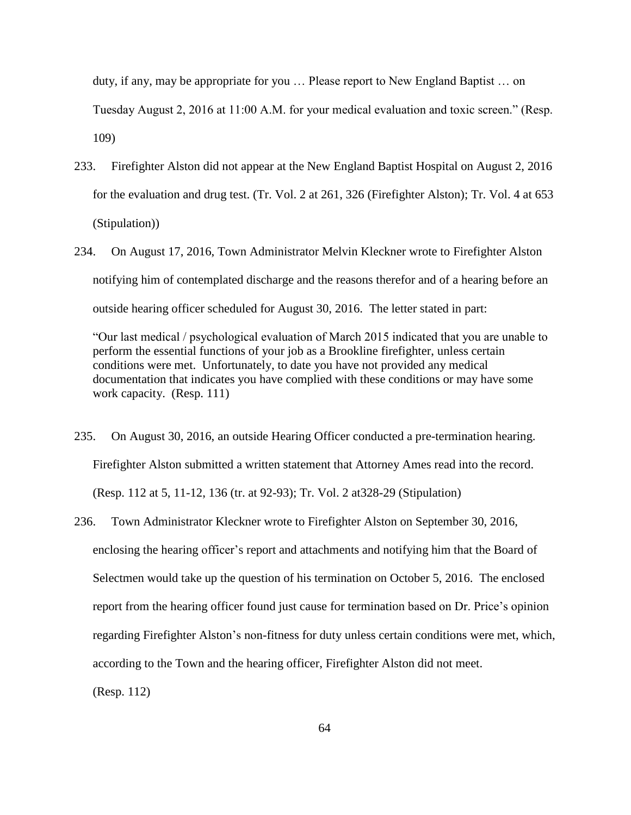duty, if any, may be appropriate for you … Please report to New England Baptist … on Tuesday August 2, 2016 at 11:00 A.M. for your medical evaluation and toxic screen." (Resp. 109)

- 233. Firefighter Alston did not appear at the New England Baptist Hospital on August 2, 2016 for the evaluation and drug test. (Tr. Vol. 2 at 261, 326 (Firefighter Alston); Tr. Vol. 4 at 653 (Stipulation))
- 234. On August 17, 2016, Town Administrator Melvin Kleckner wrote to Firefighter Alston notifying him of contemplated discharge and the reasons therefor and of a hearing before an outside hearing officer scheduled for August 30, 2016. The letter stated in part:

"Our last medical / psychological evaluation of March 2015 indicated that you are unable to perform the essential functions of your job as a Brookline firefighter, unless certain conditions were met. Unfortunately, to date you have not provided any medical documentation that indicates you have complied with these conditions or may have some work capacity. (Resp. 111)

- 235. On August 30, 2016, an outside Hearing Officer conducted a pre-termination hearing. Firefighter Alston submitted a written statement that Attorney Ames read into the record. (Resp. 112 at 5, 11-12, 136 (tr. at 92-93); Tr. Vol. 2 at328-29 (Stipulation)
- 236. Town Administrator Kleckner wrote to Firefighter Alston on September 30, 2016, enclosing the hearing officer's report and attachments and notifying him that the Board of Selectmen would take up the question of his termination on October 5, 2016. The enclosed report from the hearing officer found just cause for termination based on Dr. Price's opinion regarding Firefighter Alston's non-fitness for duty unless certain conditions were met, which, according to the Town and the hearing officer, Firefighter Alston did not meet.

(Resp. 112)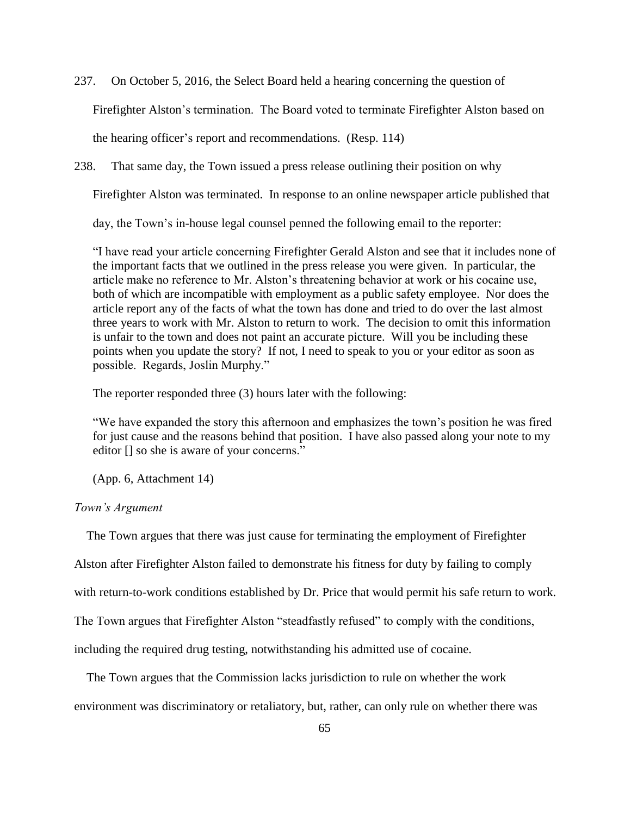237. On October 5, 2016, the Select Board held a hearing concerning the question of Firefighter Alston's termination. The Board voted to terminate Firefighter Alston based on the hearing officer's report and recommendations. (Resp. 114)

238. That same day, the Town issued a press release outlining their position on why

Firefighter Alston was terminated. In response to an online newspaper article published that

day, the Town's in-house legal counsel penned the following email to the reporter:

"I have read your article concerning Firefighter Gerald Alston and see that it includes none of the important facts that we outlined in the press release you were given. In particular, the article make no reference to Mr. Alston's threatening behavior at work or his cocaine use, both of which are incompatible with employment as a public safety employee. Nor does the article report any of the facts of what the town has done and tried to do over the last almost three years to work with Mr. Alston to return to work. The decision to omit this information is unfair to the town and does not paint an accurate picture. Will you be including these points when you update the story? If not, I need to speak to you or your editor as soon as possible. Regards, Joslin Murphy."

The reporter responded three (3) hours later with the following:

"We have expanded the story this afternoon and emphasizes the town's position he was fired for just cause and the reasons behind that position. I have also passed along your note to my editor [] so she is aware of your concerns."

(App. 6, Attachment 14)

# *Town's Argument*

The Town argues that there was just cause for terminating the employment of Firefighter

Alston after Firefighter Alston failed to demonstrate his fitness for duty by failing to comply

with return-to-work conditions established by Dr. Price that would permit his safe return to work.

The Town argues that Firefighter Alston "steadfastly refused" to comply with the conditions,

including the required drug testing, notwithstanding his admitted use of cocaine.

 The Town argues that the Commission lacks jurisdiction to rule on whether the work environment was discriminatory or retaliatory, but, rather, can only rule on whether there was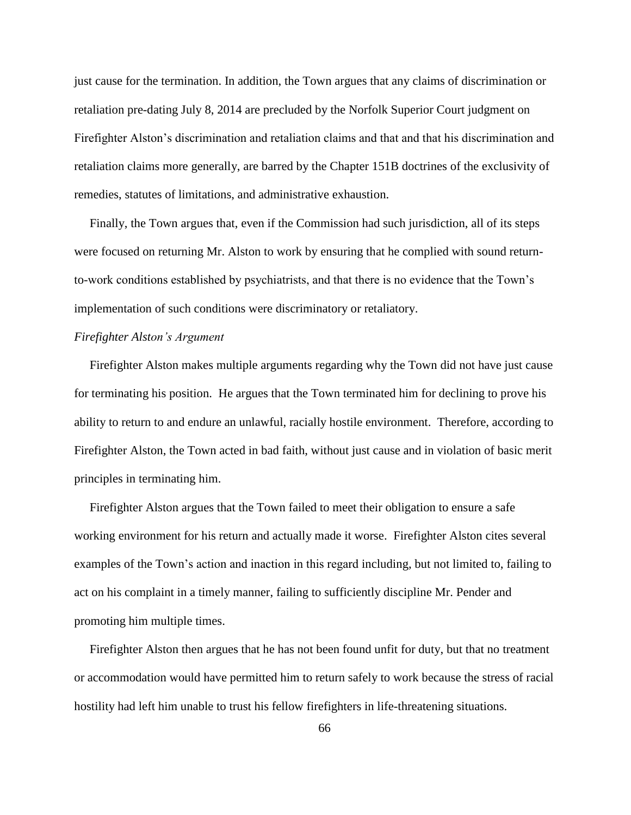just cause for the termination. In addition, the Town argues that any claims of discrimination or retaliation pre-dating July 8, 2014 are precluded by the Norfolk Superior Court judgment on Firefighter Alston's discrimination and retaliation claims and that and that his discrimination and retaliation claims more generally, are barred by the Chapter 151B doctrines of the exclusivity of remedies, statutes of limitations, and administrative exhaustion.

 Finally, the Town argues that, even if the Commission had such jurisdiction, all of its steps were focused on returning Mr. Alston to work by ensuring that he complied with sound returnto-work conditions established by psychiatrists, and that there is no evidence that the Town's implementation of such conditions were discriminatory or retaliatory.

# *Firefighter Alston's Argument*

 Firefighter Alston makes multiple arguments regarding why the Town did not have just cause for terminating his position. He argues that the Town terminated him for declining to prove his ability to return to and endure an unlawful, racially hostile environment. Therefore, according to Firefighter Alston, the Town acted in bad faith, without just cause and in violation of basic merit principles in terminating him.

 Firefighter Alston argues that the Town failed to meet their obligation to ensure a safe working environment for his return and actually made it worse. Firefighter Alston cites several examples of the Town's action and inaction in this regard including, but not limited to, failing to act on his complaint in a timely manner, failing to sufficiently discipline Mr. Pender and promoting him multiple times.

 Firefighter Alston then argues that he has not been found unfit for duty, but that no treatment or accommodation would have permitted him to return safely to work because the stress of racial hostility had left him unable to trust his fellow firefighters in life-threatening situations.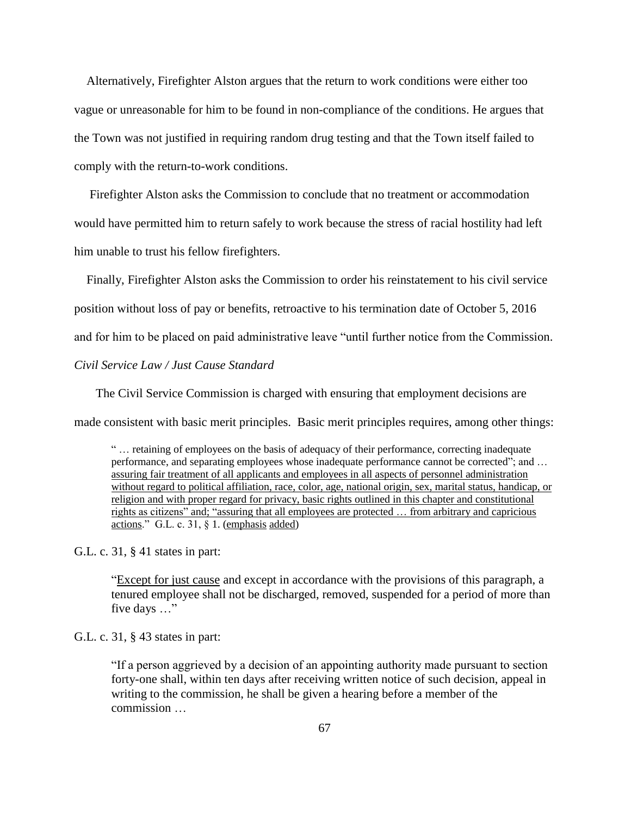Alternatively, Firefighter Alston argues that the return to work conditions were either too vague or unreasonable for him to be found in non-compliance of the conditions. He argues that the Town was not justified in requiring random drug testing and that the Town itself failed to comply with the return-to-work conditions.

 Firefighter Alston asks the Commission to conclude that no treatment or accommodation would have permitted him to return safely to work because the stress of racial hostility had left him unable to trust his fellow firefighters.

 Finally, Firefighter Alston asks the Commission to order his reinstatement to his civil service position without loss of pay or benefits, retroactive to his termination date of October 5, 2016 and for him to be placed on paid administrative leave "until further notice from the Commission. *Civil Service Law / Just Cause Standard*

 The Civil Service Commission is charged with ensuring that employment decisions are made consistent with basic merit principles. Basic merit principles requires, among other things:

" … retaining of employees on the basis of adequacy of their performance, correcting inadequate performance, and separating employees whose inadequate performance cannot be corrected"; and … assuring fair treatment of all applicants and employees in all aspects of personnel administration without regard to political affiliation, race, color, age, national origin, sex, marital status, handicap, or religion and with proper regard for privacy, basic rights outlined in this chapter and constitutional rights as citizens" and; "assuring that all employees are protected … from arbitrary and capricious actions." G.L. c. 31, § 1. (emphasis added)

G.L. c. 31, § 41 states in part:

"Except for just cause and except in accordance with the provisions of this paragraph, a tenured employee shall not be discharged, removed, suspended for a period of more than five days …"

G.L. c. 31, § 43 states in part:

"If a person aggrieved by a decision of an appointing authority made pursuant to section forty-one shall, within ten days after receiving written notice of such decision, appeal in writing to the commission, he shall be given a hearing before a member of the commission …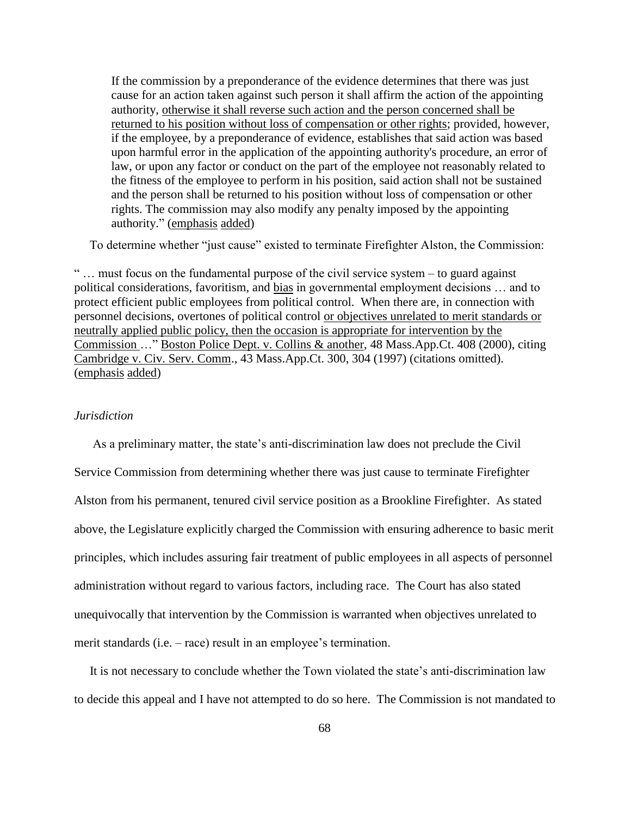If the commission by a preponderance of the evidence determines that there was just cause for an action taken against such person it shall affirm the action of the appointing authority, otherwise it shall reverse such action and the person concerned shall be returned to his position without loss of compensation or other rights; provided, however, if the employee, by a preponderance of evidence, establishes that said action was based upon harmful error in the application of the appointing authority's procedure, an error of law, or upon any factor or conduct on the part of the employee not reasonably related to the fitness of the employee to perform in his position, said action shall not be sustained and the person shall be returned to his position without loss of compensation or other rights. The commission may also modify any penalty imposed by the appointing authority." (emphasis added)

To determine whether "just cause" existed to terminate Firefighter Alston, the Commission:

" … must focus on the fundamental purpose of the civil service system – to guard against political considerations, favoritism, and bias in governmental employment decisions … and to protect efficient public employees from political control. When there are, in connection with personnel decisions, overtones of political control or objectives unrelated to merit standards or neutrally applied public policy, then the occasion is appropriate for intervention by the Commission …" Boston Police Dept. v. Collins & another, 48 Mass.App.Ct. 408 (2000), citing Cambridge v. Civ. Serv. Comm., 43 Mass.App.Ct. 300, 304 (1997) (citations omitted). (emphasis added)

### *Jurisdiction*

 As a preliminary matter, the state's anti-discrimination law does not preclude the Civil Service Commission from determining whether there was just cause to terminate Firefighter Alston from his permanent, tenured civil service position as a Brookline Firefighter. As stated above, the Legislature explicitly charged the Commission with ensuring adherence to basic merit principles, which includes assuring fair treatment of public employees in all aspects of personnel administration without regard to various factors, including race. The Court has also stated unequivocally that intervention by the Commission is warranted when objectives unrelated to merit standards (i.e. – race) result in an employee's termination.

 It is not necessary to conclude whether the Town violated the state's anti-discrimination law to decide this appeal and I have not attempted to do so here. The Commission is not mandated to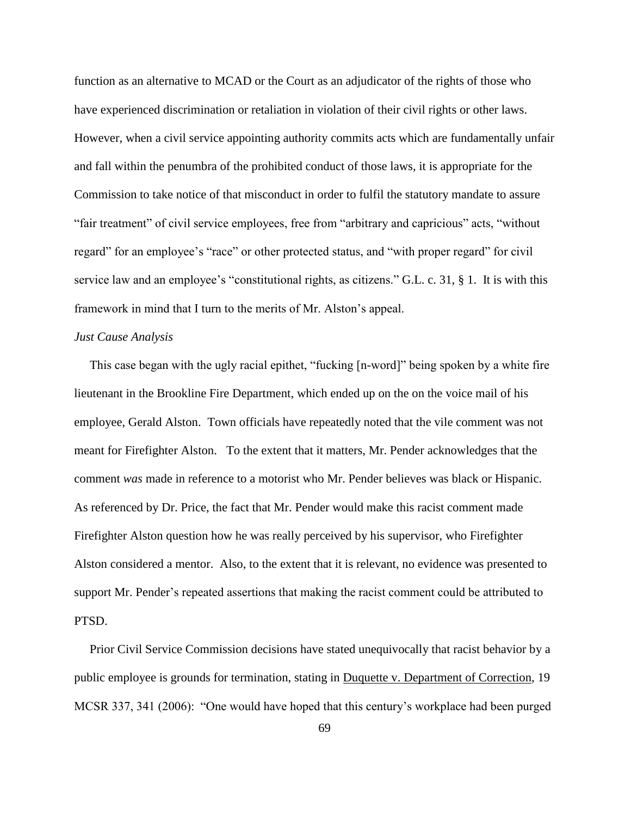function as an alternative to MCAD or the Court as an adjudicator of the rights of those who have experienced discrimination or retaliation in violation of their civil rights or other laws. However, when a civil service appointing authority commits acts which are fundamentally unfair and fall within the penumbra of the prohibited conduct of those laws, it is appropriate for the Commission to take notice of that misconduct in order to fulfil the statutory mandate to assure "fair treatment" of civil service employees, free from "arbitrary and capricious" acts, "without regard" for an employee's "race" or other protected status, and "with proper regard" for civil service law and an employee's "constitutional rights, as citizens." G.L. c. 31, § 1. It is with this framework in mind that I turn to the merits of Mr. Alston's appeal.

## *Just Cause Analysis*

 This case began with the ugly racial epithet, "fucking [n-word]" being spoken by a white fire lieutenant in the Brookline Fire Department, which ended up on the on the voice mail of his employee, Gerald Alston. Town officials have repeatedly noted that the vile comment was not meant for Firefighter Alston. To the extent that it matters, Mr. Pender acknowledges that the comment *was* made in reference to a motorist who Mr. Pender believes was black or Hispanic. As referenced by Dr. Price, the fact that Mr. Pender would make this racist comment made Firefighter Alston question how he was really perceived by his supervisor, who Firefighter Alston considered a mentor. Also, to the extent that it is relevant, no evidence was presented to support Mr. Pender's repeated assertions that making the racist comment could be attributed to PTSD.

 Prior Civil Service Commission decisions have stated unequivocally that racist behavior by a public employee is grounds for termination, stating in Duquette v. Department of Correction, 19 MCSR 337, 341 (2006): "One would have hoped that this century's workplace had been purged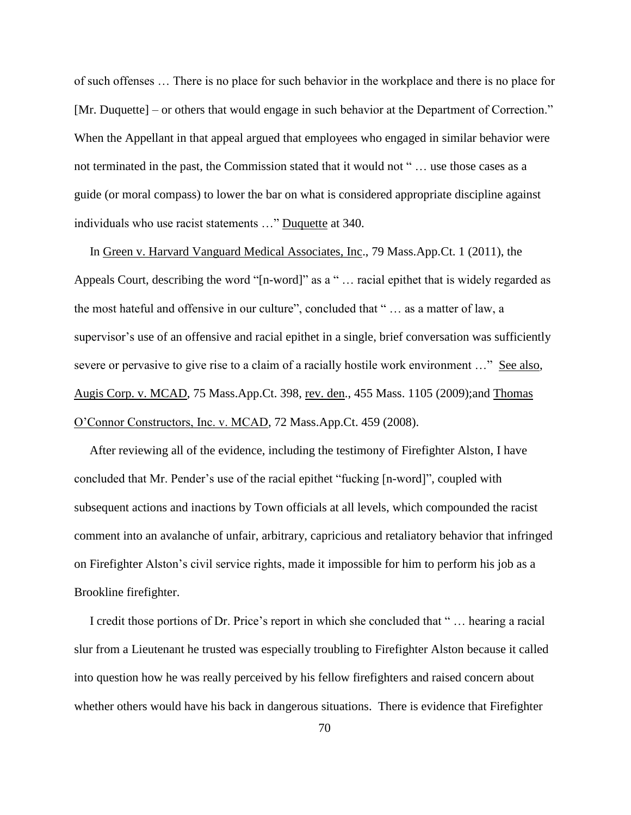of such offenses … There is no place for such behavior in the workplace and there is no place for [Mr. Duquette] – or others that would engage in such behavior at the Department of Correction." When the Appellant in that appeal argued that employees who engaged in similar behavior were not terminated in the past, the Commission stated that it would not " … use those cases as a guide (or moral compass) to lower the bar on what is considered appropriate discipline against individuals who use racist statements …" Duquette at 340.

 In Green v. Harvard Vanguard Medical Associates, Inc., 79 Mass.App.Ct. 1 (2011), the Appeals Court, describing the word "[n-word]" as a " … racial epithet that is widely regarded as the most hateful and offensive in our culture", concluded that " … as a matter of law, a supervisor's use of an offensive and racial epithet in a single, brief conversation was sufficiently severe or pervasive to give rise to a claim of a racially hostile work environment ..." See also, Augis Corp. v. MCAD, 75 Mass.App.Ct. 398, rev. den., 455 Mass. 1105 (2009);and Thomas O'Connor Constructors, Inc. v. MCAD, 72 Mass.App.Ct. 459 (2008).

 After reviewing all of the evidence, including the testimony of Firefighter Alston, I have concluded that Mr. Pender's use of the racial epithet "fucking [n-word]", coupled with subsequent actions and inactions by Town officials at all levels, which compounded the racist comment into an avalanche of unfair, arbitrary, capricious and retaliatory behavior that infringed on Firefighter Alston's civil service rights, made it impossible for him to perform his job as a Brookline firefighter.

 I credit those portions of Dr. Price's report in which she concluded that " … hearing a racial slur from a Lieutenant he trusted was especially troubling to Firefighter Alston because it called into question how he was really perceived by his fellow firefighters and raised concern about whether others would have his back in dangerous situations. There is evidence that Firefighter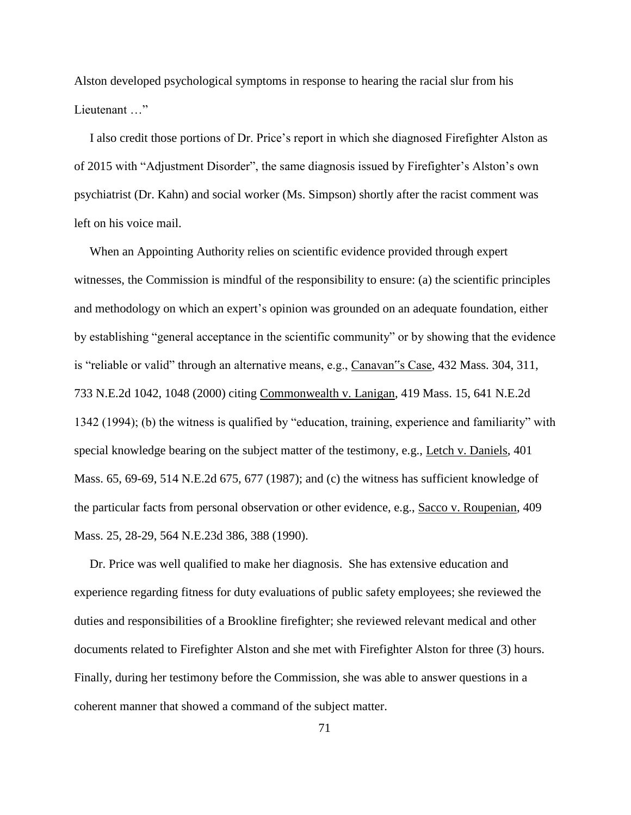Alston developed psychological symptoms in response to hearing the racial slur from his Lieutenant ..."

 I also credit those portions of Dr. Price's report in which she diagnosed Firefighter Alston as of 2015 with "Adjustment Disorder", the same diagnosis issued by Firefighter's Alston's own psychiatrist (Dr. Kahn) and social worker (Ms. Simpson) shortly after the racist comment was left on his voice mail.

 When an Appointing Authority relies on scientific evidence provided through expert witnesses, the Commission is mindful of the responsibility to ensure: (a) the scientific principles and methodology on which an expert's opinion was grounded on an adequate foundation, either by establishing "general acceptance in the scientific community" or by showing that the evidence is "reliable or valid" through an alternative means, e.g., Canavan"s Case, 432 Mass. 304, 311, 733 N.E.2d 1042, 1048 (2000) citing Commonwealth v. Lanigan, 419 Mass. 15, 641 N.E.2d 1342 (1994); (b) the witness is qualified by "education, training, experience and familiarity" with special knowledge bearing on the subject matter of the testimony, e.g., Letch v. Daniels, 401 Mass. 65, 69-69, 514 N.E.2d 675, 677 (1987); and (c) the witness has sufficient knowledge of the particular facts from personal observation or other evidence, e.g., Sacco v. Roupenian, 409 Mass. 25, 28-29, 564 N.E.23d 386, 388 (1990).

 Dr. Price was well qualified to make her diagnosis. She has extensive education and experience regarding fitness for duty evaluations of public safety employees; she reviewed the duties and responsibilities of a Brookline firefighter; she reviewed relevant medical and other documents related to Firefighter Alston and she met with Firefighter Alston for three (3) hours. Finally, during her testimony before the Commission, she was able to answer questions in a coherent manner that showed a command of the subject matter.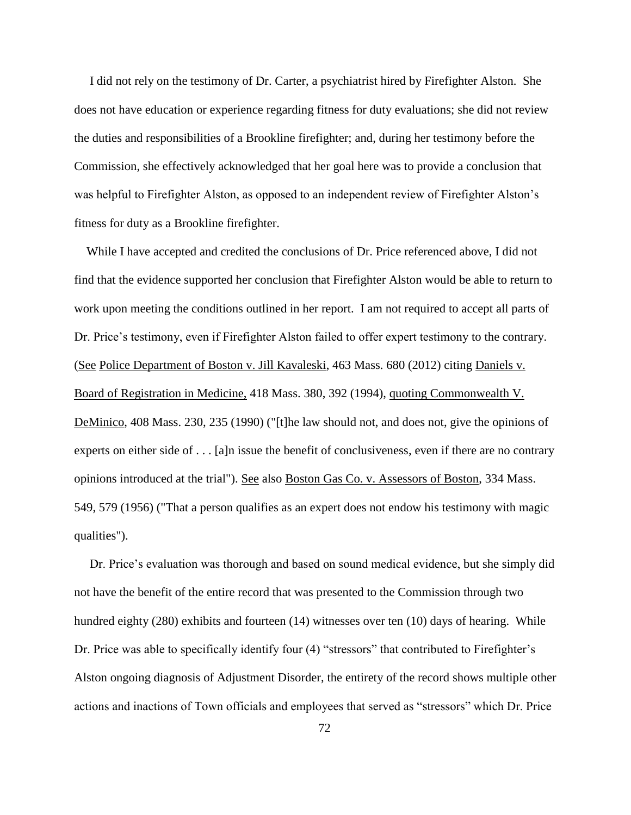I did not rely on the testimony of Dr. Carter, a psychiatrist hired by Firefighter Alston. She does not have education or experience regarding fitness for duty evaluations; she did not review the duties and responsibilities of a Brookline firefighter; and, during her testimony before the Commission, she effectively acknowledged that her goal here was to provide a conclusion that was helpful to Firefighter Alston, as opposed to an independent review of Firefighter Alston's fitness for duty as a Brookline firefighter.

 While I have accepted and credited the conclusions of Dr. Price referenced above, I did not find that the evidence supported her conclusion that Firefighter Alston would be able to return to work upon meeting the conditions outlined in her report. I am not required to accept all parts of Dr. Price's testimony, even if Firefighter Alston failed to offer expert testimony to the contrary. (See Police Department of Boston v. Jill Kavaleski, 463 Mass. 680 (2012) citing Daniels v. Board of Registration in Medicine, 418 Mass. 380, 392 (1994), quoting Commonwealth V. DeMinico, 408 Mass. 230, 235 (1990) ("[t]he law should not, and does not, give the opinions of experts on either side of . . . [a]n issue the benefit of conclusiveness, even if there are no contrary opinions introduced at the trial"). See also Boston Gas Co. v. Assessors of Boston, [334 Mass.](http://sll.gvpi.net/document.php?field=jd&value=sjcapp:334_mass._549)  [549,](http://sll.gvpi.net/document.php?field=jd&value=sjcapp:334_mass._549) 579 (1956) ("That a person qualifies as an expert does not endow his testimony with magic qualities").

 Dr. Price's evaluation was thorough and based on sound medical evidence, but she simply did not have the benefit of the entire record that was presented to the Commission through two hundred eighty (280) exhibits and fourteen (14) witnesses over ten (10) days of hearing. While Dr. Price was able to specifically identify four (4) "stressors" that contributed to Firefighter's Alston ongoing diagnosis of Adjustment Disorder, the entirety of the record shows multiple other actions and inactions of Town officials and employees that served as "stressors" which Dr. Price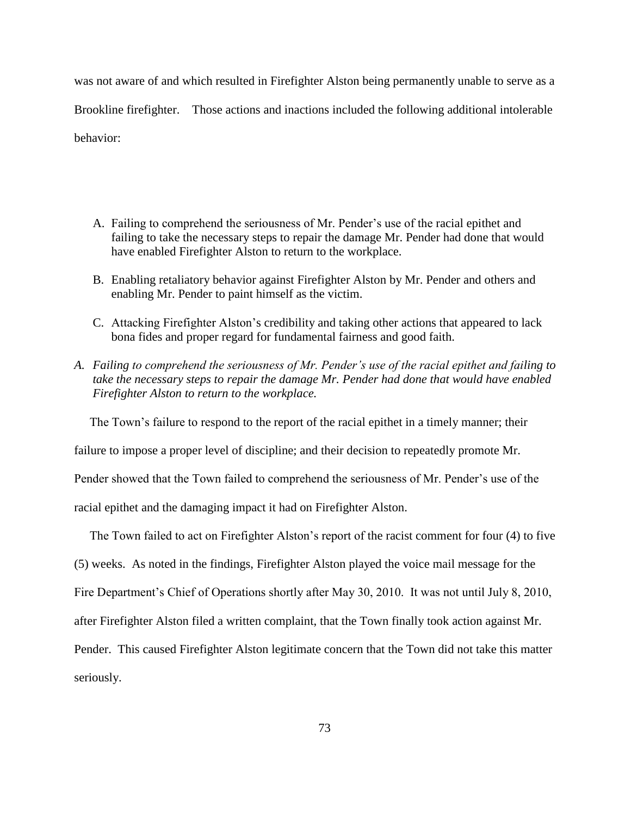was not aware of and which resulted in Firefighter Alston being permanently unable to serve as a Brookline firefighter. Those actions and inactions included the following additional intolerable behavior:

- A. Failing to comprehend the seriousness of Mr. Pender's use of the racial epithet and failing to take the necessary steps to repair the damage Mr. Pender had done that would have enabled Firefighter Alston to return to the workplace.
- B. Enabling retaliatory behavior against Firefighter Alston by Mr. Pender and others and enabling Mr. Pender to paint himself as the victim.
- C. Attacking Firefighter Alston's credibility and taking other actions that appeared to lack bona fides and proper regard for fundamental fairness and good faith.
- *A. Failing to comprehend the seriousness of Mr. Pender's use of the racial epithet and failing to take the necessary steps to repair the damage Mr. Pender had done that would have enabled Firefighter Alston to return to the workplace.*

The Town's failure to respond to the report of the racial epithet in a timely manner; their

failure to impose a proper level of discipline; and their decision to repeatedly promote Mr.

Pender showed that the Town failed to comprehend the seriousness of Mr. Pender's use of the

racial epithet and the damaging impact it had on Firefighter Alston.

The Town failed to act on Firefighter Alston's report of the racist comment for four (4) to five

(5) weeks. As noted in the findings, Firefighter Alston played the voice mail message for the

Fire Department's Chief of Operations shortly after May 30, 2010. It was not until July 8, 2010,

after Firefighter Alston filed a written complaint, that the Town finally took action against Mr.

Pender. This caused Firefighter Alston legitimate concern that the Town did not take this matter

seriously.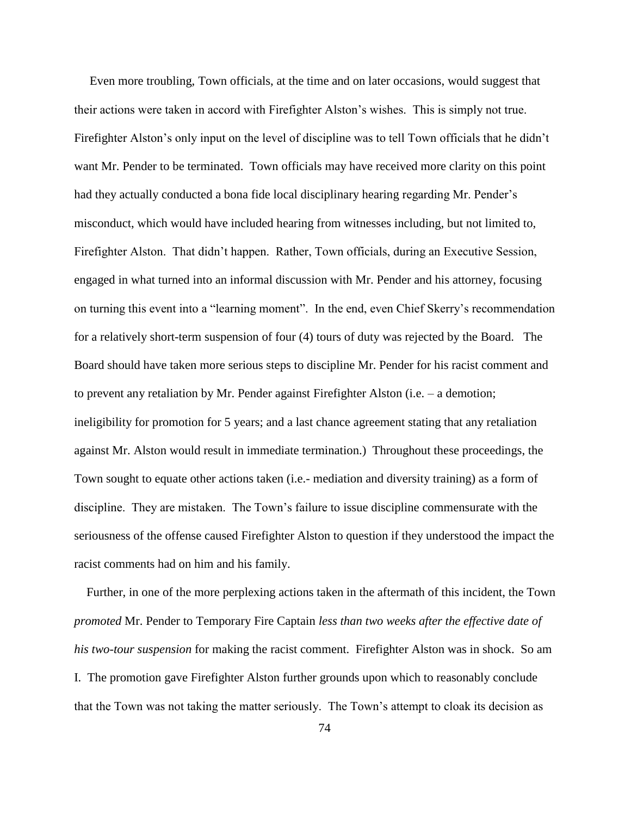Even more troubling, Town officials, at the time and on later occasions, would suggest that their actions were taken in accord with Firefighter Alston's wishes. This is simply not true. Firefighter Alston's only input on the level of discipline was to tell Town officials that he didn't want Mr. Pender to be terminated. Town officials may have received more clarity on this point had they actually conducted a bona fide local disciplinary hearing regarding Mr. Pender's misconduct, which would have included hearing from witnesses including, but not limited to, Firefighter Alston. That didn't happen. Rather, Town officials, during an Executive Session, engaged in what turned into an informal discussion with Mr. Pender and his attorney, focusing on turning this event into a "learning moment". In the end, even Chief Skerry's recommendation for a relatively short-term suspension of four (4) tours of duty was rejected by the Board. The Board should have taken more serious steps to discipline Mr. Pender for his racist comment and to prevent any retaliation by Mr. Pender against Firefighter Alston (i.e. – a demotion; ineligibility for promotion for 5 years; and a last chance agreement stating that any retaliation against Mr. Alston would result in immediate termination.) Throughout these proceedings, the Town sought to equate other actions taken (i.e.- mediation and diversity training) as a form of discipline. They are mistaken. The Town's failure to issue discipline commensurate with the seriousness of the offense caused Firefighter Alston to question if they understood the impact the racist comments had on him and his family.

 Further, in one of the more perplexing actions taken in the aftermath of this incident, the Town *promoted* Mr. Pender to Temporary Fire Captain *less than two weeks after the effective date of his two-tour suspension* for making the racist comment. Firefighter Alston was in shock. So am I. The promotion gave Firefighter Alston further grounds upon which to reasonably conclude that the Town was not taking the matter seriously. The Town's attempt to cloak its decision as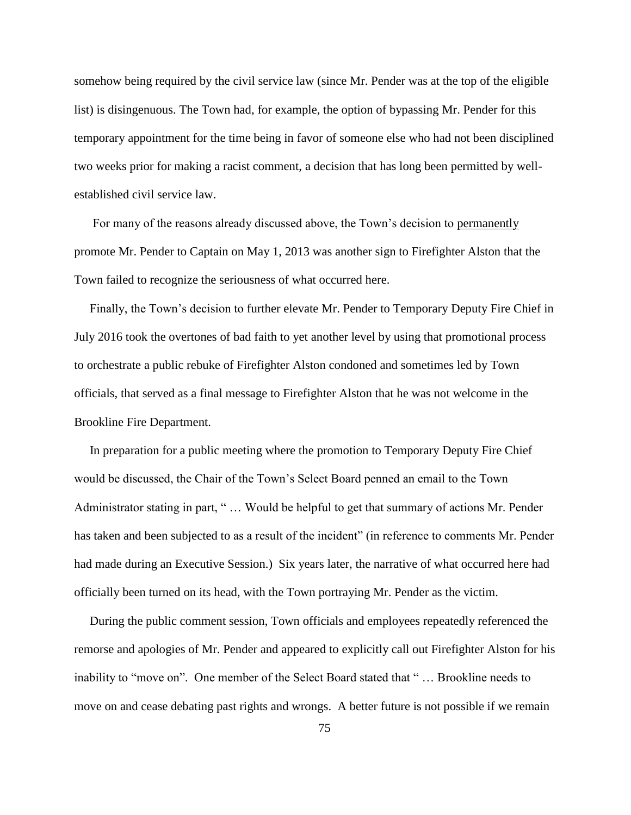somehow being required by the civil service law (since Mr. Pender was at the top of the eligible list) is disingenuous. The Town had, for example, the option of bypassing Mr. Pender for this temporary appointment for the time being in favor of someone else who had not been disciplined two weeks prior for making a racist comment, a decision that has long been permitted by wellestablished civil service law.

 For many of the reasons already discussed above, the Town's decision to permanently promote Mr. Pender to Captain on May 1, 2013 was another sign to Firefighter Alston that the Town failed to recognize the seriousness of what occurred here.

 Finally, the Town's decision to further elevate Mr. Pender to Temporary Deputy Fire Chief in July 2016 took the overtones of bad faith to yet another level by using that promotional process to orchestrate a public rebuke of Firefighter Alston condoned and sometimes led by Town officials, that served as a final message to Firefighter Alston that he was not welcome in the Brookline Fire Department.

 In preparation for a public meeting where the promotion to Temporary Deputy Fire Chief would be discussed, the Chair of the Town's Select Board penned an email to the Town Administrator stating in part, " … Would be helpful to get that summary of actions Mr. Pender has taken and been subjected to as a result of the incident" (in reference to comments Mr. Pender had made during an Executive Session.) Six years later, the narrative of what occurred here had officially been turned on its head, with the Town portraying Mr. Pender as the victim.

 During the public comment session, Town officials and employees repeatedly referenced the remorse and apologies of Mr. Pender and appeared to explicitly call out Firefighter Alston for his inability to "move on". One member of the Select Board stated that " … Brookline needs to move on and cease debating past rights and wrongs. A better future is not possible if we remain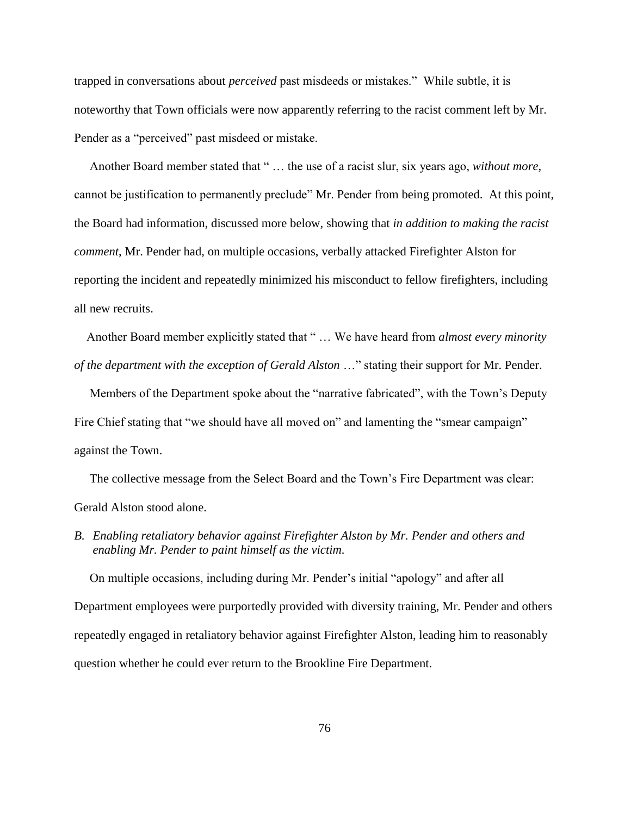trapped in conversations about *perceived* past misdeeds or mistakes." While subtle, it is noteworthy that Town officials were now apparently referring to the racist comment left by Mr. Pender as a "perceived" past misdeed or mistake.

 Another Board member stated that " … the use of a racist slur, six years ago, *without more*, cannot be justification to permanently preclude" Mr. Pender from being promoted. At this point, the Board had information, discussed more below, showing that *in addition to making the racist comment*, Mr. Pender had, on multiple occasions, verbally attacked Firefighter Alston for reporting the incident and repeatedly minimized his misconduct to fellow firefighters, including all new recruits.

 Another Board member explicitly stated that " … We have heard from *almost every minority of the department with the exception of Gerald Alston* …" stating their support for Mr. Pender.

 Members of the Department spoke about the "narrative fabricated", with the Town's Deputy Fire Chief stating that "we should have all moved on" and lamenting the "smear campaign" against the Town.

 The collective message from the Select Board and the Town's Fire Department was clear: Gerald Alston stood alone.

*B. Enabling retaliatory behavior against Firefighter Alston by Mr. Pender and others and enabling Mr. Pender to paint himself as the victim.*

 On multiple occasions, including during Mr. Pender's initial "apology" and after all Department employees were purportedly provided with diversity training, Mr. Pender and others repeatedly engaged in retaliatory behavior against Firefighter Alston, leading him to reasonably question whether he could ever return to the Brookline Fire Department.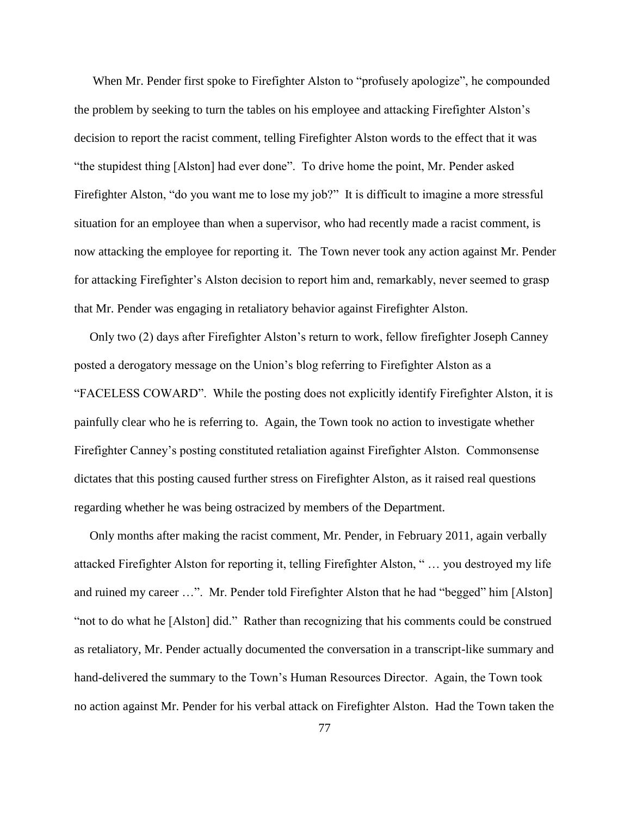When Mr. Pender first spoke to Firefighter Alston to "profusely apologize", he compounded the problem by seeking to turn the tables on his employee and attacking Firefighter Alston's decision to report the racist comment, telling Firefighter Alston words to the effect that it was "the stupidest thing [Alston] had ever done". To drive home the point, Mr. Pender asked Firefighter Alston, "do you want me to lose my job?" It is difficult to imagine a more stressful situation for an employee than when a supervisor, who had recently made a racist comment, is now attacking the employee for reporting it. The Town never took any action against Mr. Pender for attacking Firefighter's Alston decision to report him and, remarkably, never seemed to grasp that Mr. Pender was engaging in retaliatory behavior against Firefighter Alston.

 Only two (2) days after Firefighter Alston's return to work, fellow firefighter Joseph Canney posted a derogatory message on the Union's blog referring to Firefighter Alston as a "FACELESS COWARD". While the posting does not explicitly identify Firefighter Alston, it is painfully clear who he is referring to. Again, the Town took no action to investigate whether Firefighter Canney's posting constituted retaliation against Firefighter Alston. Commonsense dictates that this posting caused further stress on Firefighter Alston, as it raised real questions regarding whether he was being ostracized by members of the Department.

 Only months after making the racist comment, Mr. Pender, in February 2011, again verbally attacked Firefighter Alston for reporting it, telling Firefighter Alston, " … you destroyed my life and ruined my career …". Mr. Pender told Firefighter Alston that he had "begged" him [Alston] "not to do what he [Alston] did." Rather than recognizing that his comments could be construed as retaliatory, Mr. Pender actually documented the conversation in a transcript-like summary and hand-delivered the summary to the Town's Human Resources Director. Again, the Town took no action against Mr. Pender for his verbal attack on Firefighter Alston. Had the Town taken the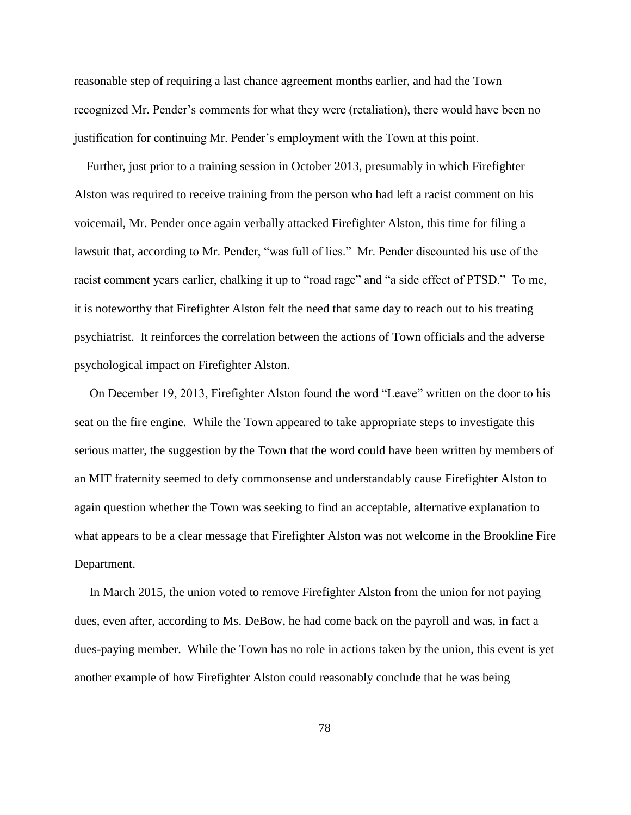reasonable step of requiring a last chance agreement months earlier, and had the Town recognized Mr. Pender's comments for what they were (retaliation), there would have been no justification for continuing Mr. Pender's employment with the Town at this point.

 Further, just prior to a training session in October 2013, presumably in which Firefighter Alston was required to receive training from the person who had left a racist comment on his voicemail, Mr. Pender once again verbally attacked Firefighter Alston, this time for filing a lawsuit that, according to Mr. Pender, "was full of lies." Mr. Pender discounted his use of the racist comment years earlier, chalking it up to "road rage" and "a side effect of PTSD." To me, it is noteworthy that Firefighter Alston felt the need that same day to reach out to his treating psychiatrist. It reinforces the correlation between the actions of Town officials and the adverse psychological impact on Firefighter Alston.

 On December 19, 2013, Firefighter Alston found the word "Leave" written on the door to his seat on the fire engine. While the Town appeared to take appropriate steps to investigate this serious matter, the suggestion by the Town that the word could have been written by members of an MIT fraternity seemed to defy commonsense and understandably cause Firefighter Alston to again question whether the Town was seeking to find an acceptable, alternative explanation to what appears to be a clear message that Firefighter Alston was not welcome in the Brookline Fire Department.

 In March 2015, the union voted to remove Firefighter Alston from the union for not paying dues, even after, according to Ms. DeBow, he had come back on the payroll and was, in fact a dues-paying member. While the Town has no role in actions taken by the union, this event is yet another example of how Firefighter Alston could reasonably conclude that he was being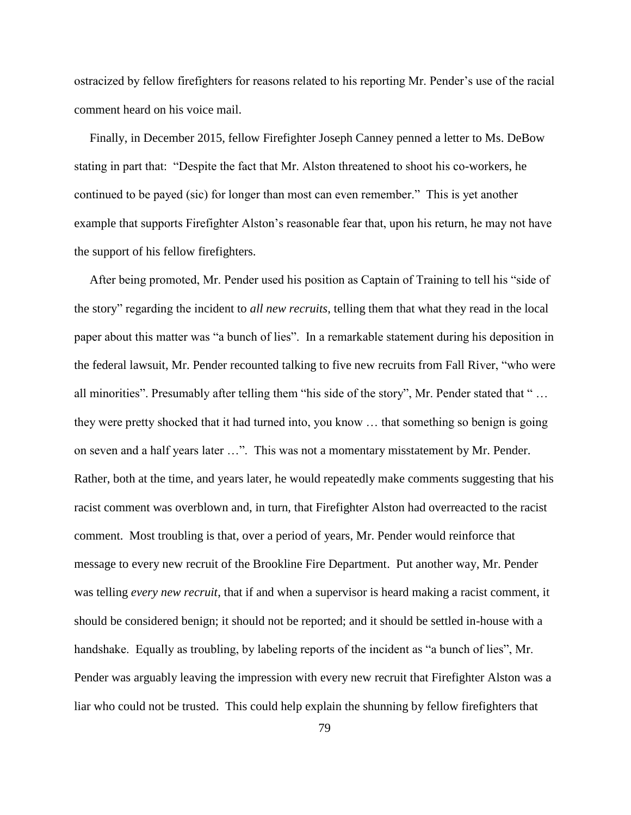ostracized by fellow firefighters for reasons related to his reporting Mr. Pender's use of the racial comment heard on his voice mail.

 Finally, in December 2015, fellow Firefighter Joseph Canney penned a letter to Ms. DeBow stating in part that: "Despite the fact that Mr. Alston threatened to shoot his co-workers, he continued to be payed (sic) for longer than most can even remember." This is yet another example that supports Firefighter Alston's reasonable fear that, upon his return, he may not have the support of his fellow firefighters.

 After being promoted, Mr. Pender used his position as Captain of Training to tell his "side of the story" regarding the incident to *all new recruits*, telling them that what they read in the local paper about this matter was "a bunch of lies". In a remarkable statement during his deposition in the federal lawsuit, Mr. Pender recounted talking to five new recruits from Fall River, "who were all minorities". Presumably after telling them "his side of the story", Mr. Pender stated that " … they were pretty shocked that it had turned into, you know … that something so benign is going on seven and a half years later …". This was not a momentary misstatement by Mr. Pender. Rather, both at the time, and years later, he would repeatedly make comments suggesting that his racist comment was overblown and, in turn, that Firefighter Alston had overreacted to the racist comment. Most troubling is that, over a period of years, Mr. Pender would reinforce that message to every new recruit of the Brookline Fire Department. Put another way, Mr. Pender was telling *every new recruit*, that if and when a supervisor is heard making a racist comment, it should be considered benign; it should not be reported; and it should be settled in-house with a handshake. Equally as troubling, by labeling reports of the incident as "a bunch of lies", Mr. Pender was arguably leaving the impression with every new recruit that Firefighter Alston was a liar who could not be trusted. This could help explain the shunning by fellow firefighters that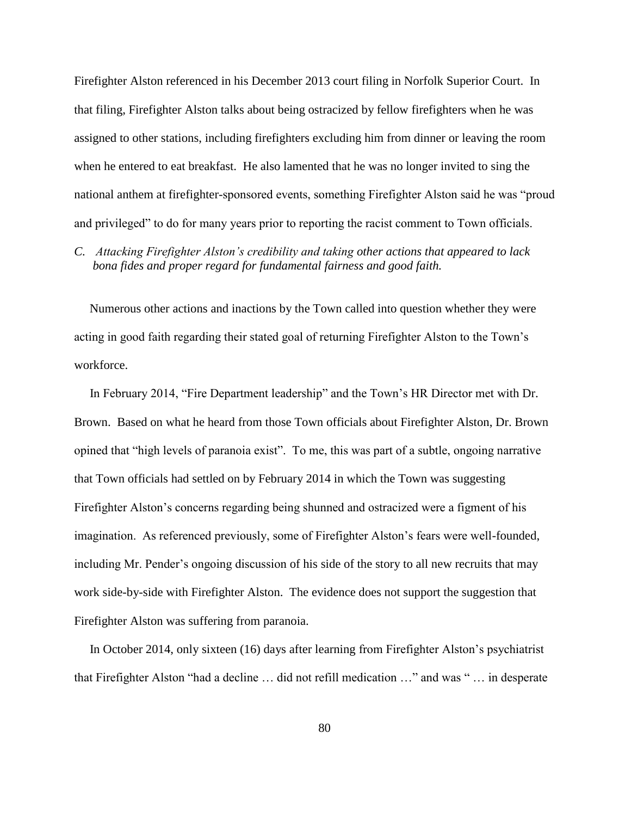Firefighter Alston referenced in his December 2013 court filing in Norfolk Superior Court. In that filing, Firefighter Alston talks about being ostracized by fellow firefighters when he was assigned to other stations, including firefighters excluding him from dinner or leaving the room when he entered to eat breakfast. He also lamented that he was no longer invited to sing the national anthem at firefighter-sponsored events, something Firefighter Alston said he was "proud and privileged" to do for many years prior to reporting the racist comment to Town officials.

## *C. Attacking Firefighter Alston's credibility and taking other actions that appeared to lack bona fides and proper regard for fundamental fairness and good faith.*

 Numerous other actions and inactions by the Town called into question whether they were acting in good faith regarding their stated goal of returning Firefighter Alston to the Town's workforce.

 In February 2014, "Fire Department leadership" and the Town's HR Director met with Dr. Brown. Based on what he heard from those Town officials about Firefighter Alston, Dr. Brown opined that "high levels of paranoia exist". To me, this was part of a subtle, ongoing narrative that Town officials had settled on by February 2014 in which the Town was suggesting Firefighter Alston's concerns regarding being shunned and ostracized were a figment of his imagination. As referenced previously, some of Firefighter Alston's fears were well-founded, including Mr. Pender's ongoing discussion of his side of the story to all new recruits that may work side-by-side with Firefighter Alston. The evidence does not support the suggestion that Firefighter Alston was suffering from paranoia.

 In October 2014, only sixteen (16) days after learning from Firefighter Alston's psychiatrist that Firefighter Alston "had a decline … did not refill medication …" and was " … in desperate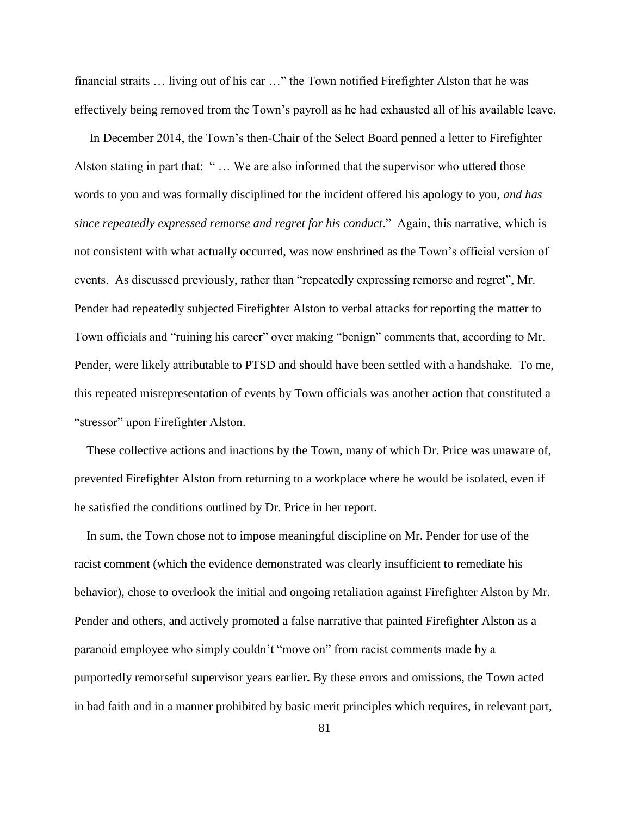financial straits … living out of his car …" the Town notified Firefighter Alston that he was effectively being removed from the Town's payroll as he had exhausted all of his available leave.

 In December 2014, the Town's then-Chair of the Select Board penned a letter to Firefighter Alston stating in part that: "... We are also informed that the supervisor who uttered those words to you and was formally disciplined for the incident offered his apology to you, *and has since repeatedly expressed remorse and regret for his conduct*." Again, this narrative, which is not consistent with what actually occurred, was now enshrined as the Town's official version of events. As discussed previously, rather than "repeatedly expressing remorse and regret", Mr. Pender had repeatedly subjected Firefighter Alston to verbal attacks for reporting the matter to Town officials and "ruining his career" over making "benign" comments that, according to Mr. Pender, were likely attributable to PTSD and should have been settled with a handshake. To me, this repeated misrepresentation of events by Town officials was another action that constituted a "stressor" upon Firefighter Alston.

 These collective actions and inactions by the Town, many of which Dr. Price was unaware of, prevented Firefighter Alston from returning to a workplace where he would be isolated, even if he satisfied the conditions outlined by Dr. Price in her report.

 In sum, the Town chose not to impose meaningful discipline on Mr. Pender for use of the racist comment (which the evidence demonstrated was clearly insufficient to remediate his behavior), chose to overlook the initial and ongoing retaliation against Firefighter Alston by Mr. Pender and others, and actively promoted a false narrative that painted Firefighter Alston as a paranoid employee who simply couldn't "move on" from racist comments made by a purportedly remorseful supervisor years earlier**.** By these errors and omissions, the Town acted in bad faith and in a manner prohibited by basic merit principles which requires, in relevant part,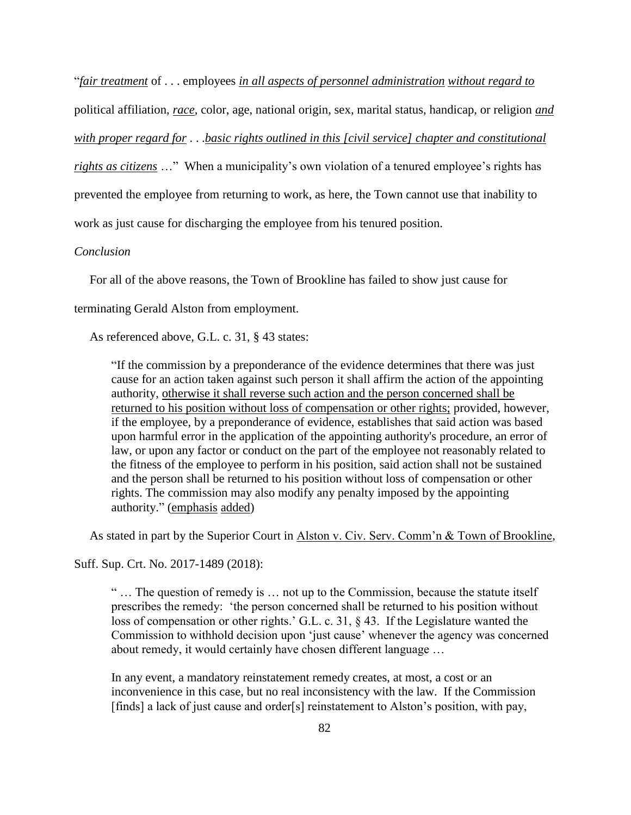"*fair treatment* of . . . employees *in all aspects of personnel administration without regard to* 

political affiliation, *race*, color, age, national origin, sex, marital status, handicap, or religion *and* 

*with proper regard for* . . .*basic rights outlined in this [civil service] chapter and constitutional* 

*rights as citizens* …" When a municipality's own violation of a tenured employee's rights has

prevented the employee from returning to work, as here, the Town cannot use that inability to

work as just cause for discharging the employee from his tenured position.

## *Conclusion*

For all of the above reasons, the Town of Brookline has failed to show just cause for

terminating Gerald Alston from employment.

As referenced above, G.L. c. 31, § 43 states:

"If the commission by a preponderance of the evidence determines that there was just cause for an action taken against such person it shall affirm the action of the appointing authority, otherwise it shall reverse such action and the person concerned shall be returned to his position without loss of compensation or other rights; provided, however, if the employee, by a preponderance of evidence, establishes that said action was based upon harmful error in the application of the appointing authority's procedure, an error of law, or upon any factor or conduct on the part of the employee not reasonably related to the fitness of the employee to perform in his position, said action shall not be sustained and the person shall be returned to his position without loss of compensation or other rights. The commission may also modify any penalty imposed by the appointing authority." (emphasis added)

As stated in part by the Superior Court in Alston v. Civ. Serv. Comm'n & Town of Brookline,

Suff. Sup. Crt. No. 2017-1489 (2018):

 " … The question of remedy is … not up to the Commission, because the statute itself prescribes the remedy: 'the person concerned shall be returned to his position without loss of compensation or other rights.' G.L. c. 31, § 43. If the Legislature wanted the Commission to withhold decision upon 'just cause' whenever the agency was concerned about remedy, it would certainly have chosen different language …

In any event, a mandatory reinstatement remedy creates, at most, a cost or an inconvenience in this case, but no real inconsistency with the law. If the Commission [finds] a lack of just cause and order[s] reinstatement to Alston's position, with pay,